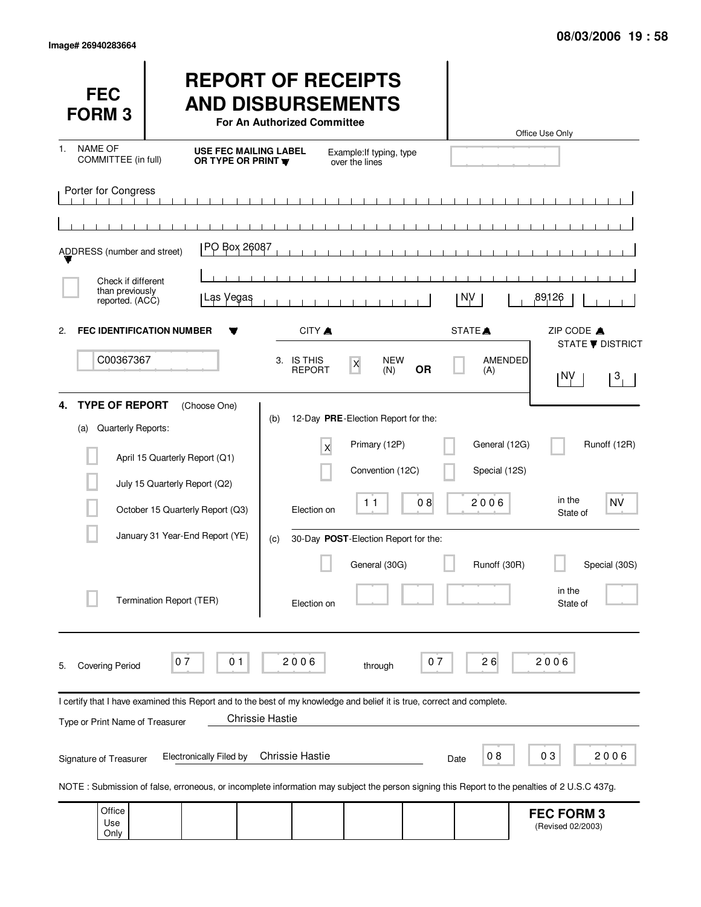Use Only

(Revised 02/2003)

| <b>FEC</b><br><b>FORM 3</b>                                                                 |                                                                                 | <b>REPORT OF RECEIPTS</b><br><b>AND DISBURSEMENTS</b><br>For An Authorized Committee                                                              |                                                                          |                                 |                                | Office Use Only                                                  |
|---------------------------------------------------------------------------------------------|---------------------------------------------------------------------------------|---------------------------------------------------------------------------------------------------------------------------------------------------|--------------------------------------------------------------------------|---------------------------------|--------------------------------|------------------------------------------------------------------|
| <b>NAME OF</b><br>$\mathbf{1}$ .<br>COMMITTEE (in full)                                     |                                                                                 | <b>USE FEC MAILING LABEL</b><br>OR TYPE OR PRINT W                                                                                                | Example: If typing, type<br>over the lines                               |                                 |                                |                                                                  |
| Porter for Congress<br>ADDRESS (number and street)<br>Check if different<br>than previously | PO Box 26087                                                                    |                                                                                                                                                   | $\blacksquare$<br>$\sim$ 1 $\sim$ 1                                      |                                 |                                |                                                                  |
| reported. (ACC)                                                                             | Las Vegas                                                                       |                                                                                                                                                   |                                                                          | NV.                             |                                | 89126                                                            |
| 2.<br>C00367367                                                                             | <b>FEC IDENTIFICATION NUMBER</b>                                                | CITY A<br>3. IS THIS<br><b>REPORT</b>                                                                                                             | <b>NEW</b><br>X<br>(N)                                                   | STATE <sup>A</sup><br><b>OR</b> | AMENDED<br>(A)                 | ZIP CODE A<br>STATE <b>V</b> DISTRICT<br>1 N.N<br>3 <sub>1</sub> |
| <b>TYPE OF REPORT</b><br>4.<br>Quarterly Reports:<br>(a)                                    | (Choose One)<br>April 15 Quarterly Report (Q1)<br>July 15 Quarterly Report (Q2) | (b)<br>X                                                                                                                                          | 12-Day PRE-Election Report for the:<br>Primary (12P)<br>Convention (12C) |                                 | General (12G)<br>Special (12S) | Runoff (12R)                                                     |
|                                                                                             | October 15 Quarterly Report (Q3)                                                | Election on                                                                                                                                       | 11                                                                       | 08                              | 2006                           | in the<br><b>NV</b><br>State of                                  |
|                                                                                             | January 31 Year-End Report (YE)                                                 | (c)                                                                                                                                               | 30-Day POST-Election Report for the:<br>General (30G)                    |                                 | Runoff (30R)                   | Special (30S)                                                    |
|                                                                                             | Termination Report (TER)                                                        | Election on                                                                                                                                       |                                                                          |                                 |                                | in the<br>State of                                               |
| <b>Covering Period</b><br>5.                                                                | 07<br>0 <sub>1</sub>                                                            | 2006                                                                                                                                              | through                                                                  | 07                              | 26                             | 2006                                                             |
| Type or Print Name of Treasurer                                                             |                                                                                 | I certify that I have examined this Report and to the best of my knowledge and belief it is true, correct and complete.<br><b>Chrissie Hastie</b> |                                                                          |                                 |                                |                                                                  |
| Signature of Treasurer                                                                      | <b>Electronically Filed by</b>                                                  | <b>Chrissie Hastie</b>                                                                                                                            |                                                                          | Date                            | 08                             | 03<br>2006                                                       |
|                                                                                             |                                                                                 | NOTE: Submission of false, erroneous, or incomplete information may subject the person signing this Report to the penalties of 2 U.S.C 437g.      |                                                                          |                                 |                                |                                                                  |
| Office<br>Use                                                                               |                                                                                 |                                                                                                                                                   |                                                                          |                                 |                                | <b>FEC FORM 3</b><br>(Revised 02/2003)                           |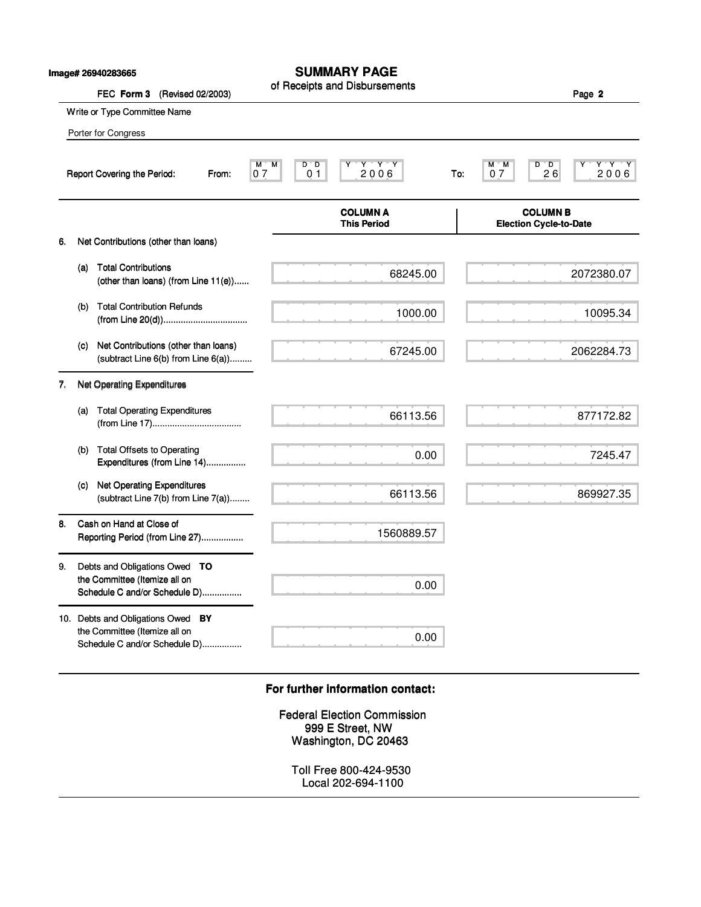|    |     | Image# 26940283665<br>FEC Form 3<br>(Revised 02/2003)                                               | <b>SUMMARY PAGE</b><br>of Receipts and Disbursements                           |                     | Page 2                                           |
|----|-----|-----------------------------------------------------------------------------------------------------|--------------------------------------------------------------------------------|---------------------|--------------------------------------------------|
|    |     | Write or Type Committee Name                                                                        |                                                                                |                     |                                                  |
|    |     | Porter for Congress                                                                                 |                                                                                |                     |                                                  |
|    |     | Report Covering the Period:<br>From:                                                                | $Y - Y - Y$<br>M<br>D D<br>м<br>2006<br>0 <sub>1</sub><br>07                   | М<br>M<br>07<br>To: | D D<br>Y Y Y<br>2,0,0,6<br>26                    |
|    |     |                                                                                                     | <b>COLUMN A</b><br><b>This Period</b>                                          |                     | <b>COLUMN B</b><br><b>Election Cycle-to-Date</b> |
| 6. |     | Net Contributions (other than loans)                                                                |                                                                                |                     |                                                  |
|    | (a) | <b>Total Contributions</b><br>(other than loans) (from Line 11(e))                                  | 68245.00                                                                       |                     | 2072380.07                                       |
|    | (b) | <b>Total Contribution Refunds</b>                                                                   | 1000.00                                                                        |                     | 10095.34                                         |
|    | (c) | Net Contributions (other than loans)<br>(subtract Line 6(b) from Line 6(a))                         | 67245.00                                                                       |                     | 2062284.73                                       |
| 7. |     | Net Operating Expenditures                                                                          |                                                                                |                     |                                                  |
|    | (a) | <b>Total Operating Expenditures</b>                                                                 | 66113.56                                                                       |                     | 877172.82                                        |
|    | (b) | <b>Total Offsets to Operating</b><br>Expenditures (from Line 14)                                    | 0.00                                                                           |                     | 7245.47                                          |
|    | (C) | <b>Net Operating Expenditures</b><br>(subtract Line 7(b) from Line 7(a))                            | 66113.56                                                                       |                     | 869927.35                                        |
| 8. |     | Cash on Hand at Close of<br>Reporting Period (from Line 27)                                         | 1560889.57                                                                     |                     |                                                  |
| 9. |     | Debts and Obligations Owed TO<br>the Committee (Itemize all on                                      | 0.00                                                                           |                     |                                                  |
|    |     | Schedule C and/or Schedule D)                                                                       |                                                                                |                     |                                                  |
|    |     | 10. Debts and Obligations Owed BY<br>the Committee (Itemize all on<br>Schedule C and/or Schedule D) | 0.00                                                                           |                     |                                                  |
|    |     |                                                                                                     | For further information contact:                                               |                     |                                                  |
|    |     |                                                                                                     | <b>Federal Election Commission</b><br>999 E Street, NW<br>Washington, DC 20463 |                     |                                                  |
|    |     |                                                                                                     | Toll Free 800-424-9530<br>Local 202-694-1100                                   |                     |                                                  |

## **For further information contact: For further information contact:**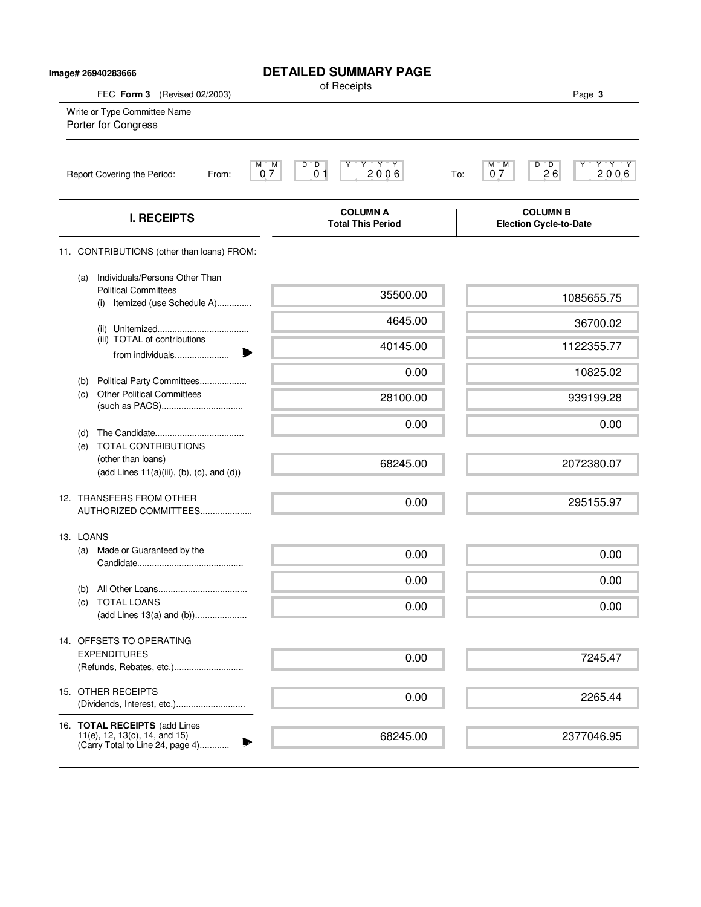| Image# 26940283666                                                                                 | <b>DETAILED SUMMARY PAGE</b><br>of Receipts                                            |                                                              |
|----------------------------------------------------------------------------------------------------|----------------------------------------------------------------------------------------|--------------------------------------------------------------|
| FEC Form 3 (Revised 02/2003)                                                                       |                                                                                        | Page 3                                                       |
| Write or Type Committee Name<br>Porter for Congress                                                |                                                                                        |                                                              |
| Report Covering the Period:<br>From:                                                               | $Y$ $Y$ $Y$ $Y$<br>$\overline{D}$<br>M.<br>M<br>D<br>Υ<br>07<br>0 <sub>1</sub><br>2006 | $D^{\prime}D$<br>Y Y Y<br>М<br>ĬΜ<br>26<br>2006<br>07<br>To: |
| <b>I. RECEIPTS</b>                                                                                 | <b>COLUMN A</b><br><b>Total This Period</b>                                            | <b>COLUMN B</b><br><b>Election Cycle-to-Date</b>             |
| 11. CONTRIBUTIONS (other than loans) FROM:                                                         |                                                                                        |                                                              |
| Individuals/Persons Other Than<br>(a)<br><b>Political Committees</b>                               | 35500.00                                                                               | 1085655.75                                                   |
| (i) Itemized (use Schedule A)                                                                      | 4645.00                                                                                | 36700.02                                                     |
| (iii) TOTAL of contributions                                                                       | 40145.00                                                                               | 1122355.77                                                   |
| from individuals                                                                                   | 0.00                                                                                   | 10825.02                                                     |
| Political Party Committees<br>(b)<br><b>Other Political Committees</b><br>(c)                      | 28100.00                                                                               | 939199.28                                                    |
|                                                                                                    | 0.00                                                                                   | 0.00                                                         |
| (d)<br><b>TOTAL CONTRIBUTIONS</b><br>(e)<br>(other than loans)                                     | 68245.00                                                                               | 2072380.07                                                   |
| $(\text{add Lines } 11(a)(iii), (b), (c), \text{and } (d))$                                        |                                                                                        |                                                              |
| 12. TRANSFERS FROM OTHER<br>AUTHORIZED COMMITTEES                                                  | 0.00                                                                                   | 295155.97                                                    |
| 13. LOANS                                                                                          |                                                                                        |                                                              |
| Made or Guaranteed by the<br>(a)                                                                   | 0.00                                                                                   | 0.00                                                         |
| (b)                                                                                                | 0.00                                                                                   | 0.00                                                         |
| <b>TOTAL LOANS</b><br>(C)                                                                          | 0.00                                                                                   | 0.00                                                         |
| 14. OFFSETS TO OPERATING                                                                           |                                                                                        |                                                              |
| <b>EXPENDITURES</b><br>(Refunds, Rebates, etc.)                                                    | 0.00                                                                                   | 7245.47                                                      |
| 15. OTHER RECEIPTS                                                                                 | 0.00                                                                                   | 2265.44                                                      |
| 16. TOTAL RECEIPTS (add Lines<br>11(e), 12, 13(c), 14, and 15)<br>(Carry Total to Line 24, page 4) | 68245.00                                                                               | 2377046.95                                                   |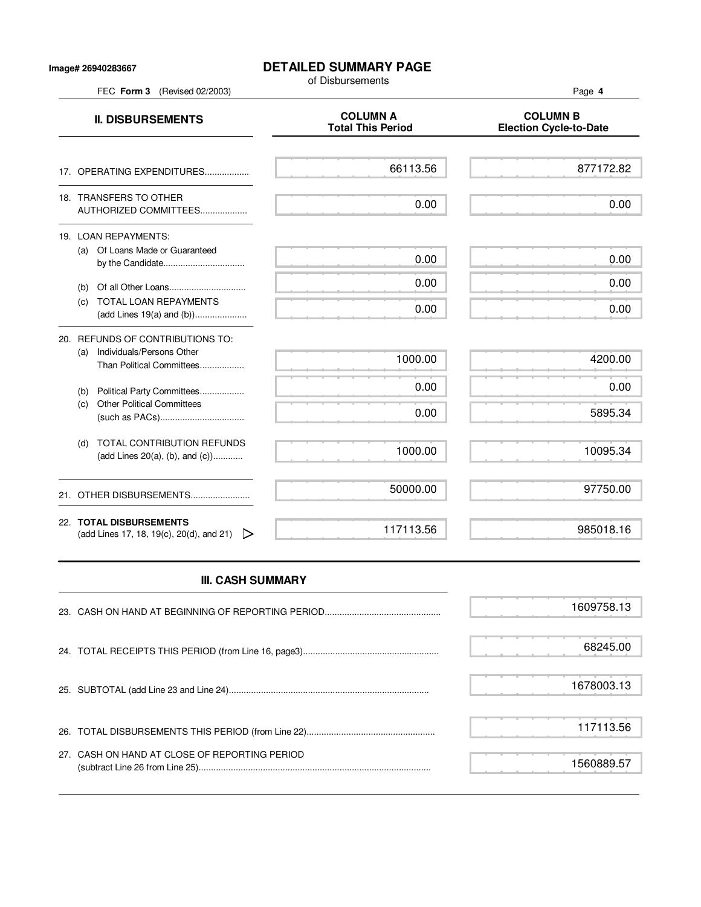## **Image# 26940283667**

## **DETAILED SUMMARY PAGE**

of Disbursements

FEC **Form 3** (Revised 02/2003) Page **4 II. DISBURSEMENTS**<br>Total This Period Figures and COLUMN B<br>Total This Period Figures and Column B **Election Cycle-to-Date** 17. OPERATING EXPENDITURES.................. 18. TRANSFERS TO OTHER AUTHORIZED COMMITTEES................... 19. LOAN REPAYMENTS: (a) Of Loans Made or Guaranteed by the Candidate................................. (b) Of all Other Loans............................... (c) TOTAL LOAN REPAYMENTS (add Lines 19(a) and (b))..................... 20. REFUNDS OF CONTRIBUTIONS TO: (a) Individuals/Persons Other Than Political Committees.................. (b) Political Party Committees.................. (c) Other Political Committees (such as PACs).................................. (d) TOTAL CONTRIBUTION REFUNDS (add Lines 20(a), (b), and (c))............ 21. OTHER DISBURSEMENTS......................... 22. **TOTAL DISBURSEMENTS** (add Lines 17, 18, 19(c), 20(d), and 21)  $\triangleright$ 66113.56 0.00 0.00 0.00 0.00 1000.00 0.00 0.00 1000.00 50000.00 117113.56 877172.82 0.00 0.00 0.00 0.00 4200.00 0.00 5895.34 10095.34 97750.00 985018.16

## **III. CASH SUMMARY**

|                                               | 1609758.13 |
|-----------------------------------------------|------------|
|                                               | 68245.00   |
|                                               | 1678003.13 |
|                                               | 117113.56  |
| 27. CASH ON HAND AT CLOSE OF REPORTING PERIOD | 1560889.57 |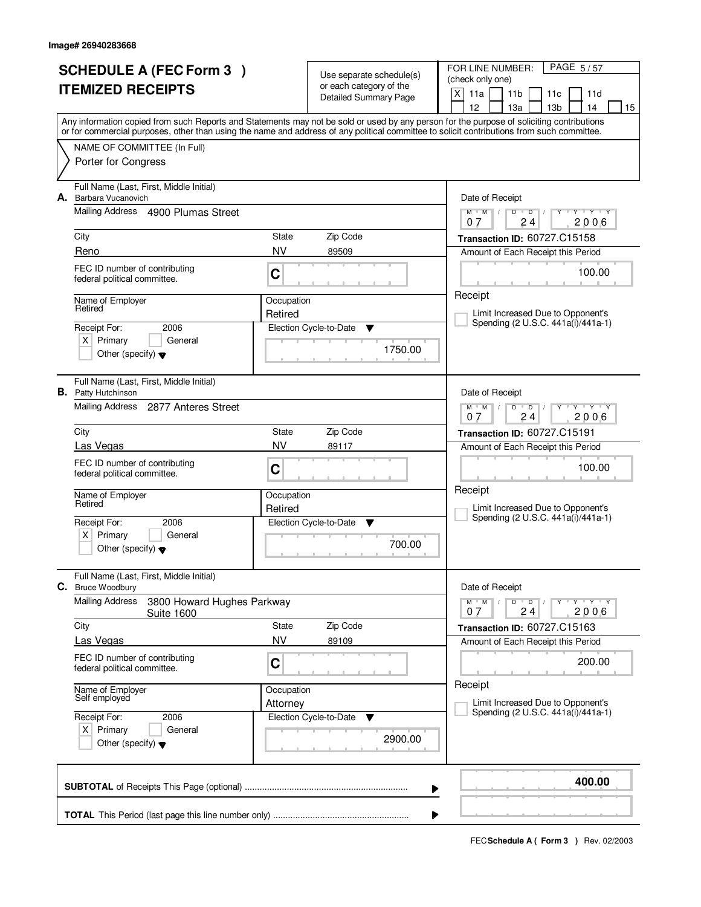| <b>SCHEDULE A (FEC Form 3)</b><br><b>ITEMIZED RECEIPTS</b> |                                                                           |              | Use separate schedule(s)<br>or each category of the | PAGE 5/57<br>FOR LINE NUMBER:<br>(check only one)                                                                                          |
|------------------------------------------------------------|---------------------------------------------------------------------------|--------------|-----------------------------------------------------|--------------------------------------------------------------------------------------------------------------------------------------------|
|                                                            |                                                                           |              | <b>Detailed Summary Page</b>                        | X<br>11a<br>11 <sub>b</sub><br>11c<br>11d<br>12<br>13a<br>13 <sub>b</sub><br>14<br>15                                                      |
|                                                            |                                                                           |              |                                                     | Any information copied from such Reports and Statements may not be sold or used by any person for the purpose of soliciting contributions  |
|                                                            | NAME OF COMMITTEE (In Full)                                               |              |                                                     | or for commercial purposes, other than using the name and address of any political committee to solicit contributions from such committee. |
|                                                            | Porter for Congress                                                       |              |                                                     |                                                                                                                                            |
| А.                                                         | Full Name (Last, First, Middle Initial)<br>Barbara Vucanovich             |              |                                                     | Date of Receipt                                                                                                                            |
|                                                            | Mailing Address 4900 Plumas Street                                        |              |                                                     | $Y + Y + Y + Y$<br>$M$ $M$ /<br>$D$ $D$<br>$\mathbb{L}$<br>24<br>2006<br>07                                                                |
|                                                            | City                                                                      | State        | Zip Code                                            | Transaction ID: 60727.C15158                                                                                                               |
|                                                            | Reno                                                                      | <b>NV</b>    | 89509                                               | Amount of Each Receipt this Period                                                                                                         |
|                                                            | FEC ID number of contributing<br>federal political committee.             | C            |                                                     | 100.00                                                                                                                                     |
|                                                            | Name of Employer<br>Retired                                               | Occupation   |                                                     | Receipt                                                                                                                                    |
|                                                            |                                                                           | Retired      |                                                     | Limit Increased Due to Opponent's<br>Spending (2 U.S.C. 441a(i)/441a-1)                                                                    |
|                                                            | 2006<br>Receipt For:<br>$X$ Primary<br>General                            |              | Election Cycle-to-Date<br>▼                         |                                                                                                                                            |
|                                                            | Other (specify) $\blacktriangledown$                                      |              | 1750.00                                             |                                                                                                                                            |
|                                                            | Full Name (Last, First, Middle Initial)<br><b>B.</b> Patty Hutchinson     |              |                                                     | Date of Receipt                                                                                                                            |
|                                                            | Mailing Address 2877 Anteres Street                                       |              |                                                     | $Y - Y - Y$<br>$M$ $M$ /<br>D<br>$\overline{D}$<br>24<br>2006<br>0.7                                                                       |
|                                                            | City                                                                      | <b>State</b> | Zip Code                                            | <b>Transaction ID: 60727.C15191</b>                                                                                                        |
|                                                            | Las Vegas                                                                 | <b>NV</b>    | 89117                                               | Amount of Each Receipt this Period                                                                                                         |
|                                                            | FEC ID number of contributing<br>federal political committee.             | C            |                                                     | 100.00                                                                                                                                     |
|                                                            | Name of Employer<br>Retired                                               | Occupation   |                                                     | Receipt                                                                                                                                    |
|                                                            |                                                                           | Retired      |                                                     | Limit Increased Due to Opponent's<br>Spending (2 U.S.C. 441a(i)/441a-1)                                                                    |
|                                                            | Receipt For:<br>2006<br>Primary<br>ΧI<br>General                          |              | Election Cycle-to-Date<br>▼                         |                                                                                                                                            |
|                                                            | Other (specify) $\blacktriangledown$                                      |              | 700.00                                              |                                                                                                                                            |
| С.                                                         | Full Name (Last, First, Middle Initial)<br><b>Bruce Woodbury</b>          |              |                                                     | Date of Receipt                                                                                                                            |
|                                                            | <b>Mailing Address</b><br>3800 Howard Hughes Parkway<br><b>Suite 1600</b> |              |                                                     | $D$ $D$<br>$M$ $M$ $/$<br>$Y - Y - Y$<br>Y<br>24<br>2006<br>07                                                                             |
|                                                            | City                                                                      | State        | Zip Code                                            | Transaction ID: 60727.C15163                                                                                                               |
|                                                            | Las Vegas                                                                 | <b>NV</b>    | 89109                                               | Amount of Each Receipt this Period                                                                                                         |
|                                                            | FEC ID number of contributing<br>federal political committee.             | C            |                                                     | 200.00                                                                                                                                     |
|                                                            | Name of Employer<br>Self employed                                         | Occupation   |                                                     | Receipt                                                                                                                                    |
|                                                            |                                                                           | Attorney     |                                                     | Limit Increased Due to Opponent's<br>Spending (2 U.S.C. 441a(i)/441a-1)                                                                    |
|                                                            | Receipt For:<br>2006<br>$X$ Primary<br>General                            |              | Election Cycle-to-Date<br>v                         |                                                                                                                                            |
|                                                            | Other (specify) $\blacktriangledown$                                      |              | 2900.00                                             |                                                                                                                                            |
|                                                            |                                                                           |              |                                                     | 400.00<br>▶                                                                                                                                |
|                                                            |                                                                           |              |                                                     |                                                                                                                                            |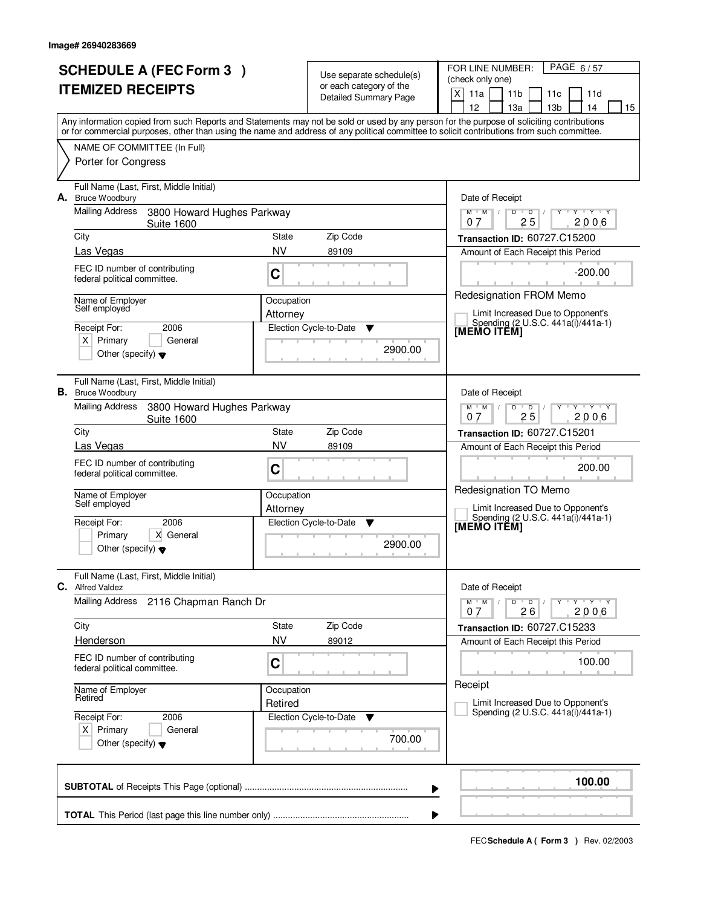|    | <b>SCHEDULE A (FEC Form 3)</b><br><b>ITEMIZED RECEIPTS</b>                                                                                                                                                                                                                              |                       | Use separate schedule(s)<br>or each category of the<br>Detailed Summary Page | PAGE 6/57<br>FOR LINE NUMBER:<br>(check only one)<br>X<br>11a<br>11 <sub>b</sub><br>11c<br>11d<br>12<br>13а<br>13 <sub>b</sub><br>14<br>15 |
|----|-----------------------------------------------------------------------------------------------------------------------------------------------------------------------------------------------------------------------------------------------------------------------------------------|-----------------------|------------------------------------------------------------------------------|--------------------------------------------------------------------------------------------------------------------------------------------|
|    | Any information copied from such Reports and Statements may not be sold or used by any person for the purpose of soliciting contributions<br>or for commercial purposes, other than using the name and address of any political committee to solicit contributions from such committee. |                       |                                                                              |                                                                                                                                            |
|    | NAME OF COMMITTEE (In Full)<br>Porter for Congress                                                                                                                                                                                                                                      |                       |                                                                              |                                                                                                                                            |
|    | Full Name (Last, First, Middle Initial)<br>A. Bruce Woodbury                                                                                                                                                                                                                            |                       |                                                                              | Date of Receipt                                                                                                                            |
|    | Mailing Address<br>3800 Howard Hughes Parkway<br><b>Suite 1600</b>                                                                                                                                                                                                                      |                       |                                                                              | $\overline{D}$<br>$Y - Y - Y - Y$<br>$M$ $M$ /<br>D<br>25<br>2006<br>07                                                                    |
|    | City                                                                                                                                                                                                                                                                                    | State                 | Zip Code                                                                     | Transaction ID: 60727.C15200                                                                                                               |
|    | Las Vegas<br>FEC ID number of contributing                                                                                                                                                                                                                                              | <b>NV</b>             | 89109                                                                        | Amount of Each Receipt this Period                                                                                                         |
|    | federal political committee.                                                                                                                                                                                                                                                            | C                     |                                                                              | $-200.00$                                                                                                                                  |
|    | Name of Employer<br>Self employed                                                                                                                                                                                                                                                       | Occupation            |                                                                              | Redesignation FROM Memo<br>Limit Increased Due to Opponent's                                                                               |
|    | 2006<br>Receipt For:                                                                                                                                                                                                                                                                    | Attorney              | Election Cycle-to-Date<br>v                                                  | Spending (2 U.S.C. 441a(i)/441a-1)<br>[MEMO ITÊM]                                                                                          |
|    | $X$ Primary<br>General<br>Other (specify) $\blacktriangledown$                                                                                                                                                                                                                          |                       | 2900.00                                                                      |                                                                                                                                            |
|    | Full Name (Last, First, Middle Initial)<br><b>B.</b> Bruce Woodbury                                                                                                                                                                                                                     |                       |                                                                              | Date of Receipt                                                                                                                            |
|    | <b>Mailing Address</b><br>3800 Howard Hughes Parkway<br><b>Suite 1600</b>                                                                                                                                                                                                               |                       |                                                                              | $M$ $M$ /<br>D<br>Y Y Y Y<br>$\overline{D}$<br>25<br>2006<br>07                                                                            |
|    | City<br>Las Vegas                                                                                                                                                                                                                                                                       | State<br><b>NV</b>    | Zip Code<br>89109                                                            | <b>Transaction ID: 60727.C15201</b><br>Amount of Each Receipt this Period                                                                  |
|    | FEC ID number of contributing<br>federal political committee.                                                                                                                                                                                                                           | C                     |                                                                              | 200.00                                                                                                                                     |
|    | Name of Employer<br>Self employed                                                                                                                                                                                                                                                       | Occupation            |                                                                              | Redesignation TO Memo<br>Limit Increased Due to Opponent's                                                                                 |
|    | 2006<br>Receipt For:                                                                                                                                                                                                                                                                    | Attorney              | Election Cycle-to-Date<br>v                                                  | Spending (2 U.S.C. 441a(i)/441a-1)<br>[MEMO ITĔM]                                                                                          |
|    | X General<br>Primary<br>Other (specify) $\blacktriangledown$                                                                                                                                                                                                                            |                       | 2900.00                                                                      |                                                                                                                                            |
| C. | Full Name (Last, First, Middle Initial)<br><b>Alfred Valdez</b>                                                                                                                                                                                                                         |                       |                                                                              | Date of Receipt                                                                                                                            |
|    | <b>Mailing Address</b><br>2116 Chapman Ranch Dr                                                                                                                                                                                                                                         |                       |                                                                              | $M = M$<br>$D$ $D$ $I$<br>$Y - Y - Y$<br>$Y$ <sup>U</sup><br>26<br>2006<br>07                                                              |
|    | City                                                                                                                                                                                                                                                                                    | State                 | Zip Code                                                                     | Transaction ID: 60727.C15233                                                                                                               |
|    | Henderson<br>FEC ID number of contributing                                                                                                                                                                                                                                              | <b>NV</b>             | 89012                                                                        | Amount of Each Receipt this Period                                                                                                         |
|    | federal political committee.                                                                                                                                                                                                                                                            | C                     |                                                                              | 100.00                                                                                                                                     |
|    | Name of Employer<br>Retired                                                                                                                                                                                                                                                             | Occupation<br>Retired |                                                                              | Receipt<br>Limit Increased Due to Opponent's                                                                                               |
|    | Receipt For:<br>2006                                                                                                                                                                                                                                                                    |                       | Election Cycle-to-Date<br><b>V</b>                                           | Spending (2 U.S.C. 441a(i)/441a-1)                                                                                                         |
|    | $X$ Primary<br>General<br>Other (specify) $\blacktriangledown$                                                                                                                                                                                                                          |                       | 700.00                                                                       |                                                                                                                                            |
|    |                                                                                                                                                                                                                                                                                         |                       |                                                                              | 100.00<br>▶                                                                                                                                |
|    |                                                                                                                                                                                                                                                                                         |                       |                                                                              | ▶                                                                                                                                          |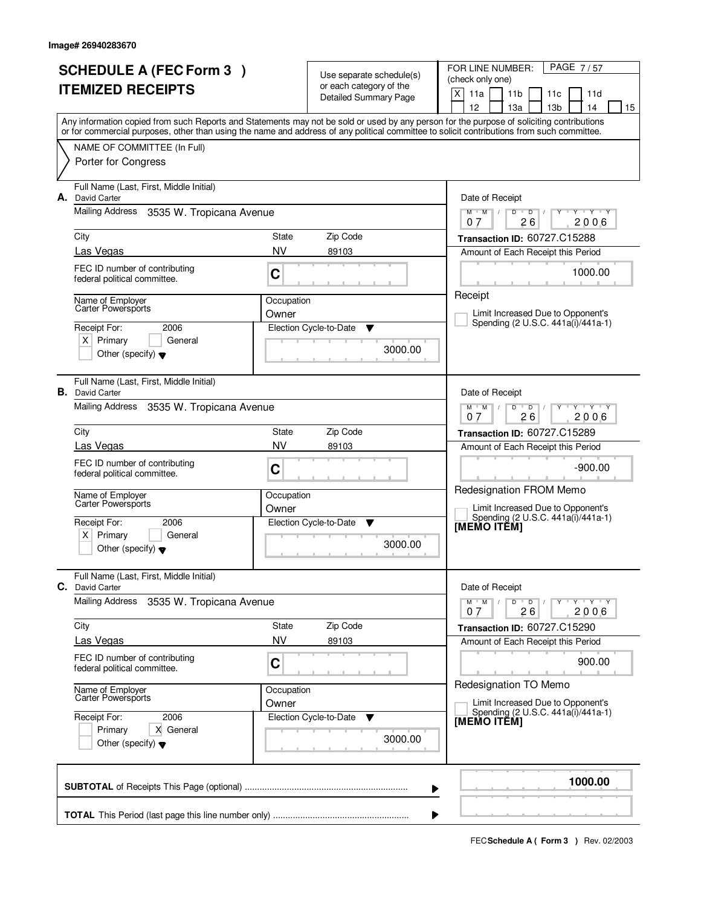| <b>SCHEDULE A (FEC Form 3)</b><br><b>ITEMIZED RECEIPTS</b> |                                                                                                                                  |                     | Use separate schedule(s)<br>or each category of the<br><b>Detailed Summary Page</b> | PAGE 7/57<br>FOR LINE NUMBER:<br>(check only one)<br>X<br>11a<br>11 <sub>b</sub><br>11d<br>11c<br>12<br>13a<br>13 <sub>b</sub><br>14<br>15                                                                                                                                              |
|------------------------------------------------------------|----------------------------------------------------------------------------------------------------------------------------------|---------------------|-------------------------------------------------------------------------------------|-----------------------------------------------------------------------------------------------------------------------------------------------------------------------------------------------------------------------------------------------------------------------------------------|
|                                                            |                                                                                                                                  |                     |                                                                                     | Any information copied from such Reports and Statements may not be sold or used by any person for the purpose of soliciting contributions<br>or for commercial purposes, other than using the name and address of any political committee to solicit contributions from such committee. |
|                                                            | NAME OF COMMITTEE (In Full)<br>Porter for Congress                                                                               |                     |                                                                                     |                                                                                                                                                                                                                                                                                         |
| А.                                                         | Full Name (Last, First, Middle Initial)<br>David Carter                                                                          |                     |                                                                                     | Date of Receipt                                                                                                                                                                                                                                                                         |
|                                                            | Mailing Address<br>3535 W. Tropicana Avenue                                                                                      |                     |                                                                                     | $M$ $M$ /<br>$D$ $D$ $I$<br>Y Y Y Y<br>$Y$ <sup><math>\top</math></sup><br>26<br>2006<br>07                                                                                                                                                                                             |
|                                                            | City                                                                                                                             | State<br><b>NV</b>  | Zip Code                                                                            | Transaction ID: 60727.C15288                                                                                                                                                                                                                                                            |
|                                                            | Las Vegas<br>FEC ID number of contributing<br>federal political committee.                                                       | C                   | 89103                                                                               | Amount of Each Receipt this Period<br>1000.00                                                                                                                                                                                                                                           |
|                                                            | Name of Employer<br>Carter Powersports<br>Receipt For:<br>2006<br>$X$ Primary<br>General<br>Other (specify) $\blacktriangledown$ | Occupation<br>Owner | Election Cycle-to-Date<br>▼<br>3000.00                                              | Receipt<br>Limit Increased Due to Opponent's<br>Spending (2 U.S.C. 441a(i)/441a-1)                                                                                                                                                                                                      |
|                                                            | Full Name (Last, First, Middle Initial)<br><b>B.</b> David Carter<br>Mailing Address<br>3535 W. Tropicana Avenue                 |                     |                                                                                     | Date of Receipt<br>$Y \vdash Y \vdash Y$<br>$M$ $M$ /<br>D<br>$\overline{D}$                                                                                                                                                                                                            |
|                                                            | City                                                                                                                             | State               | Zip Code                                                                            | 26<br>2006<br>0.7                                                                                                                                                                                                                                                                       |
|                                                            | Las Vegas                                                                                                                        | <b>NV</b>           | 89103                                                                               | <b>Transaction ID: 60727.C15289</b><br>Amount of Each Receipt this Period                                                                                                                                                                                                               |
|                                                            | FEC ID number of contributing<br>federal political committee.                                                                    | C                   |                                                                                     | $-900.00$                                                                                                                                                                                                                                                                               |
|                                                            | Name of Employer<br>Carter Powersports                                                                                           | Occupation<br>Owner |                                                                                     | Redesignation FROM Memo<br>Limit Increased Due to Opponent's                                                                                                                                                                                                                            |
|                                                            | Receipt For:<br>2006<br>$\times$<br>Primary<br>General<br>Other (specify) $\blacktriangledown$                                   |                     | Election Cycle-to-Date<br>▼<br>3000.00                                              | Spending (2 U.S.C. 441a(i)/441a-1)<br>[MEMO ITEM]                                                                                                                                                                                                                                       |
| C.                                                         | Full Name (Last, First, Middle Initial)<br>David Carter                                                                          |                     |                                                                                     | Date of Receipt                                                                                                                                                                                                                                                                         |
|                                                            | Mailing Address<br>3535 W. Tropicana Avenue                                                                                      |                     |                                                                                     | $D$ $D$<br>$M$ $M$ /<br>$Y \rightarrow Y \rightarrow Y$<br>$\prime$<br>26<br>2006<br>07                                                                                                                                                                                                 |
|                                                            | City                                                                                                                             | State               | Zip Code                                                                            | Transaction ID: 60727.C15290                                                                                                                                                                                                                                                            |
|                                                            | Las Vegas                                                                                                                        | <b>NV</b>           | 89103                                                                               | Amount of Each Receipt this Period                                                                                                                                                                                                                                                      |
|                                                            | FEC ID number of contributing<br>federal political committee.                                                                    | C                   |                                                                                     | 900.00<br>Redesignation TO Memo                                                                                                                                                                                                                                                         |
|                                                            | Name of Employer<br>Carter Powersports                                                                                           | Occupation<br>Owner |                                                                                     | Limit Increased Due to Opponent's                                                                                                                                                                                                                                                       |
|                                                            | Receipt For:<br>2006<br>X General<br>Primary<br>Other (specify) $\blacktriangledown$                                             |                     | Election Cycle-to-Date<br>v<br>3000.00                                              | Spending (2 U.S.C. 441a(i)/441a-1)<br>[MEMO ITÊM]                                                                                                                                                                                                                                       |
|                                                            |                                                                                                                                  |                     |                                                                                     | 1000.00<br>▶                                                                                                                                                                                                                                                                            |
|                                                            |                                                                                                                                  |                     |                                                                                     |                                                                                                                                                                                                                                                                                         |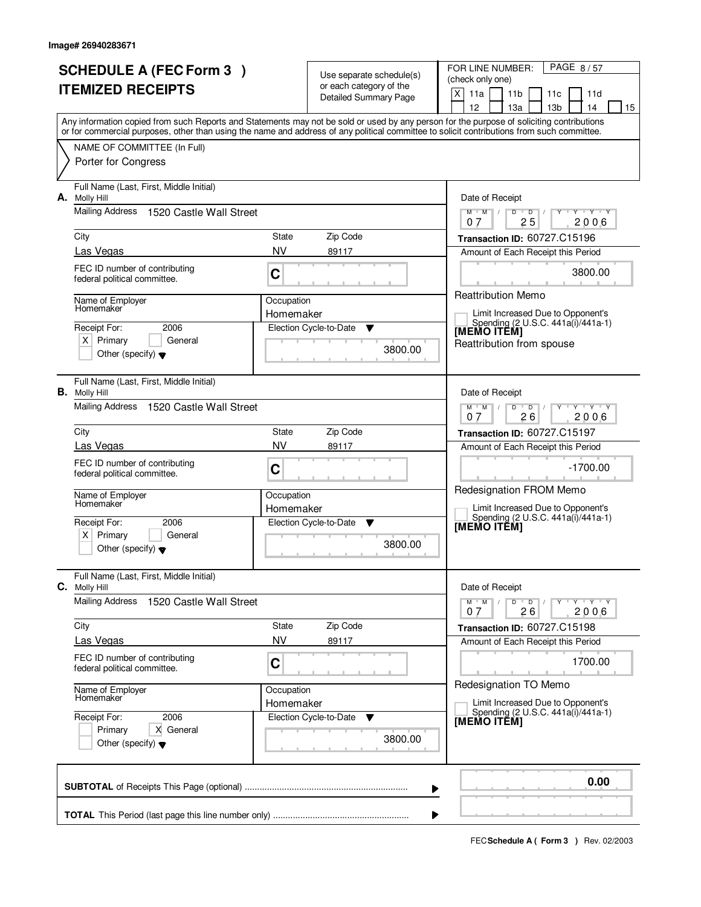| <b>SCHEDULE A (FEC Form 3)</b><br><b>ITEMIZED RECEIPTS</b> |                                                                                      |                                                               | Use separate schedule(s)<br>or each category of the<br>Detailed Summary Page | FOR LINE NUMBER:<br>PAGE 8/57<br>(check only one)<br>X<br>11a<br>11 <sub>b</sub><br>11d<br>11c<br>12<br>13 <sub>b</sub><br>13a<br>14<br>15                                                                                                                                              |
|------------------------------------------------------------|--------------------------------------------------------------------------------------|---------------------------------------------------------------|------------------------------------------------------------------------------|-----------------------------------------------------------------------------------------------------------------------------------------------------------------------------------------------------------------------------------------------------------------------------------------|
|                                                            |                                                                                      |                                                               |                                                                              | Any information copied from such Reports and Statements may not be sold or used by any person for the purpose of soliciting contributions<br>or for commercial purposes, other than using the name and address of any political committee to solicit contributions from such committee. |
|                                                            | NAME OF COMMITTEE (In Full)<br>Porter for Congress                                   |                                                               |                                                                              |                                                                                                                                                                                                                                                                                         |
| А.                                                         | Full Name (Last, First, Middle Initial)<br><b>Molly Hill</b>                         |                                                               |                                                                              | Date of Receipt                                                                                                                                                                                                                                                                         |
|                                                            | <b>Mailing Address</b><br>1520 Castle Wall Street                                    |                                                               |                                                                              | $\overline{D}$<br>$Y - Y - Y$<br>$M$ $M$ /<br>D<br>25<br>2006<br>07                                                                                                                                                                                                                     |
|                                                            | City                                                                                 | State                                                         | Zip Code                                                                     | Transaction ID: 60727.C15196                                                                                                                                                                                                                                                            |
|                                                            | Las Vegas                                                                            | <b>NV</b>                                                     | 89117                                                                        | Amount of Each Receipt this Period                                                                                                                                                                                                                                                      |
|                                                            | FEC ID number of contributing<br>federal political committee.                        | C                                                             |                                                                              | 3800.00                                                                                                                                                                                                                                                                                 |
|                                                            | Name of Employer<br>Homemaker                                                        | Occupation                                                    |                                                                              | <b>Reattribution Memo</b>                                                                                                                                                                                                                                                               |
|                                                            |                                                                                      | Homemaker                                                     |                                                                              | Limit Increased Due to Opponent's<br>Spending (2 U.S.C. 441a(i)/441a-1)                                                                                                                                                                                                                 |
|                                                            | Receipt For:<br>2006<br>$X$ Primary<br>General                                       |                                                               | Election Cycle-to-Date<br>Y                                                  | [MEMO ITÊM]                                                                                                                                                                                                                                                                             |
|                                                            | Other (specify) $\blacktriangledown$                                                 |                                                               | 3800.00                                                                      | Reattribution from spouse                                                                                                                                                                                                                                                               |
|                                                            | Full Name (Last, First, Middle Initial)<br><b>B.</b> Molly Hill                      |                                                               |                                                                              | Date of Receipt                                                                                                                                                                                                                                                                         |
|                                                            | Mailing Address<br>1520 Castle Wall Street                                           |                                                               |                                                                              | $\begin{array}{ccccccccccccc} \mathbb{I} & \mathsf{Y} & \mathbb{I} & \mathsf{Y} & \mathbb{I} & \mathsf{Y} & \mathbb{I} \end{array}$<br>$M$ $M$ /<br>D<br>$\overline{D}$<br>26<br>2006<br>07                                                                                             |
|                                                            | City                                                                                 | State                                                         | Zip Code                                                                     | Transaction ID: 60727.C15197                                                                                                                                                                                                                                                            |
|                                                            | Las Vegas                                                                            | <b>NV</b>                                                     | 89117                                                                        | Amount of Each Receipt this Period                                                                                                                                                                                                                                                      |
|                                                            | FEC ID number of contributing<br>federal political committee.                        | C                                                             |                                                                              | $-1700.00$<br>Redesignation FROM Memo                                                                                                                                                                                                                                                   |
|                                                            | Name of Employer<br>Homemaker                                                        | Occupation<br>Homemaker<br>Election Cycle-to-Date<br><b>V</b> |                                                                              | Limit Increased Due to Opponent's                                                                                                                                                                                                                                                       |
|                                                            | Receipt For:<br>2006                                                                 |                                                               |                                                                              | Spending (2 U.S.C. 441a(i)/441a-1)                                                                                                                                                                                                                                                      |
|                                                            | Primary<br>ΧI<br>General<br>Other (specify) $\blacktriangledown$                     |                                                               | 3800.00                                                                      | <b>IMEMO ITEMI</b>                                                                                                                                                                                                                                                                      |
|                                                            | Full Name (Last, First, Middle Initial)<br>C. Molly Hill                             |                                                               |                                                                              | Date of Receipt                                                                                                                                                                                                                                                                         |
|                                                            | <b>Mailing Address</b><br>1520 Castle Wall Street                                    |                                                               |                                                                              | $M$ $M$ $/$<br>D<br>$\Box$ D $\Box$<br>$Y + Y + Y$<br>26<br>2006<br>07                                                                                                                                                                                                                  |
|                                                            | City                                                                                 | State                                                         | Zip Code                                                                     | <b>Transaction ID: 60727.C15198</b>                                                                                                                                                                                                                                                     |
|                                                            | Las Vegas                                                                            | <b>NV</b>                                                     | 89117                                                                        | Amount of Each Receipt this Period                                                                                                                                                                                                                                                      |
|                                                            | FEC ID number of contributing<br>federal political committee.                        | C                                                             |                                                                              | 1700.00<br>Redesignation TO Memo                                                                                                                                                                                                                                                        |
|                                                            | Name of Employer<br>Homemaker                                                        | Occupation<br>Homemaker                                       |                                                                              | Limit Increased Due to Opponent's                                                                                                                                                                                                                                                       |
|                                                            | 2006<br>Receipt For:<br>Primary<br>X General<br>Other (specify) $\blacktriangledown$ |                                                               | Election Cycle-to-Date<br>v<br>3800.00                                       | Spending (2 U.S.C. 441a(i)/441a-1)<br>[MEMO ITÊM]                                                                                                                                                                                                                                       |
|                                                            |                                                                                      |                                                               | ▶                                                                            | 0.00                                                                                                                                                                                                                                                                                    |
|                                                            |                                                                                      |                                                               |                                                                              |                                                                                                                                                                                                                                                                                         |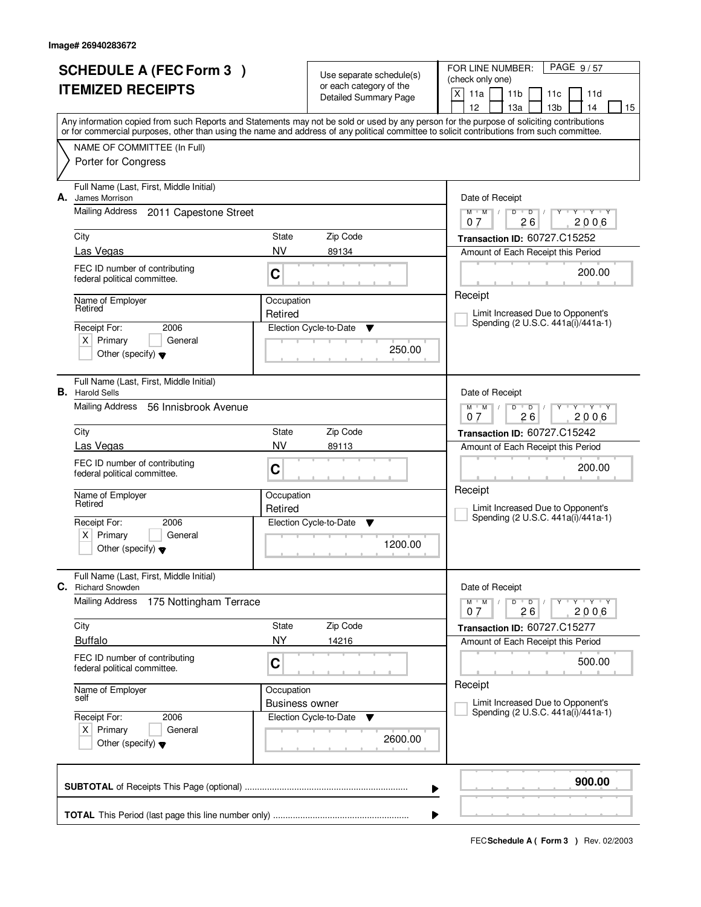|    | <b>SCHEDULE A (FEC Form 3)</b><br><b>ITEMIZED RECEIPTS</b>                                                                                                                                                                                                                              | Use separate schedule(s)<br>or each category of the |                             | FOR LINE NUMBER:<br>PAGE 9/57<br>(check only one)                                     |
|----|-----------------------------------------------------------------------------------------------------------------------------------------------------------------------------------------------------------------------------------------------------------------------------------------|-----------------------------------------------------|-----------------------------|---------------------------------------------------------------------------------------|
|    |                                                                                                                                                                                                                                                                                         | Detailed Summary Page                               |                             | X<br>11a<br>11 <sub>b</sub><br>11d<br>11c<br>12<br>13 <sub>b</sub><br>13a<br>14<br>15 |
|    | Any information copied from such Reports and Statements may not be sold or used by any person for the purpose of soliciting contributions<br>or for commercial purposes, other than using the name and address of any political committee to solicit contributions from such committee. |                                                     |                             |                                                                                       |
|    | NAME OF COMMITTEE (In Full)                                                                                                                                                                                                                                                             |                                                     |                             |                                                                                       |
|    | Porter for Congress                                                                                                                                                                                                                                                                     |                                                     |                             |                                                                                       |
| А. | Full Name (Last, First, Middle Initial)<br>James Morrison                                                                                                                                                                                                                               |                                                     |                             | Date of Receipt                                                                       |
|    | Mailing Address<br>2011 Capestone Street                                                                                                                                                                                                                                                |                                                     |                             | $Y - Y - Y$<br>$M$ $M$ /<br>D<br>$\overline{D}$<br>26<br>2006<br>07                   |
|    | City                                                                                                                                                                                                                                                                                    | State                                               | Zip Code                    | Transaction ID: 60727.C15252                                                          |
|    | Las Vegas                                                                                                                                                                                                                                                                               | <b>NV</b>                                           | 89134                       | Amount of Each Receipt this Period                                                    |
|    | FEC ID number of contributing<br>federal political committee.                                                                                                                                                                                                                           | C                                                   |                             | 200.00                                                                                |
|    | Name of Employer<br>Retired                                                                                                                                                                                                                                                             | Occupation                                          |                             | Receipt                                                                               |
|    | Receipt For:<br>2006                                                                                                                                                                                                                                                                    | Retired                                             | Election Cycle-to-Date<br>Y | Limit Increased Due to Opponent's<br>Spending (2 U.S.C. 441a(i)/441a-1)               |
|    | $X$ Primary<br>General                                                                                                                                                                                                                                                                  |                                                     |                             |                                                                                       |
|    | Other (specify) $\blacktriangledown$                                                                                                                                                                                                                                                    |                                                     | 250.00                      |                                                                                       |
|    | Full Name (Last, First, Middle Initial)<br><b>B.</b> Harold Sells                                                                                                                                                                                                                       |                                                     |                             | Date of Receipt                                                                       |
|    | Mailing Address<br>56 Innisbrook Avenue                                                                                                                                                                                                                                                 |                                                     |                             | $Y$ $Y$ $Y$<br>$M$ $M$ /<br>D<br>$\overline{D}$<br>26<br>2006<br>07                   |
|    | City                                                                                                                                                                                                                                                                                    | State                                               | Zip Code                    | Transaction ID: 60727.C15242                                                          |
|    | Las Vegas                                                                                                                                                                                                                                                                               | <b>NV</b>                                           | 89113                       | Amount of Each Receipt this Period                                                    |
|    | FEC ID number of contributing<br>federal political committee.                                                                                                                                                                                                                           | C                                                   |                             | 200.00                                                                                |
|    | Name of Employer<br>Retired                                                                                                                                                                                                                                                             | Occupation                                          |                             | Receipt                                                                               |
|    | 2006                                                                                                                                                                                                                                                                                    | Retired                                             |                             | Limit Increased Due to Opponent's<br>Spending (2 U.S.C. 441a(i)/441a-1)               |
|    | Receipt For:<br>Primary<br>General<br>ΧI                                                                                                                                                                                                                                                |                                                     | Election Cycle-to-Date<br>v |                                                                                       |
|    | Other (specify) $\blacktriangledown$                                                                                                                                                                                                                                                    |                                                     | 1200.00                     |                                                                                       |
| С. | Full Name (Last, First, Middle Initial)<br><b>Richard Snowden</b>                                                                                                                                                                                                                       |                                                     |                             | Date of Receipt                                                                       |
|    | <b>Mailing Address</b><br>175 Nottingham Terrace                                                                                                                                                                                                                                        |                                                     |                             | $M$ $M$ $/$<br>D<br>$\overline{D}$<br>$Y + Y + Y$<br>2006<br>26<br>07                 |
|    | City                                                                                                                                                                                                                                                                                    | State                                               | Zip Code                    | Transaction ID: 60727.C15277                                                          |
|    | <b>Buffalo</b>                                                                                                                                                                                                                                                                          | <b>NY</b>                                           | 14216                       | Amount of Each Receipt this Period                                                    |
|    | FEC ID number of contributing<br>federal political committee.                                                                                                                                                                                                                           | C                                                   |                             | 500.00                                                                                |
|    | Name of Employer<br>self                                                                                                                                                                                                                                                                | Occupation                                          |                             | Receipt                                                                               |
|    |                                                                                                                                                                                                                                                                                         | <b>Business owner</b>                               |                             | Limit Increased Due to Opponent's<br>Spending (2 U.S.C. 441a(i)/441a-1)               |
|    | Receipt For:<br>2006<br>$X$ Primary<br>General                                                                                                                                                                                                                                          |                                                     | Election Cycle-to-Date<br>v |                                                                                       |
|    | Other (specify) $\blacktriangledown$                                                                                                                                                                                                                                                    |                                                     | 2600.00                     |                                                                                       |
|    |                                                                                                                                                                                                                                                                                         |                                                     |                             | 900.00<br>▶                                                                           |
|    |                                                                                                                                                                                                                                                                                         |                                                     |                             |                                                                                       |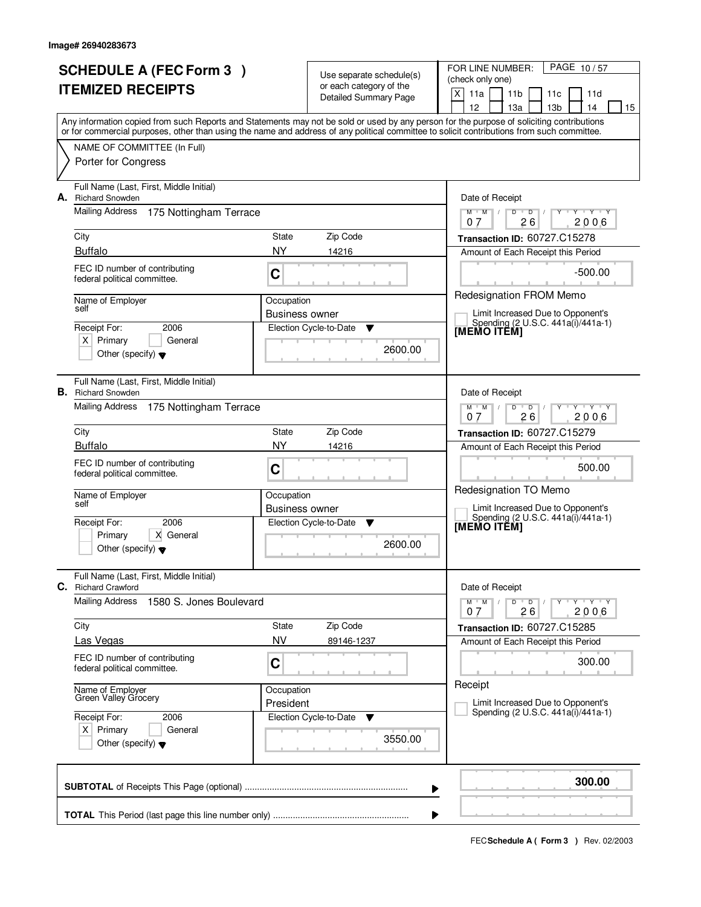| <b>SCHEDULE A (FEC Form 3)</b><br><b>ITEMIZED RECEIPTS</b> |                                                                                                                                            | Use separate schedule(s)<br>or each category of the<br>Detailed Summary Page |                                               | PAGE 10/57<br>FOR LINE NUMBER:<br>(check only one)<br>X<br>11 <sub>b</sub><br>11a<br>11d<br>11c                                                                                       |
|------------------------------------------------------------|--------------------------------------------------------------------------------------------------------------------------------------------|------------------------------------------------------------------------------|-----------------------------------------------|---------------------------------------------------------------------------------------------------------------------------------------------------------------------------------------|
|                                                            | or for commercial purposes, other than using the name and address of any political committee to solicit contributions from such committee. |                                                                              |                                               | 12<br>13 <sub>b</sub><br>13a<br>14<br>15<br>Any information copied from such Reports and Statements may not be sold or used by any person for the purpose of soliciting contributions |
|                                                            | NAME OF COMMITTEE (In Full)<br>Porter for Congress                                                                                         |                                                                              |                                               |                                                                                                                                                                                       |
| А.                                                         | Full Name (Last, First, Middle Initial)<br><b>Richard Snowden</b><br><b>Mailing Address</b><br>175 Nottingham Terrace                      |                                                                              |                                               | Date of Receipt<br>$D$ $D$<br>Y Y Y Y<br>$M$ $M$ /                                                                                                                                    |
|                                                            | City<br><b>Buffalo</b>                                                                                                                     | State<br><b>NY</b>                                                           | Zip Code<br>14216                             | 2006<br>07<br>26<br>Transaction ID: 60727.C15278                                                                                                                                      |
|                                                            | FEC ID number of contributing<br>federal political committee.                                                                              | C                                                                            |                                               | Amount of Each Receipt this Period<br>$-500.00$                                                                                                                                       |
|                                                            | Name of Employer<br>self<br>Receipt For:<br>2006<br>$X$ Primary<br>General<br>Other (specify) $\blacktriangledown$                         | Occupation<br><b>Business owner</b>                                          | Election Cycle-to-Date<br>▼<br>2600.00        | <b>Redesignation FROM Memo</b><br>Limit Increased Due to Opponent's<br>Spending (2 U.S.C. 441a(i)/441a-1)<br>[MEMO ITEM]                                                              |
|                                                            | Full Name (Last, First, Middle Initial)<br><b>B.</b> Richard Snowden<br>Mailing Address<br>175 Nottingham Terrace                          |                                                                              |                                               | Date of Receipt<br>$\mathsf{Y} \dashv \mathsf{Y} \dashv \mathsf{Y}$<br>$M$ $M$ /<br>D<br>$\overline{D}$<br>2006<br>07<br>26                                                           |
|                                                            | City<br><b>Buffalo</b>                                                                                                                     | State<br>NY                                                                  | Zip Code<br>14216                             | Transaction ID: 60727.C15279<br>Amount of Each Receipt this Period                                                                                                                    |
|                                                            | FEC ID number of contributing<br>federal political committee.<br>Name of Employer<br>self                                                  | $\mathbf C$<br>Occupation                                                    |                                               | 500.00<br>Redesignation TO Memo                                                                                                                                                       |
|                                                            | Receipt For:<br>2006<br>Primary<br>X General<br>Other (specify) $\blacktriangledown$                                                       | <b>Business owner</b>                                                        | Election Cycle-to-Date<br><b>V</b><br>2600.00 | Limit Increased Due to Opponent's<br>Spending (2 U.S.C. 441a(i)/441a-1)<br>[MEMO ITEM]                                                                                                |
| C.                                                         | Full Name (Last, First, Middle Initial)<br><b>Richard Crawford</b><br><b>Mailing Address</b><br>1580 S. Jones Boulevard                    |                                                                              |                                               | Date of Receipt<br>$M$ $M$ /<br>$D$ $D$ $/$<br>$Y + Y + Y$                                                                                                                            |
|                                                            | City                                                                                                                                       | State                                                                        | Zip Code                                      | 2006<br>07<br>26<br>Transaction ID: 60727.C15285                                                                                                                                      |
|                                                            | Las Vegas<br>FEC ID number of contributing<br>federal political committee.                                                                 | <b>NV</b><br>C                                                               | 89146-1237                                    | Amount of Each Receipt this Period<br>300.00                                                                                                                                          |
|                                                            | Name of Employer<br>Green Valley Grocery<br>Receipt For:<br>2006                                                                           | Occupation<br>President                                                      | Election Cycle-to-Date<br>v                   | Receipt<br>Limit Increased Due to Opponent's<br>Spending (2 U.S.C. 441a(i)/441a-1)                                                                                                    |
|                                                            | $X$ Primary<br>General<br>Other (specify) $\blacktriangledown$                                                                             |                                                                              | 3550.00                                       |                                                                                                                                                                                       |
|                                                            |                                                                                                                                            |                                                                              |                                               | 300.00<br>▶                                                                                                                                                                           |
|                                                            |                                                                                                                                            |                                                                              |                                               | ▶                                                                                                                                                                                     |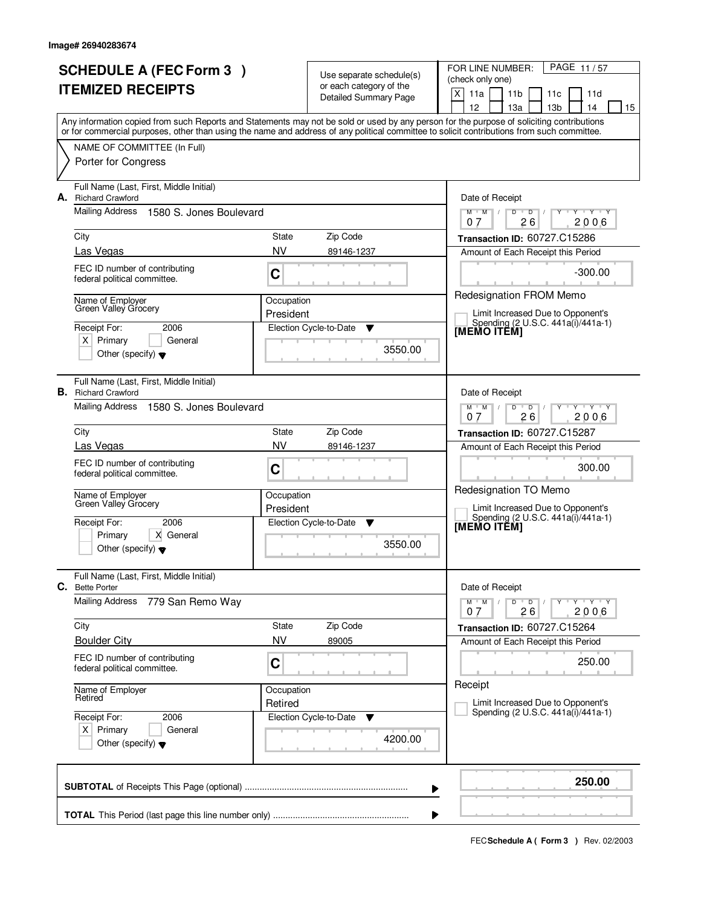| <b>SCHEDULE A (FEC Form 3)</b><br><b>ITEMIZED RECEIPTS</b> |                                                                                                                                            |            | Use separate schedule(s)<br>or each category of the<br>Detailed Summary Page | PAGE 11/57<br>FOR LINE NUMBER:<br>(check only one)<br>X<br>11a<br>11 <sub>b</sub><br>11d<br>11c<br>12<br>13a<br>13 <sub>b</sub><br>14<br>15 |
|------------------------------------------------------------|--------------------------------------------------------------------------------------------------------------------------------------------|------------|------------------------------------------------------------------------------|---------------------------------------------------------------------------------------------------------------------------------------------|
|                                                            | or for commercial purposes, other than using the name and address of any political committee to solicit contributions from such committee. |            |                                                                              | Any information copied from such Reports and Statements may not be sold or used by any person for the purpose of soliciting contributions   |
|                                                            | NAME OF COMMITTEE (In Full)<br>Porter for Congress                                                                                         |            |                                                                              |                                                                                                                                             |
| А.                                                         | Full Name (Last, First, Middle Initial)<br><b>Richard Crawford</b>                                                                         |            |                                                                              | Date of Receipt                                                                                                                             |
|                                                            | Mailing Address<br>1580 S. Jones Boulevard                                                                                                 |            |                                                                              | $Y + Y + Y$<br>$M$ $M$ $/$<br>$D$ $D$ $I$<br>$Y$ <sup>U</sup><br>26<br>2006<br>07                                                           |
|                                                            | City                                                                                                                                       | State      | Zip Code                                                                     | Transaction ID: 60727.C15286                                                                                                                |
|                                                            | Las Vegas                                                                                                                                  | <b>NV</b>  | 89146-1237                                                                   | Amount of Each Receipt this Period                                                                                                          |
|                                                            | FEC ID number of contributing<br>federal political committee.                                                                              | C          |                                                                              | $-300.00$                                                                                                                                   |
|                                                            | Name of Employer<br>Green Valley Grocery                                                                                                   | Occupation |                                                                              | Redesignation FROM Memo                                                                                                                     |
|                                                            | Receipt For:<br>2006                                                                                                                       | President  | Election Cycle-to-Date<br>▼                                                  | Limit Increased Due to Opponent's<br>Spending (2 U.S.C. 441a(i)/441a-1)                                                                     |
|                                                            | $X$ Primary<br>General                                                                                                                     |            |                                                                              | [MEMO ITĔM]                                                                                                                                 |
|                                                            | Other (specify) $\blacktriangledown$                                                                                                       |            | 3550.00                                                                      |                                                                                                                                             |
|                                                            | Full Name (Last, First, Middle Initial)<br><b>B.</b> Richard Crawford                                                                      |            |                                                                              | Date of Receipt                                                                                                                             |
|                                                            | Mailing Address<br>1580 S. Jones Boulevard                                                                                                 |            |                                                                              | $Y \vdash Y \vdash Y$<br>$M$ $M$ /<br>D<br>$\overline{D}$<br>26<br>2006<br>0.7                                                              |
|                                                            | City                                                                                                                                       | State      | Zip Code                                                                     | <b>Transaction ID: 60727.C15287</b>                                                                                                         |
|                                                            | Las Vegas                                                                                                                                  | <b>NV</b>  | 89146-1237                                                                   | Amount of Each Receipt this Period                                                                                                          |
|                                                            | FEC ID number of contributing<br>federal political committee.                                                                              | C          |                                                                              | 300.00<br>Redesignation TO Memo                                                                                                             |
|                                                            | Name of Employer<br>Green Valley Grocery                                                                                                   | Occupation |                                                                              | Limit Increased Due to Opponent's                                                                                                           |
|                                                            | 2006<br>Receipt For:                                                                                                                       | President  | Election Cycle-to-Date<br>- V                                                | Spending (2 U.S.C. 441a(i)/441a-1)                                                                                                          |
|                                                            | X General<br>Primary<br>Other (specify) $\blacktriangledown$                                                                               |            | 3550.00                                                                      | [MEMO ITEM]                                                                                                                                 |
| С.                                                         | Full Name (Last, First, Middle Initial)<br><b>Bette Porter</b>                                                                             |            |                                                                              | Date of Receipt                                                                                                                             |
|                                                            | Mailing Address<br>779 San Remo Way                                                                                                        |            |                                                                              | D<br>$M$ $M$ /<br>$\overline{D}$<br>$Y - Y - Y$<br>26<br>2006<br>07                                                                         |
|                                                            | City                                                                                                                                       | State      | Zip Code                                                                     | Transaction ID: 60727.C15264                                                                                                                |
|                                                            | <b>Boulder City</b>                                                                                                                        | <b>NV</b>  | 89005                                                                        | Amount of Each Receipt this Period                                                                                                          |
|                                                            | FEC ID number of contributing<br>federal political committee.                                                                              | C          |                                                                              | 250.00                                                                                                                                      |
|                                                            | Name of Employer<br>Retired                                                                                                                | Occupation |                                                                              | Receipt<br>Limit Increased Due to Opponent's                                                                                                |
|                                                            | Receipt For:<br>2006                                                                                                                       | Retired    | Election Cycle-to-Date<br>v                                                  | Spending (2 U.S.C. 441a(i)/441a-1)                                                                                                          |
|                                                            | $X$ Primary<br>General<br>Other (specify) $\blacktriangledown$                                                                             |            | 4200.00                                                                      |                                                                                                                                             |
|                                                            |                                                                                                                                            |            | ▶                                                                            | 250.00                                                                                                                                      |
|                                                            |                                                                                                                                            |            |                                                                              |                                                                                                                                             |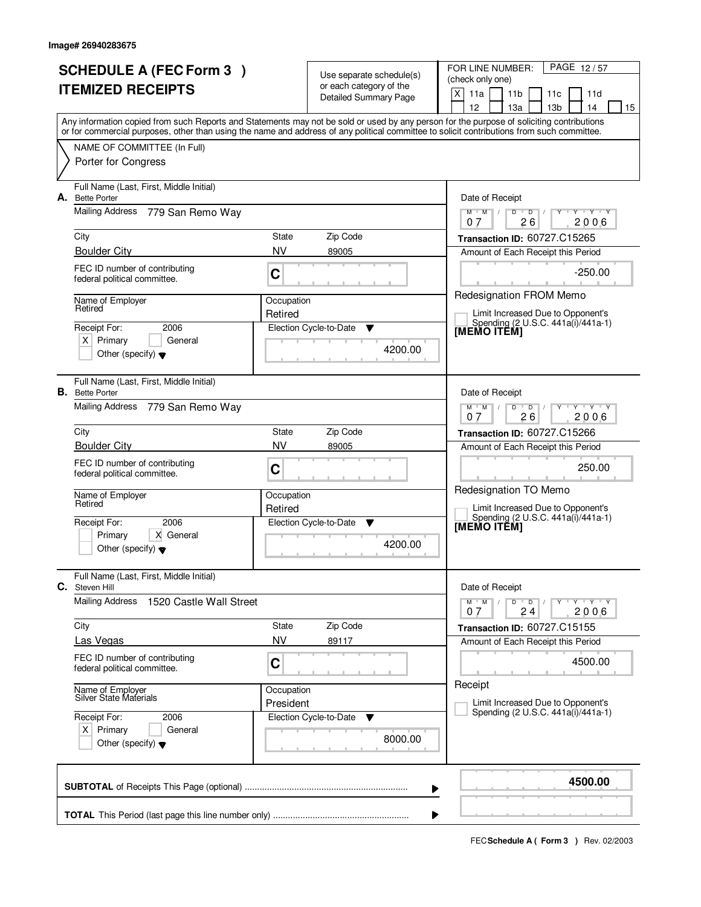|    | <b>SCHEDULE A (FEC Form 3)</b><br><b>ITEMIZED RECEIPTS</b>                                                                                                                |                         | Use separate schedule(s)<br>or each category of the<br>Detailed Summary Page | PAGE 12/57<br>FOR LINE NUMBER:<br>(check only one)<br>X<br>11a<br>11 <sub>b</sub><br>11c<br>11d<br>12<br>13a<br>13 <sub>b</sub><br>14<br>15 |
|----|---------------------------------------------------------------------------------------------------------------------------------------------------------------------------|-------------------------|------------------------------------------------------------------------------|---------------------------------------------------------------------------------------------------------------------------------------------|
|    | or for commercial purposes, other than using the name and address of any political committee to solicit contributions from such committee.<br>NAME OF COMMITTEE (In Full) |                         |                                                                              | Any information copied from such Reports and Statements may not be sold or used by any person for the purpose of soliciting contributions   |
|    | Porter for Congress                                                                                                                                                       |                         |                                                                              |                                                                                                                                             |
| А. | Full Name (Last, First, Middle Initial)<br><b>Bette Porter</b>                                                                                                            |                         |                                                                              | Date of Receipt                                                                                                                             |
|    | Mailing Address<br>779 San Remo Way<br>City                                                                                                                               | State                   | Zip Code                                                                     | $Y + Y + Y$<br>$M$ $M$<br>$D$ $D$ $1$<br>$Y$ <sup>U</sup><br>26<br>2006<br>07<br>Transaction ID: 60727.C15265                               |
|    | <b>Boulder City</b>                                                                                                                                                       | <b>NV</b>               | 89005                                                                        | Amount of Each Receipt this Period                                                                                                          |
|    | FEC ID number of contributing<br>federal political committee.                                                                                                             | C                       |                                                                              | $-250.00$                                                                                                                                   |
|    | Name of Employer<br>Retired                                                                                                                                               | Occupation<br>Retired   |                                                                              | Redesignation FROM Memo<br>Limit Increased Due to Opponent's                                                                                |
|    | Receipt For:<br>2006<br>$X$ Primary<br>General<br>Other (specify) $\blacktriangledown$                                                                                    |                         | Election Cycle-to-Date<br>▼<br>4200.00                                       | Spending (2 U.S.C. 441a(i)/441a-1)<br>[MEMO ITÊM]                                                                                           |
|    | Full Name (Last, First, Middle Initial)<br><b>B.</b> Bette Porter<br>Mailing Address 779 San Remo Way                                                                     |                         |                                                                              | Date of Receipt<br>$Y - Y - Y$<br>$M$ $M$ /<br>D<br>$\overline{D}$                                                                          |
|    | City                                                                                                                                                                      | <b>State</b>            | Zip Code                                                                     | 26<br>2006<br>0.7<br><b>Transaction ID: 60727.C15266</b>                                                                                    |
|    | <b>Boulder City</b>                                                                                                                                                       | <b>NV</b>               | 89005                                                                        | Amount of Each Receipt this Period                                                                                                          |
|    | FEC ID number of contributing<br>federal political committee.                                                                                                             | C                       |                                                                              | 250.00                                                                                                                                      |
|    | Name of Employer<br>Retired                                                                                                                                               | Occupation<br>Retired   |                                                                              | Redesignation TO Memo<br>Limit Increased Due to Opponent's<br>Spending (2 U.S.C. 441a(i)/441a-1)                                            |
|    | 2006<br>Receipt For:<br>X General<br>Primary<br>Other (specify) $\blacktriangledown$                                                                                      |                         | Election Cycle-to-Date<br>v<br>4200.00                                       | [MEMO ITEM]                                                                                                                                 |
| С. | Full Name (Last, First, Middle Initial)<br>Steven Hill                                                                                                                    |                         |                                                                              | Date of Receipt                                                                                                                             |
|    | <b>Mailing Address</b><br>1520 Castle Wall Street                                                                                                                         |                         |                                                                              | $M$ $M$ /<br>$D$ $D$<br>$Y + Y + Y$<br>2006<br>07<br>24                                                                                     |
|    | City<br>Las Vegas                                                                                                                                                         | State<br><b>NV</b>      | Zip Code<br>89117                                                            | Transaction ID: 60727.C15155                                                                                                                |
|    | FEC ID number of contributing<br>federal political committee.                                                                                                             | C                       |                                                                              | Amount of Each Receipt this Period<br>4500.00                                                                                               |
|    | Name of Employer<br>Silver State Materials                                                                                                                                | Occupation<br>President |                                                                              | Receipt<br>Limit Increased Due to Opponent's                                                                                                |
|    | Receipt For:<br>2006<br>$X$ Primary<br>General<br>Other (specify) $\blacktriangledown$                                                                                    |                         | Election Cycle-to-Date<br>v<br>8000.00                                       | Spending (2 U.S.C. 441a(i)/441a-1)                                                                                                          |
|    |                                                                                                                                                                           |                         |                                                                              | 4500.00<br>▶                                                                                                                                |
|    |                                                                                                                                                                           |                         |                                                                              | ▶                                                                                                                                           |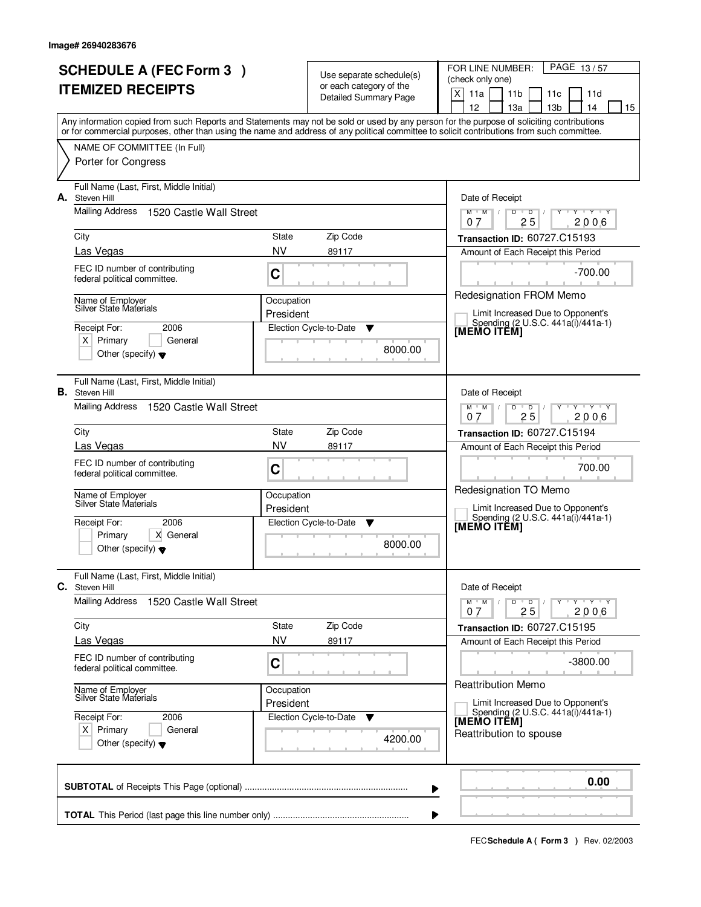| <b>SCHEDULE A (FEC Form 3)</b><br><b>ITEMIZED RECEIPTS</b> |                                                                  |                             | Use separate schedule(s)<br>or each category of the | PAGE 13/57<br>FOR LINE NUMBER:<br>(check only one)                                                                                                                                                                                                                                      |  |  |
|------------------------------------------------------------|------------------------------------------------------------------|-----------------------------|-----------------------------------------------------|-----------------------------------------------------------------------------------------------------------------------------------------------------------------------------------------------------------------------------------------------------------------------------------------|--|--|
|                                                            |                                                                  |                             | <b>Detailed Summary Page</b>                        | X<br>11a<br>11 <sub>b</sub><br>11d<br>11c<br>12<br>13a<br>13 <sub>b</sub><br>14<br>15                                                                                                                                                                                                   |  |  |
|                                                            |                                                                  |                             |                                                     | Any information copied from such Reports and Statements may not be sold or used by any person for the purpose of soliciting contributions<br>or for commercial purposes, other than using the name and address of any political committee to solicit contributions from such committee. |  |  |
|                                                            | NAME OF COMMITTEE (In Full)                                      |                             |                                                     |                                                                                                                                                                                                                                                                                         |  |  |
|                                                            | Porter for Congress                                              |                             |                                                     |                                                                                                                                                                                                                                                                                         |  |  |
| А.                                                         | Full Name (Last, First, Middle Initial)<br>Steven Hill           |                             |                                                     | Date of Receipt                                                                                                                                                                                                                                                                         |  |  |
|                                                            | <b>Mailing Address</b><br>1520 Castle Wall Street                |                             |                                                     | $M$ $M$ /<br>$D$ $D$<br>Y Y Y Y<br>Y<br>$\sqrt{ }$<br>25<br>2006<br>07                                                                                                                                                                                                                  |  |  |
|                                                            | City                                                             | State                       | Zip Code                                            | Transaction ID: 60727.C15193                                                                                                                                                                                                                                                            |  |  |
|                                                            | Las Vegas                                                        | <b>NV</b>                   | 89117                                               | Amount of Each Receipt this Period                                                                                                                                                                                                                                                      |  |  |
|                                                            | FEC ID number of contributing<br>federal political committee.    | C                           |                                                     | $-700.00$                                                                                                                                                                                                                                                                               |  |  |
|                                                            | Name of Employer<br><b>Silver State Materials</b>                | Occupation                  |                                                     | Redesignation FROM Memo                                                                                                                                                                                                                                                                 |  |  |
|                                                            | Receipt For:<br>2006                                             | President                   | Election Cycle-to-Date<br>▼                         | Limit Increased Due to Opponent's<br>Spending (2 U.S.C. 441a(i)/441a-1)<br>[MEMO ITEM]                                                                                                                                                                                                  |  |  |
|                                                            | $X$ Primary<br>General                                           |                             | 8000.00                                             |                                                                                                                                                                                                                                                                                         |  |  |
|                                                            | Other (specify) $\blacktriangledown$                             |                             |                                                     |                                                                                                                                                                                                                                                                                         |  |  |
|                                                            | Full Name (Last, First, Middle Initial)<br><b>B.</b> Steven Hill |                             |                                                     | Date of Receipt                                                                                                                                                                                                                                                                         |  |  |
|                                                            | Mailing Address<br>1520 Castle Wall Street                       |                             |                                                     | $Y \vdash Y \vdash Y$<br>$M$ $M$ /<br>D<br>$\overline{D}$<br>25<br>2006<br>0.7                                                                                                                                                                                                          |  |  |
|                                                            | City                                                             | State                       | Zip Code                                            | <b>Transaction ID: 60727.C15194</b>                                                                                                                                                                                                                                                     |  |  |
|                                                            | Las Vegas                                                        | <b>NV</b>                   | 89117                                               | Amount of Each Receipt this Period                                                                                                                                                                                                                                                      |  |  |
|                                                            | FEC ID number of contributing<br>federal political committee.    | C                           |                                                     | 700.00<br>Redesignation TO Memo                                                                                                                                                                                                                                                         |  |  |
|                                                            | Name of Employer<br>Silver State Materials                       | Occupation<br>President     |                                                     | Limit Increased Due to Opponent's                                                                                                                                                                                                                                                       |  |  |
|                                                            | Receipt For:<br>2006                                             | Election Cycle-to-Date<br>▼ |                                                     | Spending (2 U.S.C. 441a(i)/441a-1)<br>[MEMO ITEM]                                                                                                                                                                                                                                       |  |  |
|                                                            | X General<br>Primary                                             |                             | 8000.00                                             |                                                                                                                                                                                                                                                                                         |  |  |
|                                                            | Other (specify) $\blacktriangledown$                             |                             |                                                     |                                                                                                                                                                                                                                                                                         |  |  |
| C.                                                         | Full Name (Last, First, Middle Initial)<br>Steven Hill           |                             |                                                     | Date of Receipt                                                                                                                                                                                                                                                                         |  |  |
|                                                            | <b>Mailing Address</b><br>1520 Castle Wall Street                |                             |                                                     | $M$ $M$ $/$<br>$D$ $D$<br>$Y + Y + Y$<br>25<br>2006<br>07                                                                                                                                                                                                                               |  |  |
|                                                            | City                                                             | State                       | Zip Code                                            | Transaction ID: 60727.C15195                                                                                                                                                                                                                                                            |  |  |
|                                                            | Las Vegas                                                        | NV                          | 89117                                               | Amount of Each Receipt this Period                                                                                                                                                                                                                                                      |  |  |
|                                                            | FEC ID number of contributing<br>federal political committee.    | C                           |                                                     | $-3800.00$<br><b>Reattribution Memo</b>                                                                                                                                                                                                                                                 |  |  |
|                                                            | Name of Employer<br>Silver State Materials                       | Occupation<br>President     |                                                     | Limit Increased Due to Opponent's                                                                                                                                                                                                                                                       |  |  |
|                                                            | Receipt For:<br>2006                                             |                             | Election Cycle-to-Date<br>v                         | Spending (2 U.S.C. 441a(i)/441a-1)<br>[MEMO ITÊM]                                                                                                                                                                                                                                       |  |  |
|                                                            | $X$ Primary<br>General<br>Other (specify) $\blacktriangledown$   |                             | 4200.00                                             | Reattribution to spouse                                                                                                                                                                                                                                                                 |  |  |
|                                                            |                                                                  |                             |                                                     |                                                                                                                                                                                                                                                                                         |  |  |
|                                                            |                                                                  |                             |                                                     | 0.00<br>▶                                                                                                                                                                                                                                                                               |  |  |
|                                                            |                                                                  |                             |                                                     |                                                                                                                                                                                                                                                                                         |  |  |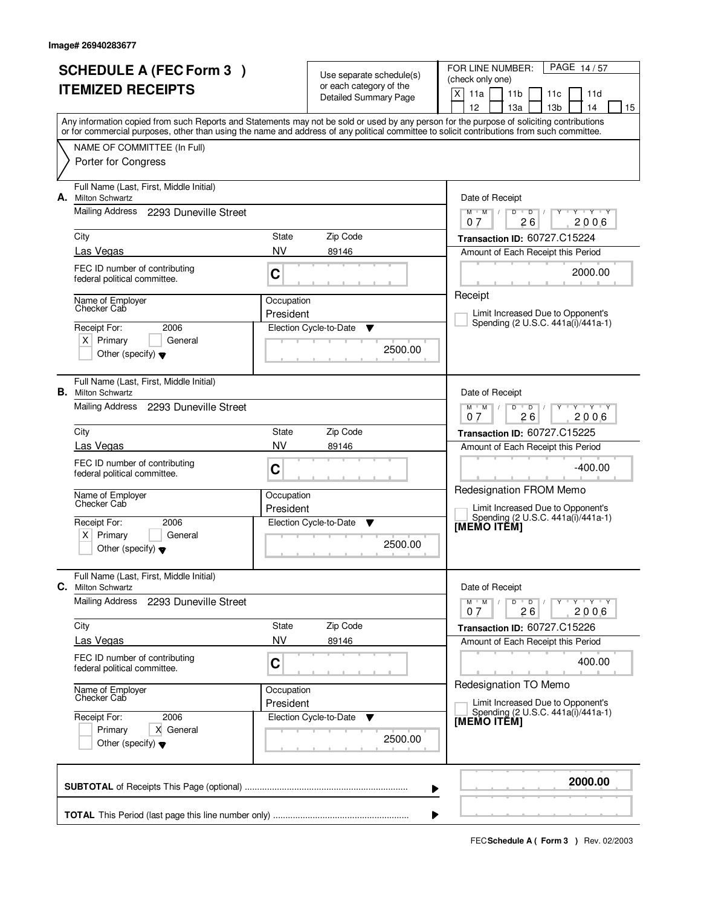| <b>SCHEDULE A (FEC Form 3)</b><br><b>ITEMIZED RECEIPTS</b> |                                                                                                                                                                           |                         | Use separate schedule(s)<br>or each category of the<br><b>Detailed Summary Page</b> | PAGE 14/57<br>FOR LINE NUMBER:<br>(check only one)<br>X<br>11a<br>11 <sub>b</sub><br>11d<br>11c<br>12<br>13a<br>13 <sub>b</sub><br>14<br>15 |  |  |  |
|------------------------------------------------------------|---------------------------------------------------------------------------------------------------------------------------------------------------------------------------|-------------------------|-------------------------------------------------------------------------------------|---------------------------------------------------------------------------------------------------------------------------------------------|--|--|--|
|                                                            | or for commercial purposes, other than using the name and address of any political committee to solicit contributions from such committee.<br>NAME OF COMMITTEE (In Full) |                         |                                                                                     | Any information copied from such Reports and Statements may not be sold or used by any person for the purpose of soliciting contributions   |  |  |  |
| А.                                                         | Porter for Congress<br>Full Name (Last, First, Middle Initial)<br><b>Milton Schwartz</b>                                                                                  |                         |                                                                                     | Date of Receipt                                                                                                                             |  |  |  |
|                                                            | Mailing Address 2293 Duneville Street                                                                                                                                     |                         |                                                                                     | $Y$ $Y$ $Y$<br>$M$ $M$ $/$<br>$D$ $D$ $1$<br>$Y$ <sup>U</sup><br>26<br>2006<br>07                                                           |  |  |  |
|                                                            | City<br>Las Vegas                                                                                                                                                         | State<br><b>NV</b>      | Zip Code<br>89146                                                                   | Transaction ID: 60727.C15224<br>Amount of Each Receipt this Period                                                                          |  |  |  |
|                                                            | FEC ID number of contributing<br>federal political committee.                                                                                                             | C                       |                                                                                     | 2000.00                                                                                                                                     |  |  |  |
|                                                            | Name of Employer<br>Checker Cab<br>Receipt For:<br>2006<br>$X$ Primary<br>General<br>Other (specify) $\blacktriangledown$                                                 | Occupation<br>President | Election Cycle-to-Date<br>▼<br>2500.00                                              | Receipt<br>Limit Increased Due to Opponent's<br>Spending (2 U.S.C. 441a(i)/441a-1)                                                          |  |  |  |
|                                                            | Full Name (Last, First, Middle Initial)<br><b>B.</b> Milton Schwartz<br>Mailing Address 2293 Duneville Street                                                             |                         |                                                                                     | Date of Receipt<br>$Y \vdash Y \vdash Y$<br>$M$ $M$ /<br>D<br>$\overline{D}$                                                                |  |  |  |
|                                                            | City                                                                                                                                                                      | State                   | Zip Code                                                                            | 26<br>2006<br>0.7<br><b>Transaction ID: 60727.C15225</b>                                                                                    |  |  |  |
|                                                            | Las Vegas<br>FEC ID number of contributing<br>federal political committee.                                                                                                | <b>NV</b><br>C          | 89146                                                                               | Amount of Each Receipt this Period<br>$-400.00$                                                                                             |  |  |  |
|                                                            | Name of Employer<br>Checker Cab                                                                                                                                           | Occupation<br>President |                                                                                     | Redesignation FROM Memo<br>Limit Increased Due to Opponent's                                                                                |  |  |  |
|                                                            | Receipt For:<br>2006<br>$\times$<br>Primary<br>General<br>Other (specify) $\blacktriangledown$                                                                            |                         | Election Cycle-to-Date<br>▼<br>2500.00                                              | Spending (2 U.S.C. 441a(i)/441a-1)<br>[MEMO ITEM]                                                                                           |  |  |  |
| C.                                                         | Full Name (Last, First, Middle Initial)<br><b>Milton Schwartz</b>                                                                                                         |                         |                                                                                     | Date of Receipt                                                                                                                             |  |  |  |
|                                                            | <b>Mailing Address</b><br>2293 Duneville Street                                                                                                                           |                         |                                                                                     | $D$ $D$<br>$M$ $M$ $/$<br>$Y \dashv Y \dashv Y$<br>26<br>2006<br>07                                                                         |  |  |  |
|                                                            | City                                                                                                                                                                      | State                   | Zip Code                                                                            | Transaction ID: 60727.C15226                                                                                                                |  |  |  |
|                                                            | Las Vegas<br>FEC ID number of contributing<br>federal political committee.                                                                                                | <b>NV</b><br>C          | 89146                                                                               | Amount of Each Receipt this Period<br>400.00                                                                                                |  |  |  |
|                                                            | Name of Employer<br>Checker Cab                                                                                                                                           | Occupation<br>President |                                                                                     | Redesignation TO Memo<br>Limit Increased Due to Opponent's                                                                                  |  |  |  |
|                                                            | Receipt For:<br>2006<br>X General<br>Primary<br>Other (specify) $\blacktriangledown$                                                                                      |                         | Election Cycle-to-Date<br>v<br>2500.00                                              | Spending (2 U.S.C. 441a(i)/441a-1)<br>[MEMO ITÊM]                                                                                           |  |  |  |
|                                                            |                                                                                                                                                                           |                         |                                                                                     | 2000.00<br>▶                                                                                                                                |  |  |  |
|                                                            |                                                                                                                                                                           |                         |                                                                                     |                                                                                                                                             |  |  |  |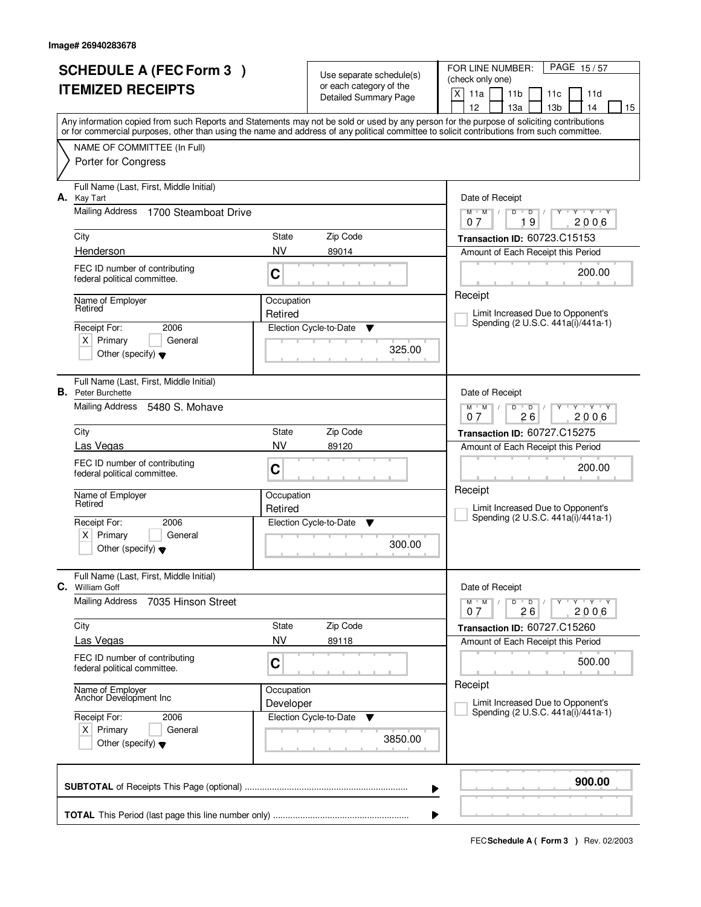|                          | <b>SCHEDULE A (FEC Form 3)</b>                                                                                                                                                                                                                                                          |                    | Use separate schedule(s)    | FOR LINE NUMBER:<br>PAGE 15/57                                            |  |  |  |
|--------------------------|-----------------------------------------------------------------------------------------------------------------------------------------------------------------------------------------------------------------------------------------------------------------------------------------|--------------------|-----------------------------|---------------------------------------------------------------------------|--|--|--|
| <b>ITEMIZED RECEIPTS</b> |                                                                                                                                                                                                                                                                                         |                    | or each category of the     | (check only one)<br>X<br>11a<br>11 <sub>b</sub><br>11d<br>11c             |  |  |  |
|                          |                                                                                                                                                                                                                                                                                         |                    | Detailed Summary Page       | 12<br>13 <sub>b</sub><br>13a<br>14<br>15                                  |  |  |  |
|                          | Any information copied from such Reports and Statements may not be sold or used by any person for the purpose of soliciting contributions<br>or for commercial purposes, other than using the name and address of any political committee to solicit contributions from such committee. |                    |                             |                                                                           |  |  |  |
|                          | NAME OF COMMITTEE (In Full)                                                                                                                                                                                                                                                             |                    |                             |                                                                           |  |  |  |
|                          | Porter for Congress                                                                                                                                                                                                                                                                     |                    |                             |                                                                           |  |  |  |
|                          |                                                                                                                                                                                                                                                                                         |                    |                             |                                                                           |  |  |  |
| А.                       | Full Name (Last, First, Middle Initial)<br>Kay Tart                                                                                                                                                                                                                                     |                    |                             | Date of Receipt                                                           |  |  |  |
|                          | <b>Mailing Address</b><br>1700 Steamboat Drive                                                                                                                                                                                                                                          |                    |                             | $Y + Y + Y$<br>$M$ $M$ /<br>D<br>$\Box$<br>19                             |  |  |  |
|                          | City                                                                                                                                                                                                                                                                                    | State              | Zip Code                    | 2006<br>07<br>Transaction ID: 60723.C15153                                |  |  |  |
|                          | Henderson                                                                                                                                                                                                                                                                               | NV                 | 89014                       | Amount of Each Receipt this Period                                        |  |  |  |
|                          | FEC ID number of contributing                                                                                                                                                                                                                                                           |                    |                             | 200.00                                                                    |  |  |  |
|                          | federal political committee.                                                                                                                                                                                                                                                            | C                  |                             |                                                                           |  |  |  |
|                          | Name of Employer                                                                                                                                                                                                                                                                        | Occupation         |                             | Receipt                                                                   |  |  |  |
|                          | Retired                                                                                                                                                                                                                                                                                 | Retired            |                             | Limit Increased Due to Opponent's<br>Spending (2 U.S.C. 441a(i)/441a-1)   |  |  |  |
|                          | 2006<br>Receipt For:<br>$X$ Primary<br>General                                                                                                                                                                                                                                          |                    | Election Cycle-to-Date<br>▼ |                                                                           |  |  |  |
|                          | Other (specify) $\blacktriangledown$                                                                                                                                                                                                                                                    | 325.00             |                             |                                                                           |  |  |  |
|                          |                                                                                                                                                                                                                                                                                         |                    |                             |                                                                           |  |  |  |
|                          | Full Name (Last, First, Middle Initial)<br><b>B.</b> Peter Burchette                                                                                                                                                                                                                    |                    |                             | Date of Receipt                                                           |  |  |  |
|                          | Mailing Address<br>5480 S. Mohave                                                                                                                                                                                                                                                       |                    |                             | $Y$ $Y$ $Y$<br>$M$ $M$ /<br>D<br>$\overline{D}$                           |  |  |  |
|                          |                                                                                                                                                                                                                                                                                         |                    |                             | 26<br>2006<br>07                                                          |  |  |  |
|                          | City<br>Las Vegas                                                                                                                                                                                                                                                                       | State<br><b>NV</b> | Zip Code<br>89120           | Transaction ID: 60727.C15275<br>Amount of Each Receipt this Period        |  |  |  |
|                          | FEC ID number of contributing                                                                                                                                                                                                                                                           |                    |                             |                                                                           |  |  |  |
|                          | federal political committee.                                                                                                                                                                                                                                                            | C                  |                             | 200.00                                                                    |  |  |  |
|                          | Name of Employer                                                                                                                                                                                                                                                                        | Occupation         |                             | Receipt                                                                   |  |  |  |
|                          | Retired                                                                                                                                                                                                                                                                                 | Retired            |                             | Limit Increased Due to Opponent's<br>Spending (2 U.S.C. 441a(i)/441a-1)   |  |  |  |
|                          | Receipt For:<br>2006<br>Primary<br>General                                                                                                                                                                                                                                              |                    | Election Cycle-to-Date<br>v |                                                                           |  |  |  |
|                          | X  <br>Other (specify) $\blacktriangledown$                                                                                                                                                                                                                                             |                    | 300.00                      |                                                                           |  |  |  |
|                          |                                                                                                                                                                                                                                                                                         |                    |                             |                                                                           |  |  |  |
| С.                       | Full Name (Last, First, Middle Initial)<br><b>William Goff</b>                                                                                                                                                                                                                          |                    |                             | Date of Receipt                                                           |  |  |  |
|                          | <b>Mailing Address</b><br>7035 Hinson Street                                                                                                                                                                                                                                            |                    |                             | $M$ $M$ $M$<br>D<br>$\overline{D}$<br>$Y + Y + Y$                         |  |  |  |
|                          |                                                                                                                                                                                                                                                                                         |                    |                             | 26<br>2006<br>07                                                          |  |  |  |
|                          | City<br>Las Vegas                                                                                                                                                                                                                                                                       | State<br><b>NV</b> | Zip Code<br>89118           | <b>Transaction ID: 60727.C15260</b><br>Amount of Each Receipt this Period |  |  |  |
|                          | FEC ID number of contributing                                                                                                                                                                                                                                                           |                    |                             |                                                                           |  |  |  |
|                          | federal political committee.                                                                                                                                                                                                                                                            | C                  |                             | 500.00                                                                    |  |  |  |
|                          | Name of Employer<br>Anchor Development Inc                                                                                                                                                                                                                                              | Occupation         |                             | Receipt                                                                   |  |  |  |
|                          |                                                                                                                                                                                                                                                                                         | Developer          |                             | Limit Increased Due to Opponent's<br>Spending (2 U.S.C. 441a(i)/441a-1)   |  |  |  |
|                          | Receipt For:<br>2006<br>$X$ Primary<br>General                                                                                                                                                                                                                                          |                    | Election Cycle-to-Date<br>v |                                                                           |  |  |  |
|                          | Other (specify) $\blacktriangledown$                                                                                                                                                                                                                                                    |                    | 3850.00                     |                                                                           |  |  |  |
|                          |                                                                                                                                                                                                                                                                                         |                    |                             |                                                                           |  |  |  |
|                          |                                                                                                                                                                                                                                                                                         |                    |                             | 900.00                                                                    |  |  |  |
|                          |                                                                                                                                                                                                                                                                                         |                    |                             | ▶                                                                         |  |  |  |
|                          |                                                                                                                                                                                                                                                                                         |                    |                             |                                                                           |  |  |  |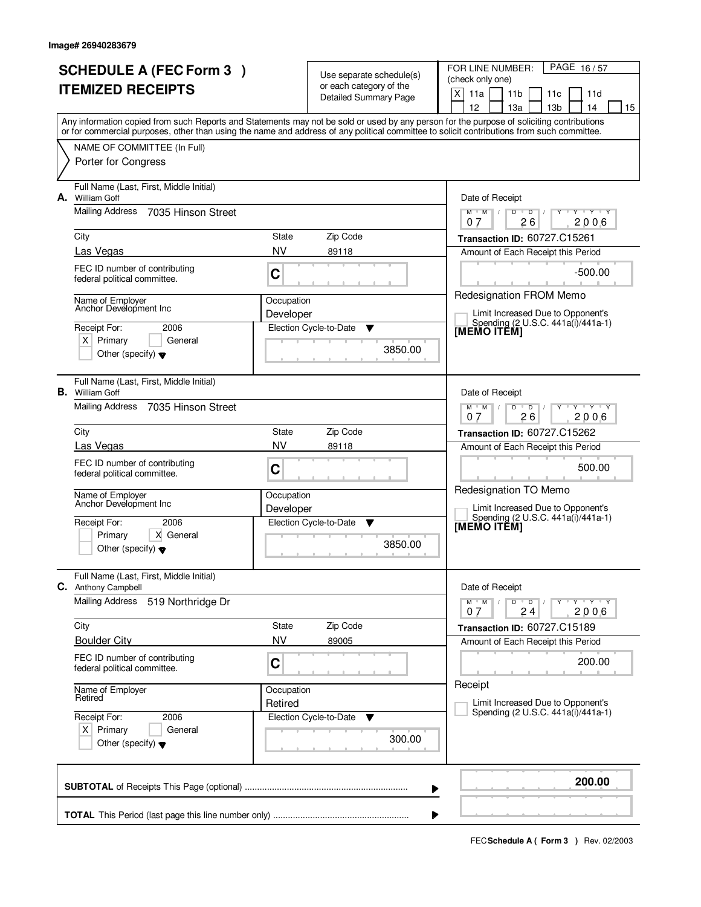| <b>SCHEDULE A (FEC Form 3)</b><br><b>ITEMIZED RECEIPTS</b> |                                                                                                                                      |                         | Use separate schedule(s)<br>or each category of the<br><b>Detailed Summary Page</b> | PAGE 16/57<br>FOR LINE NUMBER:<br>(check only one)<br>X<br>11a<br>11 <sub>b</sub><br>11d<br>11c                                                                                                                                                                                                                                     |
|------------------------------------------------------------|--------------------------------------------------------------------------------------------------------------------------------------|-------------------------|-------------------------------------------------------------------------------------|-------------------------------------------------------------------------------------------------------------------------------------------------------------------------------------------------------------------------------------------------------------------------------------------------------------------------------------|
|                                                            | NAME OF COMMITTEE (In Full)                                                                                                          |                         |                                                                                     | 12<br>13a<br>13 <sub>b</sub><br>14<br>15<br>Any information copied from such Reports and Statements may not be sold or used by any person for the purpose of soliciting contributions<br>or for commercial purposes, other than using the name and address of any political committee to solicit contributions from such committee. |
|                                                            | Porter for Congress                                                                                                                  |                         |                                                                                     |                                                                                                                                                                                                                                                                                                                                     |
| А.                                                         | Full Name (Last, First, Middle Initial)<br><b>William Goff</b>                                                                       |                         |                                                                                     | Date of Receipt                                                                                                                                                                                                                                                                                                                     |
|                                                            | <b>Mailing Address</b><br>7035 Hinson Street                                                                                         |                         |                                                                                     | $M$ $M$ /<br>$D$ $D$ $I$<br>Y Y Y Y<br>Y<br>26<br>2006<br>07                                                                                                                                                                                                                                                                        |
|                                                            | City<br>Las Vegas                                                                                                                    | State<br><b>NV</b>      | Zip Code<br>89118                                                                   | Transaction ID: 60727.C15261<br>Amount of Each Receipt this Period                                                                                                                                                                                                                                                                  |
|                                                            | FEC ID number of contributing<br>federal political committee.                                                                        | C                       |                                                                                     | $-500.00$                                                                                                                                                                                                                                                                                                                           |
|                                                            | Name of Employer<br>Anchor Development Inc<br>Receipt For:<br>2006<br>$X$ Primary<br>General<br>Other (specify) $\blacktriangledown$ | Occupation<br>Developer | Election Cycle-to-Date<br>▼<br>3850.00                                              | Redesignation FROM Memo<br>Limit Increased Due to Opponent's<br>Spending (2 U.S.C. 441a(i)/441a-1)<br>[MEMO ITĔM]                                                                                                                                                                                                                   |
|                                                            | Full Name (Last, First, Middle Initial)<br><b>B.</b> William Goff<br>Mailing Address 7035 Hinson Street                              |                         |                                                                                     | Date of Receipt<br>$Y \vdash Y \vdash Y$<br>$M$ $M$ /<br>D<br>$\overline{D}$<br>26<br>2006<br>0.7                                                                                                                                                                                                                                   |
|                                                            | City                                                                                                                                 | State                   | Zip Code                                                                            | <b>Transaction ID: 60727.C15262</b>                                                                                                                                                                                                                                                                                                 |
|                                                            | Las Vegas                                                                                                                            | <b>NV</b>               | 89118                                                                               | Amount of Each Receipt this Period                                                                                                                                                                                                                                                                                                  |
|                                                            | FEC ID number of contributing<br>federal political committee.                                                                        | C                       |                                                                                     | 500.00<br>Redesignation TO Memo                                                                                                                                                                                                                                                                                                     |
|                                                            | Name of Employer<br>Anchor Development Inc                                                                                           | Occupation<br>Developer |                                                                                     | Limit Increased Due to Opponent's<br>Spending (2 U.S.C. 441a(i)/441a-1)                                                                                                                                                                                                                                                             |
|                                                            | Receipt For:<br>2006<br>X General<br>Primary<br>Other (specify) $\blacktriangledown$                                                 |                         | Election Cycle-to-Date<br>▼<br>3850.00                                              | [MEMO ITEM]                                                                                                                                                                                                                                                                                                                         |
| С.                                                         | Full Name (Last, First, Middle Initial)<br>Anthony Campbell                                                                          |                         |                                                                                     | Date of Receipt                                                                                                                                                                                                                                                                                                                     |
|                                                            | <b>Mailing Address</b><br>519 Northridge Dr                                                                                          |                         |                                                                                     | $M$ $M$ /<br>$D$ $D$<br>$Y + Y + Y$<br>2006<br>24<br>07                                                                                                                                                                                                                                                                             |
|                                                            | City<br><b>Boulder City</b>                                                                                                          | State<br><b>NV</b>      | Zip Code<br>89005                                                                   | Transaction ID: 60727.C15189<br>Amount of Each Receipt this Period                                                                                                                                                                                                                                                                  |
|                                                            | FEC ID number of contributing<br>federal political committee.                                                                        | C                       |                                                                                     | 200.00                                                                                                                                                                                                                                                                                                                              |
|                                                            | Name of Employer<br>Retired                                                                                                          | Occupation<br>Retired   |                                                                                     | Receipt<br>Limit Increased Due to Opponent's                                                                                                                                                                                                                                                                                        |
|                                                            | Receipt For:<br>2006<br>$X$ Primary<br>General<br>Other (specify) $\blacktriangledown$                                               |                         | Election Cycle-to-Date<br>v<br>300.00                                               | Spending (2 U.S.C. 441a(i)/441a-1)                                                                                                                                                                                                                                                                                                  |
|                                                            |                                                                                                                                      |                         |                                                                                     | 200.00<br>▶                                                                                                                                                                                                                                                                                                                         |
|                                                            |                                                                                                                                      |                         |                                                                                     |                                                                                                                                                                                                                                                                                                                                     |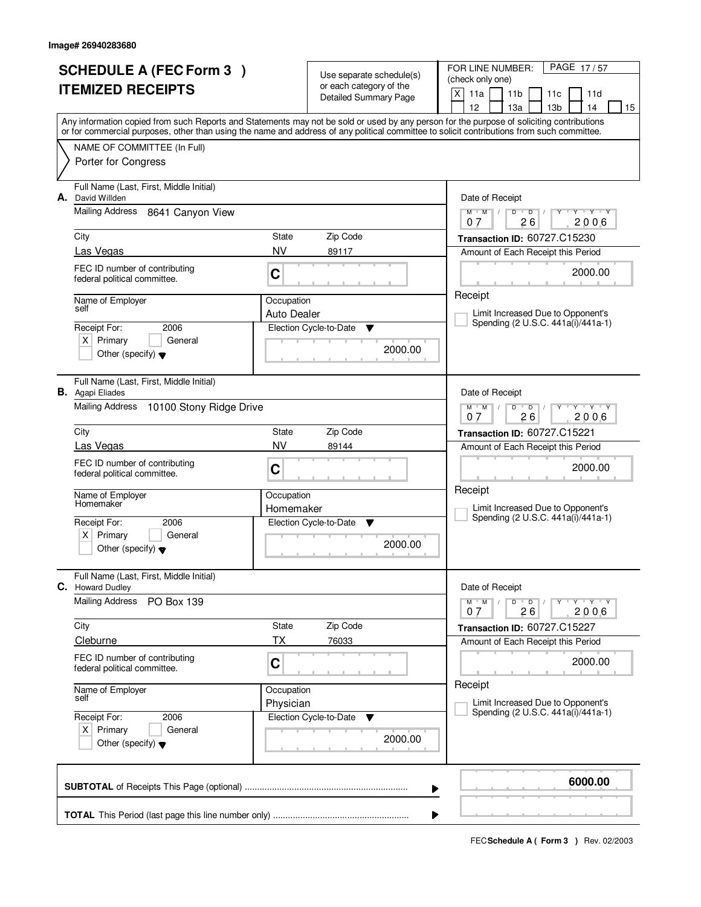|                          | <b>SCHEDULE A (FEC Form 3)</b>                                                                                                             |                         | Use separate schedule(s)     | FOR LINE NUMBER:<br>PAGE 17/57                                                                                                            |  |  |
|--------------------------|--------------------------------------------------------------------------------------------------------------------------------------------|-------------------------|------------------------------|-------------------------------------------------------------------------------------------------------------------------------------------|--|--|
| <b>ITEMIZED RECEIPTS</b> |                                                                                                                                            |                         | or each category of the      | (check only one)                                                                                                                          |  |  |
|                          |                                                                                                                                            |                         | <b>Detailed Summary Page</b> | X<br>11a<br>11 <sub>b</sub><br>11d<br>11c<br>12<br>13 <sub>b</sub><br>13a<br>14<br>15                                                     |  |  |
|                          |                                                                                                                                            |                         |                              | Any information copied from such Reports and Statements may not be sold or used by any person for the purpose of soliciting contributions |  |  |
|                          | or for commercial purposes, other than using the name and address of any political committee to solicit contributions from such committee. |                         |                              |                                                                                                                                           |  |  |
|                          | NAME OF COMMITTEE (In Full)<br>Porter for Congress                                                                                         |                         |                              |                                                                                                                                           |  |  |
|                          |                                                                                                                                            |                         |                              |                                                                                                                                           |  |  |
| А.                       | Full Name (Last, First, Middle Initial)<br>David Willden                                                                                   |                         |                              | Date of Receipt                                                                                                                           |  |  |
|                          | <b>Mailing Address</b><br>8641 Canyon View                                                                                                 |                         |                              | D<br>$Y + Y + Y$<br>$M$ $M$ /<br>$\overline{D}$                                                                                           |  |  |
|                          |                                                                                                                                            |                         |                              | 26<br>2006<br>07                                                                                                                          |  |  |
|                          | City<br>Las Vegas                                                                                                                          | State<br>NV             | Zip Code<br>89117            | Transaction ID: 60727.C15230<br>Amount of Each Receipt this Period                                                                        |  |  |
|                          | FEC ID number of contributing                                                                                                              |                         |                              |                                                                                                                                           |  |  |
|                          | federal political committee.                                                                                                               | C                       |                              | 2000.00                                                                                                                                   |  |  |
|                          | Name of Employer                                                                                                                           | Occupation              |                              | Receipt                                                                                                                                   |  |  |
|                          | self                                                                                                                                       | <b>Auto Dealer</b>      |                              | Limit Increased Due to Opponent's                                                                                                         |  |  |
|                          | 2006<br>Receipt For:                                                                                                                       |                         | Election Cycle-to-Date<br>▼  | Spending (2 U.S.C. 441a(i)/441a-1)                                                                                                        |  |  |
|                          | $X$ Primary<br>General<br>Other (specify) $\blacktriangledown$                                                                             |                         | 2000.00                      |                                                                                                                                           |  |  |
|                          |                                                                                                                                            |                         |                              |                                                                                                                                           |  |  |
|                          | Full Name (Last, First, Middle Initial)                                                                                                    |                         |                              |                                                                                                                                           |  |  |
|                          | <b>B.</b> Agapi Eliades<br>Mailing Address<br>10100 Stony Ridge Drive                                                                      |                         |                              | Date of Receipt<br>$Y$ $Y$ $Y$<br>$M$ $M$ /<br>D<br>$\overline{D}$                                                                        |  |  |
|                          |                                                                                                                                            |                         |                              | 26<br>2006<br>07                                                                                                                          |  |  |
|                          | City                                                                                                                                       | Zip Code<br>State       |                              |                                                                                                                                           |  |  |
|                          | Las Vegas                                                                                                                                  | <b>NV</b>               | 89144                        | Amount of Each Receipt this Period                                                                                                        |  |  |
|                          | FEC ID number of contributing<br>federal political committee.                                                                              | C                       |                              | 2000.00                                                                                                                                   |  |  |
|                          |                                                                                                                                            |                         |                              | Receipt                                                                                                                                   |  |  |
|                          | Name of Employer<br>Homemaker                                                                                                              | Occupation<br>Homemaker |                              | Limit Increased Due to Opponent's                                                                                                         |  |  |
|                          | Receipt For:<br>2006                                                                                                                       |                         | Election Cycle-to-Date<br>v  | Spending (2 U.S.C. 441a(i)/441a-1)                                                                                                        |  |  |
|                          | Primary<br>X  <br>General                                                                                                                  |                         |                              |                                                                                                                                           |  |  |
|                          | Other (specify) $\blacktriangledown$                                                                                                       | 2000.00                 |                              |                                                                                                                                           |  |  |
|                          | Full Name (Last, First, Middle Initial)                                                                                                    |                         |                              |                                                                                                                                           |  |  |
| С.                       | <b>Howard Dudley</b>                                                                                                                       |                         |                              | Date of Receipt                                                                                                                           |  |  |
|                          | <b>Mailing Address</b><br>PO Box 139                                                                                                       |                         |                              | $M$ $M$ $M$<br>D<br>$\overline{D}$<br>$Y + Y + Y$<br>2006<br>26<br>07                                                                     |  |  |
|                          | City                                                                                                                                       | State                   | Zip Code                     | Transaction ID: 60727.C15227                                                                                                              |  |  |
|                          | Cleburne                                                                                                                                   | ТX                      | 76033                        | Amount of Each Receipt this Period                                                                                                        |  |  |
|                          | FEC ID number of contributing                                                                                                              | C                       |                              | 2000.00                                                                                                                                   |  |  |
|                          | federal political committee.                                                                                                               |                         |                              |                                                                                                                                           |  |  |
|                          | Name of Employer<br>self                                                                                                                   | Occupation              |                              | Receipt                                                                                                                                   |  |  |
|                          | 2006                                                                                                                                       | Physician               |                              | Limit Increased Due to Opponent's<br>Spending (2 U.S.C. 441a(i)/441a-1)                                                                   |  |  |
|                          | Receipt For:<br>$X$ Primary<br>General                                                                                                     |                         | Election Cycle-to-Date<br>v  |                                                                                                                                           |  |  |
|                          | Other (specify) $\blacktriangledown$                                                                                                       |                         | 2000.00                      |                                                                                                                                           |  |  |
|                          |                                                                                                                                            |                         |                              |                                                                                                                                           |  |  |
|                          |                                                                                                                                            |                         |                              | 6000.00                                                                                                                                   |  |  |
|                          |                                                                                                                                            |                         |                              | ▶                                                                                                                                         |  |  |
|                          |                                                                                                                                            |                         |                              |                                                                                                                                           |  |  |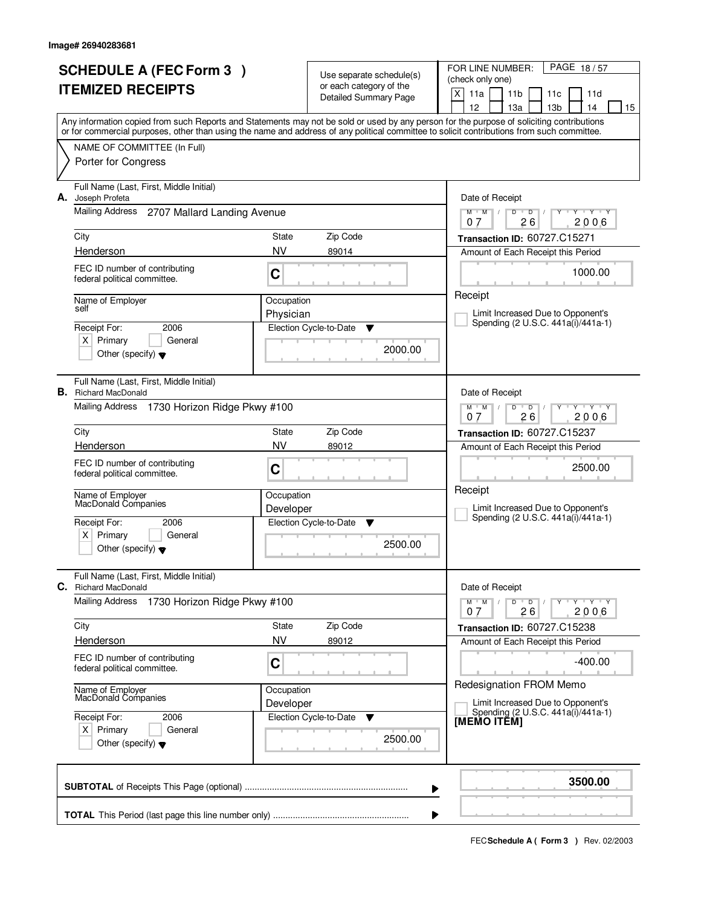|                          | <b>SCHEDULE A (FEC Form 3)</b>                                                                                                             |                               | Use separate schedule(s)    | FOR LINE NUMBER:<br>PAGE 18/57                                                        |  |  |
|--------------------------|--------------------------------------------------------------------------------------------------------------------------------------------|-------------------------------|-----------------------------|---------------------------------------------------------------------------------------|--|--|
| <b>ITEMIZED RECEIPTS</b> |                                                                                                                                            |                               | or each category of the     | (check only one)                                                                      |  |  |
|                          |                                                                                                                                            |                               | Detailed Summary Page       | X<br>11a<br>11 <sub>b</sub><br>11d<br>11c<br>12<br>13 <sub>b</sub><br>13a<br>14<br>15 |  |  |
|                          | Any information copied from such Reports and Statements may not be sold or used by any person for the purpose of soliciting contributions  |                               |                             |                                                                                       |  |  |
|                          | or for commercial purposes, other than using the name and address of any political committee to solicit contributions from such committee. |                               |                             |                                                                                       |  |  |
|                          | NAME OF COMMITTEE (In Full)<br>Porter for Congress                                                                                         |                               |                             |                                                                                       |  |  |
|                          |                                                                                                                                            |                               |                             |                                                                                       |  |  |
| А.                       | Full Name (Last, First, Middle Initial)<br>Joseph Profeta                                                                                  |                               |                             | Date of Receipt                                                                       |  |  |
|                          | Mailing Address<br>2707 Mallard Landing Avenue                                                                                             |                               |                             | $\overline{D}$<br>$Y + Y + Y$<br>$M$ $M$ /<br>D                                       |  |  |
|                          |                                                                                                                                            |                               |                             | 26<br>2006<br>07                                                                      |  |  |
|                          | City                                                                                                                                       | State                         | Zip Code                    | Transaction ID: 60727.C15271                                                          |  |  |
|                          | Henderson                                                                                                                                  | <b>NV</b>                     | 89014                       | Amount of Each Receipt this Period                                                    |  |  |
|                          | FEC ID number of contributing<br>federal political committee.                                                                              | C                             |                             | 1000.00                                                                               |  |  |
|                          |                                                                                                                                            |                               |                             | Receipt                                                                               |  |  |
|                          | Name of Employer<br>self                                                                                                                   | Occupation<br>Physician       |                             | Limit Increased Due to Opponent's                                                     |  |  |
|                          | Receipt For:<br>2006                                                                                                                       |                               | Election Cycle-to-Date<br>v | Spending (2 U.S.C. 441a(i)/441a-1)                                                    |  |  |
|                          | $X$ Primary<br>General                                                                                                                     |                               |                             |                                                                                       |  |  |
|                          | Other (specify) $\blacktriangledown$                                                                                                       |                               | 2000.00                     |                                                                                       |  |  |
|                          |                                                                                                                                            |                               |                             |                                                                                       |  |  |
|                          | Full Name (Last, First, Middle Initial)<br><b>B.</b> Richard MacDonald                                                                     |                               |                             | Date of Receipt                                                                       |  |  |
|                          | Mailing Address 1730 Horizon Ridge Pkwy #100                                                                                               |                               |                             | $Y$ $Y$ $Y$<br>$M$ $M$ /<br>D<br>$\overline{D}$                                       |  |  |
|                          |                                                                                                                                            |                               |                             | 26<br>2006<br>07                                                                      |  |  |
|                          | City                                                                                                                                       | State<br><b>NV</b>            | Zip Code                    | Transaction ID: 60727.C15237                                                          |  |  |
|                          | Henderson                                                                                                                                  |                               | 89012                       | Amount of Each Receipt this Period                                                    |  |  |
|                          | FEC ID number of contributing<br>federal political committee.                                                                              | C                             |                             | 2500.00                                                                               |  |  |
|                          |                                                                                                                                            |                               |                             | Receipt                                                                               |  |  |
|                          | Name of Employer<br>MacDonald Companies                                                                                                    | Occupation<br>Developer       |                             | Limit Increased Due to Opponent's                                                     |  |  |
|                          | Receipt For:<br>2006                                                                                                                       | Election Cycle-to-Date<br>- V |                             | Spending (2 U.S.C. 441a(i)/441a-1)                                                    |  |  |
|                          | Primary<br>ΧI<br>General                                                                                                                   |                               |                             |                                                                                       |  |  |
|                          | Other (specify) $\blacktriangledown$                                                                                                       |                               | 2500.00                     |                                                                                       |  |  |
|                          | Full Name (Last, First, Middle Initial)                                                                                                    |                               |                             |                                                                                       |  |  |
| C.                       | <b>Richard MacDonald</b>                                                                                                                   |                               |                             | Date of Receipt                                                                       |  |  |
|                          | Mailing Address<br>1730 Horizon Ridge Pkwy #100                                                                                            |                               |                             | $M$ $M$ $/$<br>D<br>$\overline{\phantom{a}}$ D<br>$Y - Y - Y - Y$                     |  |  |
|                          | City                                                                                                                                       | State                         | Zip Code                    | 26<br>2006<br>07<br><b>Transaction ID: 60727.C15238</b>                               |  |  |
|                          | Henderson                                                                                                                                  | <b>NV</b>                     | 89012                       | Amount of Each Receipt this Period                                                    |  |  |
|                          | FEC ID number of contributing                                                                                                              |                               |                             | $-400.00$                                                                             |  |  |
|                          | federal political committee.                                                                                                               | C                             |                             |                                                                                       |  |  |
|                          | Name of Employer<br>MacDonald Companies                                                                                                    | Occupation                    |                             | Redesignation FROM Memo                                                               |  |  |
|                          |                                                                                                                                            | Developer                     |                             | Limit Increased Due to Opponent's                                                     |  |  |
|                          | Receipt For:<br>2006                                                                                                                       |                               | Election Cycle-to-Date<br>v | Spending (2 U.S.C. 441a(i)/441a-1)<br>[MEMO ITĔM]                                     |  |  |
|                          | $X$ Primary<br>General                                                                                                                     |                               | 2500.00                     |                                                                                       |  |  |
|                          | Other (specify) $\blacktriangledown$                                                                                                       |                               |                             |                                                                                       |  |  |
|                          |                                                                                                                                            |                               |                             |                                                                                       |  |  |
|                          |                                                                                                                                            |                               |                             | 3500.00<br>▶                                                                          |  |  |
|                          |                                                                                                                                            |                               |                             |                                                                                       |  |  |
|                          |                                                                                                                                            |                               |                             |                                                                                       |  |  |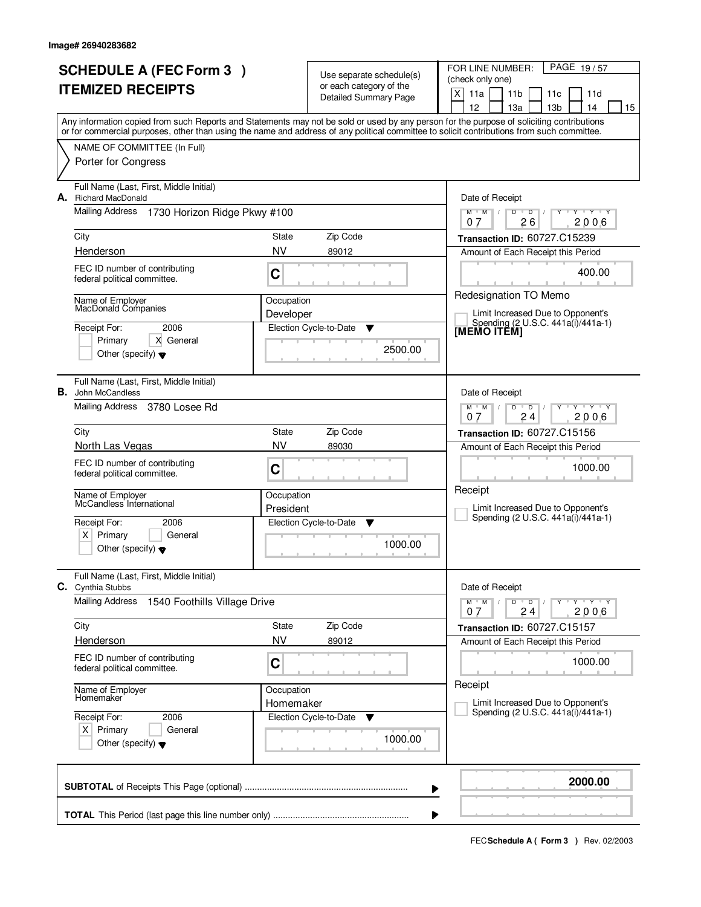|                          | <b>SCHEDULE A (FEC Form 3)</b>                                                                                                             |                              | Use separate schedule(s)                                        | PAGE 19/57<br>FOR LINE NUMBER:                                                                                                            |
|--------------------------|--------------------------------------------------------------------------------------------------------------------------------------------|------------------------------|-----------------------------------------------------------------|-------------------------------------------------------------------------------------------------------------------------------------------|
| <b>ITEMIZED RECEIPTS</b> |                                                                                                                                            |                              | or each category of the                                         | (check only one)<br>X<br>11a<br>11 <sub>b</sub><br>11d<br>11c                                                                             |
|                          |                                                                                                                                            |                              | <b>Detailed Summary Page</b>                                    | 12<br>13 <sub>b</sub><br>14<br>13a<br>15                                                                                                  |
|                          | or for commercial purposes, other than using the name and address of any political committee to solicit contributions from such committee. |                              |                                                                 | Any information copied from such Reports and Statements may not be sold or used by any person for the purpose of soliciting contributions |
|                          | NAME OF COMMITTEE (In Full)                                                                                                                |                              |                                                                 |                                                                                                                                           |
|                          | Porter for Congress                                                                                                                        |                              |                                                                 |                                                                                                                                           |
|                          |                                                                                                                                            |                              |                                                                 |                                                                                                                                           |
| А.                       | Full Name (Last, First, Middle Initial)<br><b>Richard MacDonald</b>                                                                        |                              |                                                                 | Date of Receipt                                                                                                                           |
|                          | Mailing Address 1730 Horizon Ridge Pkwy #100                                                                                               |                              |                                                                 | $Y - Y - Y$<br>$M$ $M$ /<br>D<br>$\overline{D}$<br>26<br>2006<br>07                                                                       |
|                          | City                                                                                                                                       | State                        | Zip Code                                                        | Transaction ID: 60727.C15239                                                                                                              |
|                          | Henderson                                                                                                                                  | <b>NV</b>                    | 89012                                                           | Amount of Each Receipt this Period                                                                                                        |
|                          | FEC ID number of contributing                                                                                                              | $\mathbf C$                  |                                                                 | 400.00                                                                                                                                    |
|                          | federal political committee.                                                                                                               |                              |                                                                 |                                                                                                                                           |
|                          | Name of Employer<br>MacDonald Companies                                                                                                    | Occupation                   |                                                                 | Redesignation TO Memo                                                                                                                     |
|                          | 2006<br>Receipt For:                                                                                                                       | Developer                    | Election Cycle-to-Date<br>Y                                     | Limit Increased Due to Opponent's<br>Spending (2 U.S.C. 441a(i)/441a-1)                                                                   |
|                          | Primary<br>X General                                                                                                                       |                              |                                                                 | <b>IMEMO ITÈMI</b>                                                                                                                        |
|                          | Other (specify) $\blacktriangledown$                                                                                                       |                              | 2500.00                                                         |                                                                                                                                           |
|                          |                                                                                                                                            |                              |                                                                 |                                                                                                                                           |
|                          | Full Name (Last, First, Middle Initial)<br><b>B.</b> John McCandless                                                                       |                              |                                                                 | Date of Receipt                                                                                                                           |
|                          | Mailing Address<br>3780 Losee Rd                                                                                                           |                              | Y Y Y Y<br>$M$ $M$ /<br>D<br>$\overline{D}$<br>07<br>24<br>2006 |                                                                                                                                           |
|                          | City                                                                                                                                       | Transaction ID: 60727.C15156 |                                                                 |                                                                                                                                           |
|                          | North Las Vegas                                                                                                                            | State<br><b>NV</b>           | Zip Code<br>89030                                               | Amount of Each Receipt this Period                                                                                                        |
|                          | FEC ID number of contributing                                                                                                              | C                            |                                                                 | 1000.00                                                                                                                                   |
|                          | federal political committee.                                                                                                               |                              |                                                                 |                                                                                                                                           |
|                          | Name of Employer<br>McCandless Infernational                                                                                               | Occupation                   |                                                                 | Receipt                                                                                                                                   |
|                          |                                                                                                                                            | President                    |                                                                 | Limit Increased Due to Opponent's<br>Spending (2 U.S.C. 441a(i)/441a-1)                                                                   |
|                          | Receipt For:<br>2006<br>$X \mid$<br>Primary<br>General                                                                                     |                              | Election Cycle-to-Date<br><b>V</b>                              |                                                                                                                                           |
|                          | Other (specify) $\blacktriangledown$                                                                                                       |                              | 1000.00                                                         |                                                                                                                                           |
|                          |                                                                                                                                            |                              |                                                                 |                                                                                                                                           |
|                          | Full Name (Last, First, Middle Initial)<br><b>C.</b> Cynthia Stubbs                                                                        |                              |                                                                 | Date of Receipt                                                                                                                           |
|                          | <b>Mailing Address</b><br>1540 Foothills Village Drive                                                                                     |                              |                                                                 | $M$ $M$ $M$<br>$D$ $D$<br>$Y - Y - Y - Y$<br>2006<br>24<br>07                                                                             |
|                          | City                                                                                                                                       | State                        | Zip Code                                                        | Transaction ID: 60727.C15157                                                                                                              |
|                          | Henderson                                                                                                                                  | <b>NV</b>                    | 89012                                                           | Amount of Each Receipt this Period                                                                                                        |
|                          | FEC ID number of contributing                                                                                                              | C                            |                                                                 | 1000.00                                                                                                                                   |
|                          | federal political committee.                                                                                                               |                              |                                                                 |                                                                                                                                           |
|                          | Name of Employer<br>Homemaker                                                                                                              | Occupation                   |                                                                 | Receipt                                                                                                                                   |
|                          | Receipt For:<br>2006                                                                                                                       | Homemaker                    | Election Cycle-to-Date<br>v                                     | Limit Increased Due to Opponent's<br>Spending (2 U.S.C. 441a(i)/441a-1)                                                                   |
|                          | $X$ Primary<br>General                                                                                                                     |                              |                                                                 |                                                                                                                                           |
|                          | Other (specify) $\blacktriangledown$                                                                                                       |                              | 1000.00                                                         |                                                                                                                                           |
|                          |                                                                                                                                            |                              |                                                                 |                                                                                                                                           |
|                          |                                                                                                                                            |                              |                                                                 | 2000.00<br>▶                                                                                                                              |
|                          |                                                                                                                                            |                              |                                                                 |                                                                                                                                           |
|                          |                                                                                                                                            |                              |                                                                 |                                                                                                                                           |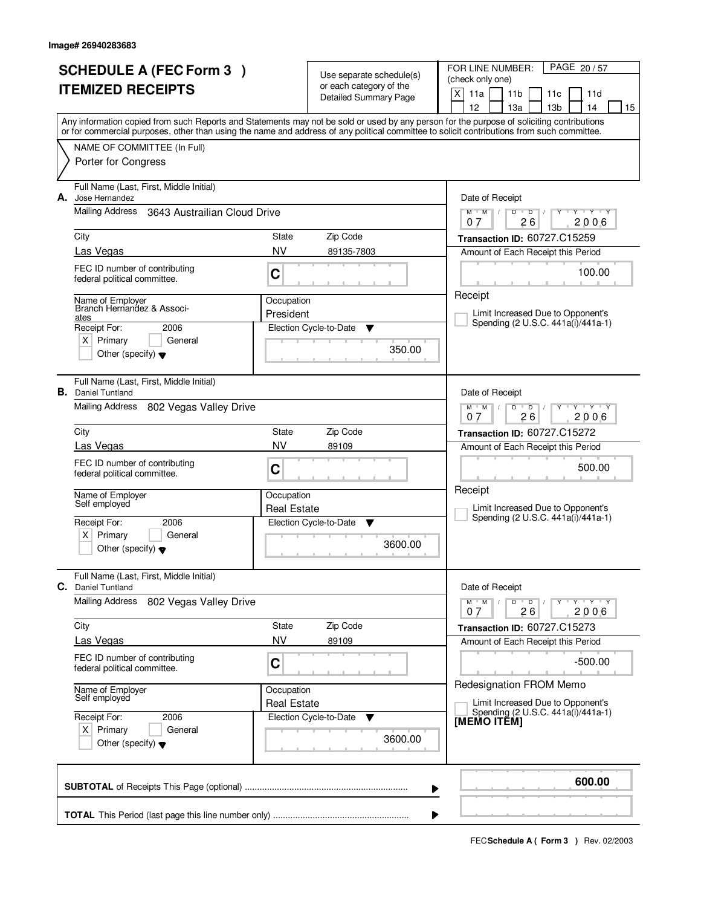| <b>SCHEDULE A (FEC Form 3)</b><br><b>ITEMIZED RECEIPTS</b> |                                                                                                                                            |                                     | Use separate schedule(s)<br>or each category of the<br><b>Detailed Summary Page</b> | PAGE 20/57<br>FOR LINE NUMBER:<br>(check only one)<br>X<br>11a<br>11 <sub>b</sub><br>11d<br>11c                                                                                       |
|------------------------------------------------------------|--------------------------------------------------------------------------------------------------------------------------------------------|-------------------------------------|-------------------------------------------------------------------------------------|---------------------------------------------------------------------------------------------------------------------------------------------------------------------------------------|
|                                                            | or for commercial purposes, other than using the name and address of any political committee to solicit contributions from such committee. |                                     |                                                                                     | 12<br>13a<br>13 <sub>b</sub><br>14<br>15<br>Any information copied from such Reports and Statements may not be sold or used by any person for the purpose of soliciting contributions |
|                                                            | NAME OF COMMITTEE (In Full)<br>Porter for Congress                                                                                         |                                     |                                                                                     |                                                                                                                                                                                       |
| А.                                                         | Full Name (Last, First, Middle Initial)<br>Jose Hernandez                                                                                  |                                     |                                                                                     | Date of Receipt                                                                                                                                                                       |
|                                                            | Mailing Address<br>3643 Austrailian Cloud Drive                                                                                            |                                     |                                                                                     | $Y + Y + Y$<br>$M$ $M$ /<br>$\mathsf D$<br>D<br>τ<br>26<br>2006<br>07                                                                                                                 |
|                                                            | City                                                                                                                                       | State                               | Zip Code                                                                            | Transaction ID: 60727.C15259                                                                                                                                                          |
|                                                            | Las Vegas                                                                                                                                  | <b>NV</b>                           | 89135-7803                                                                          | Amount of Each Receipt this Period                                                                                                                                                    |
|                                                            | FEC ID number of contributing<br>federal political committee.                                                                              | C                                   |                                                                                     | 100.00<br>Receipt                                                                                                                                                                     |
|                                                            | Name of Emplover<br>Branch Hernandez & Associ-                                                                                             | Occupation                          |                                                                                     |                                                                                                                                                                                       |
|                                                            | ates<br>Receipt For:<br>2006                                                                                                               | President                           | Election Cycle-to-Date<br>▼                                                         | Limit Increased Due to Opponent's<br>Spending (2 U.S.C. 441a(i)/441a-1)                                                                                                               |
|                                                            | $X$ Primary<br>General<br>Other (specify) $\blacktriangledown$                                                                             |                                     | 350.00                                                                              |                                                                                                                                                                                       |
|                                                            | Full Name (Last, First, Middle Initial)<br><b>B.</b> Daniel Tuntland                                                                       |                                     |                                                                                     | Date of Receipt                                                                                                                                                                       |
|                                                            | <b>Mailing Address</b><br>802 Vegas Valley Drive                                                                                           |                                     |                                                                                     | $M$ $M$ /<br>D<br>$\overline{D}$<br>Y 'Y 'Y<br>26<br>2006<br>0.7                                                                                                                      |
|                                                            | City                                                                                                                                       | <b>Transaction ID: 60727.C15272</b> |                                                                                     |                                                                                                                                                                                       |
|                                                            | Las Vegas                                                                                                                                  | NV                                  | 89109                                                                               | Amount of Each Receipt this Period                                                                                                                                                    |
|                                                            | FEC ID number of contributing<br>federal political committee.                                                                              | C                                   |                                                                                     | 500.00                                                                                                                                                                                |
|                                                            | Name of Employer<br>Self employed                                                                                                          | Occupation                          |                                                                                     | Receipt<br>Limit Increased Due to Opponent's                                                                                                                                          |
|                                                            | Receipt For:<br>2006                                                                                                                       | <b>Real Estate</b>                  | Election Cycle-to-Date<br>v                                                         | Spending (2 U.S.C. 441a(i)/441a-1)                                                                                                                                                    |
|                                                            | x <sub>1</sub><br>Primary<br>General<br>Other (specify) $\blacktriangledown$                                                               |                                     | 3600.00                                                                             |                                                                                                                                                                                       |
| C.                                                         | Full Name (Last, First, Middle Initial)<br><b>Daniel Tuntland</b>                                                                          |                                     |                                                                                     | Date of Receipt                                                                                                                                                                       |
|                                                            | Mailing Address<br>802 Vegas Valley Drive                                                                                                  |                                     |                                                                                     | $M^{\prime}$ M $\rightarrow$ M<br>$D$ $D$ $/$<br>Y Y Y Y Y Y<br>26<br>2006<br>07                                                                                                      |
|                                                            | City                                                                                                                                       | State                               | Zip Code                                                                            | Transaction ID: 60727.C15273                                                                                                                                                          |
|                                                            | Las Vegas                                                                                                                                  | <b>NV</b>                           | 89109                                                                               | Amount of Each Receipt this Period                                                                                                                                                    |
|                                                            | FEC ID number of contributing<br>federal political committee.                                                                              | $\mathbf C$                         |                                                                                     | $-500.00$<br>Redesignation FROM Memo                                                                                                                                                  |
|                                                            | Name of Employer<br>Self employed                                                                                                          | Occupation<br><b>Real Estate</b>    |                                                                                     | Limit Increased Due to Opponent's                                                                                                                                                     |
|                                                            | Receipt For:<br>2006<br>$X$ Primary<br>General<br>Other (specify) $\blacktriangledown$                                                     |                                     | Election Cycle-to-Date ▼<br>3600.00                                                 | Spending (2 U.S.C. 441a(i)/441a-1)<br>[MEMO ITÊM]                                                                                                                                     |
|                                                            |                                                                                                                                            |                                     |                                                                                     | 600.00<br>▶                                                                                                                                                                           |
|                                                            |                                                                                                                                            |                                     |                                                                                     |                                                                                                                                                                                       |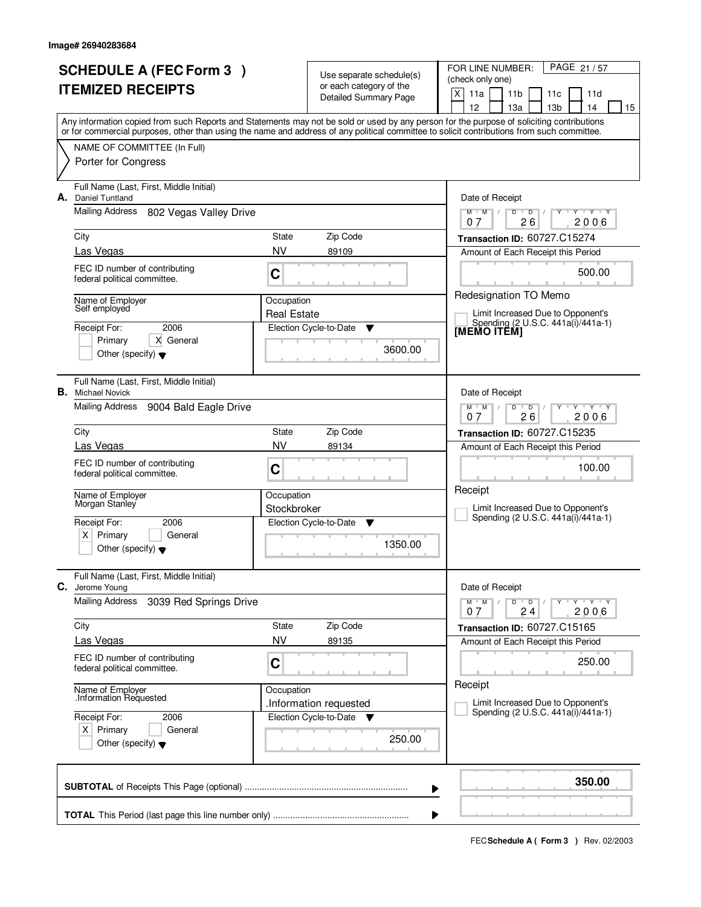|    | <b>SCHEDULE A (FEC Form 3)</b><br><b>ITEMIZED RECEIPTS</b>                           |                                  | Use separate schedule(s)<br>or each category of the<br>Detailed Summary Page | PAGE 21/57<br>FOR LINE NUMBER:<br>(check only one)<br>$\times$<br>11a<br>11 <sub>b</sub><br>11d<br>11c<br>12<br>13a<br>13 <sub>b</sub><br>14<br>15                                                                                                                                      |  |  |
|----|--------------------------------------------------------------------------------------|----------------------------------|------------------------------------------------------------------------------|-----------------------------------------------------------------------------------------------------------------------------------------------------------------------------------------------------------------------------------------------------------------------------------------|--|--|
|    |                                                                                      |                                  |                                                                              | Any information copied from such Reports and Statements may not be sold or used by any person for the purpose of soliciting contributions<br>or for commercial purposes, other than using the name and address of any political committee to solicit contributions from such committee. |  |  |
|    | NAME OF COMMITTEE (In Full)<br>Porter for Congress                                   |                                  |                                                                              |                                                                                                                                                                                                                                                                                         |  |  |
| А. | Full Name (Last, First, Middle Initial)<br>Daniel Tuntland                           |                                  |                                                                              | Date of Receipt                                                                                                                                                                                                                                                                         |  |  |
|    | Mailing Address<br>802 Vegas Valley Drive                                            |                                  |                                                                              | $Y + Y + Y$<br>$M$ $M$ $/$<br>$D$ $D$ $I$<br>Y<br>26<br>2006<br>07                                                                                                                                                                                                                      |  |  |
|    | City<br>Las Vegas                                                                    | State<br><b>NV</b>               | Zip Code<br>89109                                                            | Transaction ID: 60727.C15274                                                                                                                                                                                                                                                            |  |  |
|    | FEC ID number of contributing<br>federal political committee.                        | C                                |                                                                              | Amount of Each Receipt this Period<br>500.00                                                                                                                                                                                                                                            |  |  |
|    | Name of Employer<br>Self employed                                                    | Occupation<br><b>Real Estate</b> |                                                                              | Redesignation TO Memo<br>Limit Increased Due to Opponent's                                                                                                                                                                                                                              |  |  |
|    | 2006<br>Receipt For:<br>Primary<br>X General<br>Other (specify) $\blacktriangledown$ |                                  | Election Cycle-to-Date<br>▼<br>3600.00                                       | Spending (2 U.S.C. 441a(i)/441a-1)<br>[MEMO ITĔM]                                                                                                                                                                                                                                       |  |  |
|    | Full Name (Last, First, Middle Initial)<br><b>B.</b> Michael Novick                  |                                  |                                                                              | Date of Receipt                                                                                                                                                                                                                                                                         |  |  |
|    | Mailing Address<br>9004 Bald Eagle Drive                                             |                                  |                                                                              | $Y \vdash Y \vdash Y$<br>$M$ $M$ /<br>D<br>$\overline{D}$<br>26<br>2006<br>0.7                                                                                                                                                                                                          |  |  |
|    | City                                                                                 | State                            | Zip Code                                                                     | <b>Transaction ID: 60727.C15235</b>                                                                                                                                                                                                                                                     |  |  |
|    | Las Vegas                                                                            | <b>NV</b>                        | 89134                                                                        | Amount of Each Receipt this Period                                                                                                                                                                                                                                                      |  |  |
|    | FEC ID number of contributing<br>federal political committee.                        | C                                |                                                                              | 100.00<br>Receipt                                                                                                                                                                                                                                                                       |  |  |
|    | Name of Employer<br>Morgan Stanley                                                   | Occupation<br>Stockbroker        |                                                                              | Limit Increased Due to Opponent's                                                                                                                                                                                                                                                       |  |  |
|    | 2006<br>Receipt For:                                                                 | Election Cycle-to-Date<br>v      |                                                                              | Spending (2 U.S.C. 441a(i)/441a-1)                                                                                                                                                                                                                                                      |  |  |
|    | Primary<br>X∣<br>General<br>Other (specify) $\blacktriangledown$                     |                                  | 1350.00                                                                      |                                                                                                                                                                                                                                                                                         |  |  |
| С. | Full Name (Last, First, Middle Initial)<br>Jerome Young                              |                                  |                                                                              | Date of Receipt                                                                                                                                                                                                                                                                         |  |  |
|    | <b>Mailing Address</b><br>3039 Red Springs Drive                                     |                                  |                                                                              | $M$ $M$ /<br>$D$ $D$<br>$Y + Y + Y$<br>2006<br>24<br>07                                                                                                                                                                                                                                 |  |  |
|    | City                                                                                 | State                            | Zip Code                                                                     | Transaction ID: 60727.C15165                                                                                                                                                                                                                                                            |  |  |
|    | Las Vegas                                                                            | NV                               | 89135                                                                        | Amount of Each Receipt this Period                                                                                                                                                                                                                                                      |  |  |
|    | FEC ID number of contributing<br>federal political committee.                        | C                                |                                                                              | 250.00<br>Receipt                                                                                                                                                                                                                                                                       |  |  |
|    | Name of Employer<br>Information Requested.                                           | Occupation                       | .Information requested                                                       | Limit Increased Due to Opponent's                                                                                                                                                                                                                                                       |  |  |
|    | Receipt For:<br>2006<br>$X$ Primary<br>General                                       |                                  | Election Cycle-to-Date ▼                                                     | Spending (2 U.S.C. 441a(i)/441a-1)                                                                                                                                                                                                                                                      |  |  |
|    | Other (specify) $\blacktriangledown$                                                 |                                  | 250.00                                                                       |                                                                                                                                                                                                                                                                                         |  |  |
|    |                                                                                      |                                  |                                                                              | 350.00<br>▶                                                                                                                                                                                                                                                                             |  |  |
|    |                                                                                      |                                  |                                                                              |                                                                                                                                                                                                                                                                                         |  |  |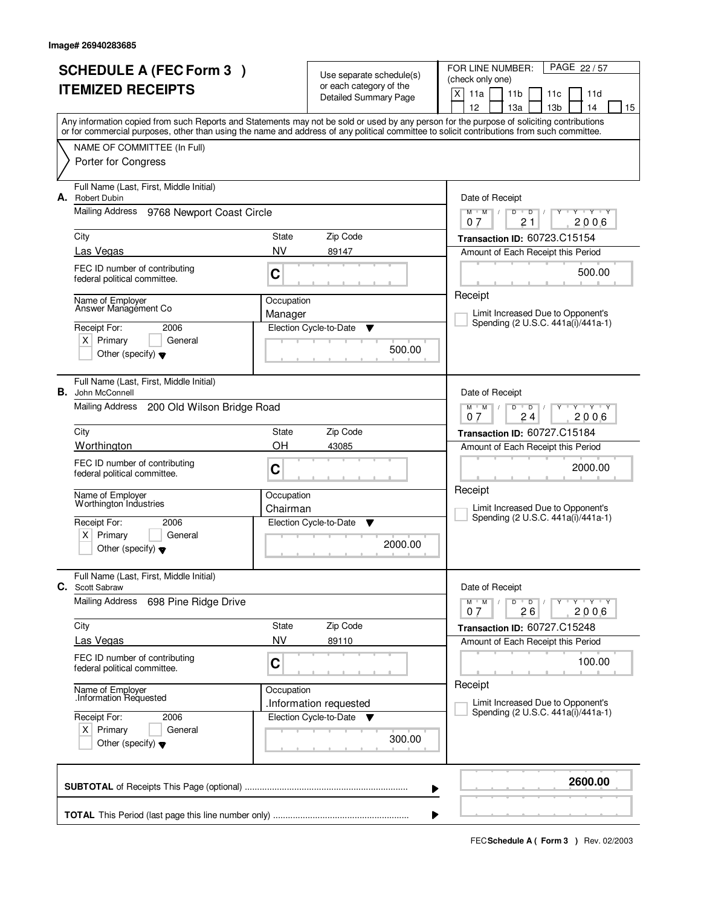| <b>SCHEDULE A (FEC Form 3)</b><br><b>ITEMIZED RECEIPTS</b> |                                                                                                      |                        | Use separate schedule(s)<br>or each category of the<br><b>Detailed Summary Page</b> | PAGE 22/57<br>FOR LINE NUMBER:<br>(check only one)<br>X<br>11a<br>11 <sub>b</sub><br>11d<br>11c                                                                                                                                                                                                                                     |  |  |
|------------------------------------------------------------|------------------------------------------------------------------------------------------------------|------------------------|-------------------------------------------------------------------------------------|-------------------------------------------------------------------------------------------------------------------------------------------------------------------------------------------------------------------------------------------------------------------------------------------------------------------------------------|--|--|
|                                                            |                                                                                                      |                        |                                                                                     | 12<br>13a<br>13 <sub>b</sub><br>14<br>15<br>Any information copied from such Reports and Statements may not be sold or used by any person for the purpose of soliciting contributions<br>or for commercial purposes, other than using the name and address of any political committee to solicit contributions from such committee. |  |  |
|                                                            | NAME OF COMMITTEE (In Full)<br>Porter for Congress                                                   |                        |                                                                                     |                                                                                                                                                                                                                                                                                                                                     |  |  |
| А.                                                         | Full Name (Last, First, Middle Initial)<br><b>Robert Dubin</b>                                       |                        |                                                                                     | Date of Receipt                                                                                                                                                                                                                                                                                                                     |  |  |
|                                                            | Mailing Address 9768 Newport Coast Circle                                                            |                        |                                                                                     | $Y + Y + Y$<br>$M$ /<br>$\mathsf D$<br>M<br>D<br>21<br>2006<br>07                                                                                                                                                                                                                                                                   |  |  |
|                                                            | City<br>Las Vegas                                                                                    | State<br><b>NV</b>     | Zip Code<br>89147                                                                   | Transaction ID: 60723.C15154                                                                                                                                                                                                                                                                                                        |  |  |
|                                                            | FEC ID number of contributing<br>federal political committee.                                        | C                      |                                                                                     | Amount of Each Receipt this Period<br>500.00                                                                                                                                                                                                                                                                                        |  |  |
|                                                            | Name of Employer                                                                                     | Occupation             |                                                                                     | Receipt                                                                                                                                                                                                                                                                                                                             |  |  |
|                                                            | Answer Management Co                                                                                 | Manager                |                                                                                     | Limit Increased Due to Opponent's<br>Spending (2 U.S.C. 441a(i)/441a-1)                                                                                                                                                                                                                                                             |  |  |
|                                                            | Receipt For:<br>2006<br>$X$ Primary<br>General<br>Other (specify) $\blacktriangledown$               |                        | Election Cycle-to-Date<br>▼<br>500.00                                               |                                                                                                                                                                                                                                                                                                                                     |  |  |
|                                                            | Full Name (Last, First, Middle Initial)<br><b>B.</b> John McConnell                                  |                        |                                                                                     | Date of Receipt                                                                                                                                                                                                                                                                                                                     |  |  |
|                                                            | Mailing Address<br>200 Old Wilson Bridge Road                                                        |                        |                                                                                     | $M$ $M$ /<br>D<br>Y Y Y Y<br>$\overline{D}$<br>2006<br>0.7<br>24                                                                                                                                                                                                                                                                    |  |  |
|                                                            | City                                                                                                 | State<br>Zip Code      |                                                                                     |                                                                                                                                                                                                                                                                                                                                     |  |  |
|                                                            | Worthington                                                                                          | ΟH                     | 43085                                                                               | Amount of Each Receipt this Period                                                                                                                                                                                                                                                                                                  |  |  |
|                                                            | FEC ID number of contributing<br>federal political committee.                                        | C                      |                                                                                     | 2000.00<br>Receipt                                                                                                                                                                                                                                                                                                                  |  |  |
|                                                            | Name of Employer<br>Worthington Industries                                                           | Occupation<br>Chairman |                                                                                     | Limit Increased Due to Opponent's<br>Spending (2 U.S.C. 441a(i)/441a-1)                                                                                                                                                                                                                                                             |  |  |
|                                                            | Receipt For:<br>2006<br>x <sub>1</sub><br>Primary<br>General<br>Other (specify) $\blacktriangledown$ |                        | Election Cycle-to-Date<br>▼<br>2000.00                                              |                                                                                                                                                                                                                                                                                                                                     |  |  |
| C.                                                         | Full Name (Last, First, Middle Initial)<br>Scott Sabraw                                              |                        |                                                                                     | Date of Receipt                                                                                                                                                                                                                                                                                                                     |  |  |
|                                                            | <b>Mailing Address</b><br>698 Pine Ridge Drive                                                       |                        |                                                                                     | $M$ $M$ $M$<br>$D$ $D$ $/$<br>$Y + Y + Y$<br>Y<br>26<br>2006<br>07                                                                                                                                                                                                                                                                  |  |  |
|                                                            | City                                                                                                 | State                  | Zip Code                                                                            | Transaction ID: 60727.C15248                                                                                                                                                                                                                                                                                                        |  |  |
|                                                            | Las Vegas                                                                                            | <b>NV</b>              | 89110                                                                               | Amount of Each Receipt this Period                                                                                                                                                                                                                                                                                                  |  |  |
|                                                            | FEC ID number of contributing<br>federal political committee.                                        | $\mathbf C$            |                                                                                     | 100.00<br>Receipt                                                                                                                                                                                                                                                                                                                   |  |  |
|                                                            | Name of Employer<br>Information Requested                                                            | Occupation             | .Information requested                                                              | Limit Increased Due to Opponent's                                                                                                                                                                                                                                                                                                   |  |  |
|                                                            | Receipt For:<br>2006<br>$X$ Primary<br>General<br>Other (specify) $\blacktriangledown$               |                        | Election Cycle-to-Date ▼<br>300.00                                                  | Spending (2 U.S.C. 441a(i)/441a-1)                                                                                                                                                                                                                                                                                                  |  |  |
|                                                            |                                                                                                      |                        |                                                                                     | 2600.00<br>▶                                                                                                                                                                                                                                                                                                                        |  |  |
|                                                            |                                                                                                      |                        |                                                                                     |                                                                                                                                                                                                                                                                                                                                     |  |  |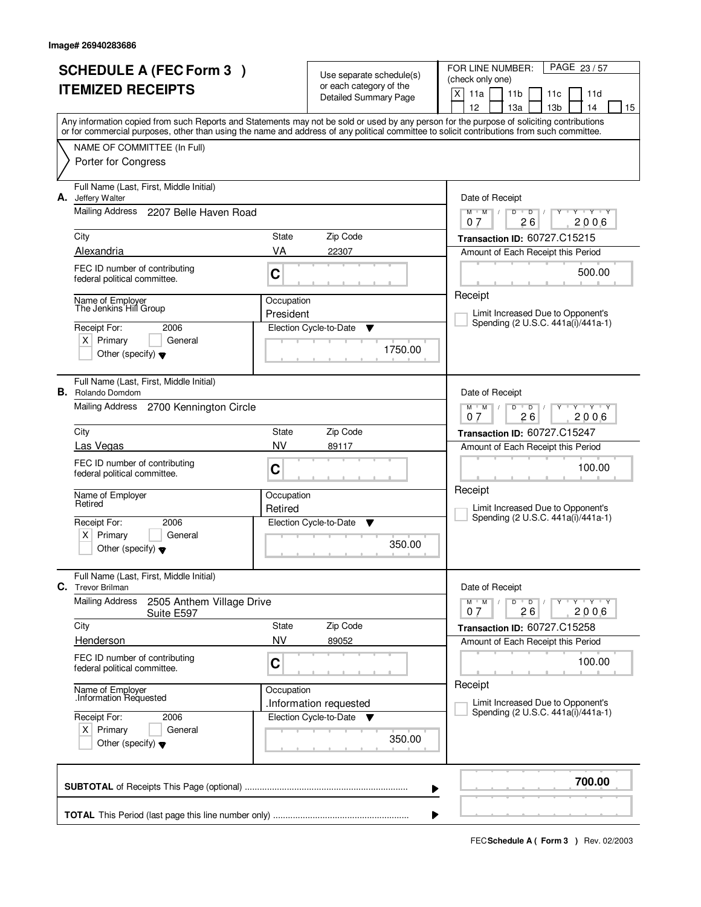|    | <b>SCHEDULE A (FEC Form 3)</b><br><b>ITEMIZED RECEIPTS</b>                                         |                              | Use separate schedule(s)<br>or each category of the<br><b>Detailed Summary Page</b> | PAGE 23/57<br>FOR LINE NUMBER:<br>(check only one)<br>X<br>11a<br>11 <sub>b</sub><br>11d<br>11c<br>12<br>13a<br>13 <sub>b</sub><br>14<br>15                                                                                                                                             |
|----|----------------------------------------------------------------------------------------------------|------------------------------|-------------------------------------------------------------------------------------|-----------------------------------------------------------------------------------------------------------------------------------------------------------------------------------------------------------------------------------------------------------------------------------------|
|    | NAME OF COMMITTEE (In Full)<br>Porter for Congress                                                 |                              |                                                                                     | Any information copied from such Reports and Statements may not be sold or used by any person for the purpose of soliciting contributions<br>or for commercial purposes, other than using the name and address of any political committee to solicit contributions from such committee. |
| А. | Full Name (Last, First, Middle Initial)<br>Jeffery Walter<br>Mailing Address 2207 Belle Haven Road |                              |                                                                                     | Date of Receipt<br>$Y + Y + Y$<br>$\mathsf D$<br>$M$ <sup>U</sup><br>$M$ /<br>D<br>26<br>2006<br>07                                                                                                                                                                                     |
|    | City                                                                                               | State                        | Zip Code                                                                            | Transaction ID: 60727.C15215                                                                                                                                                                                                                                                            |
|    | Alexandria                                                                                         | VA                           | 22307                                                                               | Amount of Each Receipt this Period                                                                                                                                                                                                                                                      |
|    | FEC ID number of contributing<br>federal political committee.                                      | C                            |                                                                                     | 500.00                                                                                                                                                                                                                                                                                  |
|    | Name of Employer<br>The Jenkins Hill Group                                                         | Occupation                   |                                                                                     | Receipt                                                                                                                                                                                                                                                                                 |
|    |                                                                                                    | President                    |                                                                                     | Limit Increased Due to Opponent's<br>Spending (2 U.S.C. 441a(i)/441a-1)                                                                                                                                                                                                                 |
|    | Receipt For:<br>2006<br>$X$ Primary<br>General<br>Other (specify) $\blacktriangledown$             |                              | Election Cycle-to-Date<br>v<br>1750.00                                              |                                                                                                                                                                                                                                                                                         |
|    | Full Name (Last, First, Middle Initial)<br><b>B.</b> Rolando Domdom                                |                              |                                                                                     | Date of Receipt                                                                                                                                                                                                                                                                         |
|    | Mailing Address<br>2700 Kennington Circle                                                          |                              |                                                                                     | $M$ $M$ /<br>D<br>$\overline{D}$<br>Y Y Y Y<br>26<br>0.7<br>2006                                                                                                                                                                                                                        |
|    | City                                                                                               | Transaction ID: 60727.C15247 |                                                                                     |                                                                                                                                                                                                                                                                                         |
|    | Las Vegas                                                                                          | <b>NV</b>                    | 89117                                                                               | Amount of Each Receipt this Period                                                                                                                                                                                                                                                      |
|    | FEC ID number of contributing<br>federal political committee.                                      | C                            |                                                                                     | 100.00                                                                                                                                                                                                                                                                                  |
|    | Name of Employer<br>Retired                                                                        | Occupation                   |                                                                                     | Receipt<br>Limit Increased Due to Opponent's                                                                                                                                                                                                                                            |
|    | Receipt For:<br>2006                                                                               | Retired                      | Election Cycle-to-Date<br>▼                                                         | Spending (2 U.S.C. 441a(i)/441a-1)                                                                                                                                                                                                                                                      |
|    | $\times$<br>Primary<br>General<br>Other (specify) $\bullet$                                        |                              | 350.00                                                                              |                                                                                                                                                                                                                                                                                         |
| C. | Full Name (Last, First, Middle Initial)<br><b>Trevor Brilman</b>                                   |                              |                                                                                     | Date of Receipt                                                                                                                                                                                                                                                                         |
|    | <b>Mailing Address</b><br>2505 Anthem Village Drive<br>Suite E597                                  |                              |                                                                                     | $D$ $D$ $/$<br>$M$ $M$ $M$ $I$<br>Y TY TY TY<br>26<br>2006<br>07                                                                                                                                                                                                                        |
|    | City<br>Henderson                                                                                  | State<br><b>NV</b>           | Zip Code<br>89052                                                                   | Transaction ID: 60727.C15258<br>Amount of Each Receipt this Period                                                                                                                                                                                                                      |
|    | FEC ID number of contributing<br>federal political committee.                                      | C                            |                                                                                     | 100.00                                                                                                                                                                                                                                                                                  |
|    | Name of Employer<br>Information Requested                                                          | Occupation                   | .Information requested                                                              | Receipt<br>Limit Increased Due to Opponent's                                                                                                                                                                                                                                            |
|    | Receipt For:<br>2006<br>$X$ Primary<br>General<br>Other (specify) $\blacktriangledown$             |                              | Election Cycle-to-Date ▼<br>350.00                                                  | Spending (2 U.S.C. 441a(i)/441a-1)                                                                                                                                                                                                                                                      |
|    |                                                                                                    |                              |                                                                                     | 700.00<br>▶                                                                                                                                                                                                                                                                             |
|    |                                                                                                    |                              |                                                                                     |                                                                                                                                                                                                                                                                                         |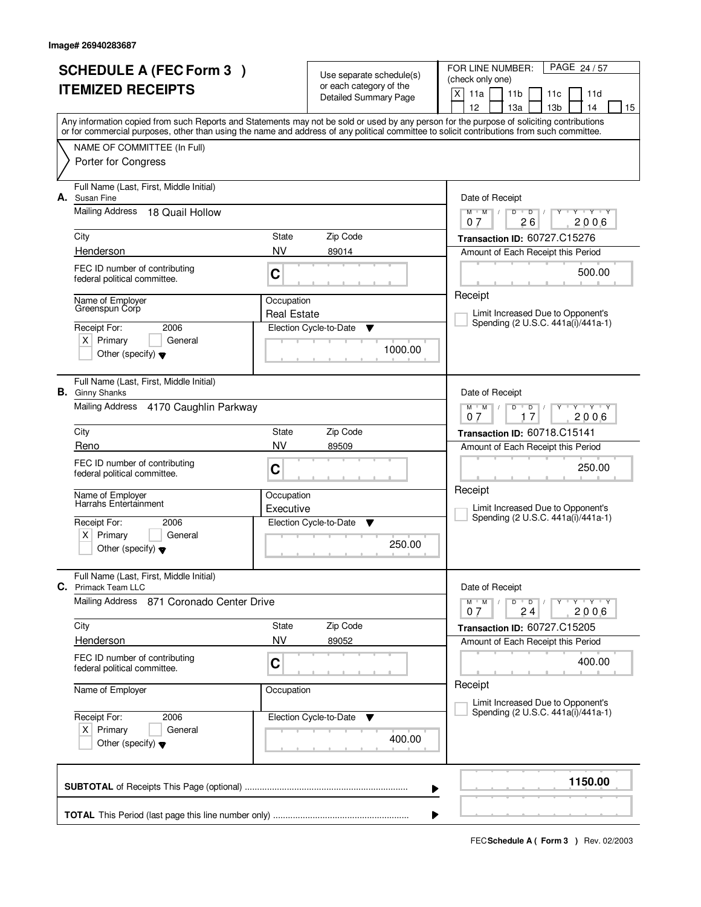|    | <b>SCHEDULE A (FEC Form 3)</b><br><b>ITEMIZED RECEIPTS</b>                             |                                          | Use separate schedule(s)<br>or each category of the<br><b>Detailed Summary Page</b> | PAGE 24/57<br>FOR LINE NUMBER:<br>(check only one)<br>X<br>11a<br>11 <sub>b</sub><br>11d<br>11c                                                                                                                                                                                                                                     |  |  |  |
|----|----------------------------------------------------------------------------------------|------------------------------------------|-------------------------------------------------------------------------------------|-------------------------------------------------------------------------------------------------------------------------------------------------------------------------------------------------------------------------------------------------------------------------------------------------------------------------------------|--|--|--|
|    |                                                                                        |                                          |                                                                                     | 12<br>13a<br>13 <sub>b</sub><br>14<br>15<br>Any information copied from such Reports and Statements may not be sold or used by any person for the purpose of soliciting contributions<br>or for commercial purposes, other than using the name and address of any political committee to solicit contributions from such committee. |  |  |  |
|    | NAME OF COMMITTEE (In Full)<br>Porter for Congress                                     |                                          |                                                                                     |                                                                                                                                                                                                                                                                                                                                     |  |  |  |
| А. | Full Name (Last, First, Middle Initial)<br>Susan Fine                                  |                                          |                                                                                     | Date of Receipt                                                                                                                                                                                                                                                                                                                     |  |  |  |
|    | <b>Mailing Address</b><br>18 Quail Hollow<br>City                                      | State                                    | Zip Code                                                                            | $Y + Y + Y$<br>$M$ $M$ /<br>D<br>$\overline{D}$ /<br>$Y$ <sup><math>\top</math></sup><br>26<br>2006<br>07                                                                                                                                                                                                                           |  |  |  |
|    | Henderson                                                                              | <b>NV</b>                                | 89014                                                                               | Transaction ID: 60727.C15276<br>Amount of Each Receipt this Period                                                                                                                                                                                                                                                                  |  |  |  |
|    | FEC ID number of contributing<br>federal political committee.                          | C                                        |                                                                                     | 500.00                                                                                                                                                                                                                                                                                                                              |  |  |  |
|    | Name of Employer<br>Greenspun Corp                                                     | Occupation<br><b>Real Estate</b>         |                                                                                     | Receipt<br>Limit Increased Due to Opponent's                                                                                                                                                                                                                                                                                        |  |  |  |
|    | 2006<br>Receipt For:<br>$X$ Primary<br>General<br>Other (specify) $\blacktriangledown$ |                                          | Election Cycle-to-Date<br>▼<br>1000.00                                              | Spending (2 U.S.C. 441a(i)/441a-1)                                                                                                                                                                                                                                                                                                  |  |  |  |
|    | Full Name (Last, First, Middle Initial)<br><b>B.</b> Ginny Shanks                      |                                          |                                                                                     | Date of Receipt                                                                                                                                                                                                                                                                                                                     |  |  |  |
|    | Mailing Address 4170 Caughlin Parkway                                                  |                                          |                                                                                     | $Y - Y - Y$<br>$M$ $M$ /<br>D<br>D<br>17<br>2006<br>0.7                                                                                                                                                                                                                                                                             |  |  |  |
|    | City                                                                                   | State                                    | Zip Code                                                                            | Transaction ID: 60718.C15141                                                                                                                                                                                                                                                                                                        |  |  |  |
|    | Reno                                                                                   | <b>NV</b>                                | 89509                                                                               | Amount of Each Receipt this Period                                                                                                                                                                                                                                                                                                  |  |  |  |
|    | FEC ID number of contributing<br>federal political committee.                          | C                                        |                                                                                     | 250.00<br>Receipt                                                                                                                                                                                                                                                                                                                   |  |  |  |
|    | Name of Employer<br>Harrahs Entertainment                                              | Occupation                               |                                                                                     | Limit Increased Due to Opponent's                                                                                                                                                                                                                                                                                                   |  |  |  |
|    | Receipt For:<br>2006                                                                   | Executive<br>Election Cycle-to-Date<br>▼ |                                                                                     | Spending (2 U.S.C. 441a(i)/441a-1)                                                                                                                                                                                                                                                                                                  |  |  |  |
|    | $\times$<br>Primary<br>General<br>Other (specify) $\blacktriangledown$                 |                                          | 250.00                                                                              |                                                                                                                                                                                                                                                                                                                                     |  |  |  |
| C. | Full Name (Last, First, Middle Initial)<br><b>Primack Team LLC</b>                     |                                          |                                                                                     | Date of Receipt                                                                                                                                                                                                                                                                                                                     |  |  |  |
|    | Mailing Address 871 Coronado Center Drive                                              |                                          |                                                                                     | D<br>$M$ $M$ /<br>$\overline{D}$<br>$Y + Y + Y$<br>2006<br>24<br>07                                                                                                                                                                                                                                                                 |  |  |  |
|    | City                                                                                   | State                                    | Zip Code                                                                            | <b>Transaction ID: 60727.C15205</b>                                                                                                                                                                                                                                                                                                 |  |  |  |
|    | Henderson                                                                              | NV                                       | 89052                                                                               | Amount of Each Receipt this Period                                                                                                                                                                                                                                                                                                  |  |  |  |
|    | FEC ID number of contributing<br>federal political committee.                          | C                                        |                                                                                     | 400.00<br>Receipt                                                                                                                                                                                                                                                                                                                   |  |  |  |
|    | Name of Employer                                                                       | Occupation                               |                                                                                     | Limit Increased Due to Opponent's                                                                                                                                                                                                                                                                                                   |  |  |  |
|    | Receipt For:<br>2006                                                                   |                                          | Election Cycle-to-Date<br>v                                                         | Spending (2 U.S.C. 441a(i)/441a-1)                                                                                                                                                                                                                                                                                                  |  |  |  |
|    | $X$ Primary<br>General<br>Other (specify) $\blacktriangledown$                         |                                          | 400.00                                                                              |                                                                                                                                                                                                                                                                                                                                     |  |  |  |
|    |                                                                                        |                                          |                                                                                     | 1150.00<br>▶                                                                                                                                                                                                                                                                                                                        |  |  |  |
|    |                                                                                        |                                          |                                                                                     |                                                                                                                                                                                                                                                                                                                                     |  |  |  |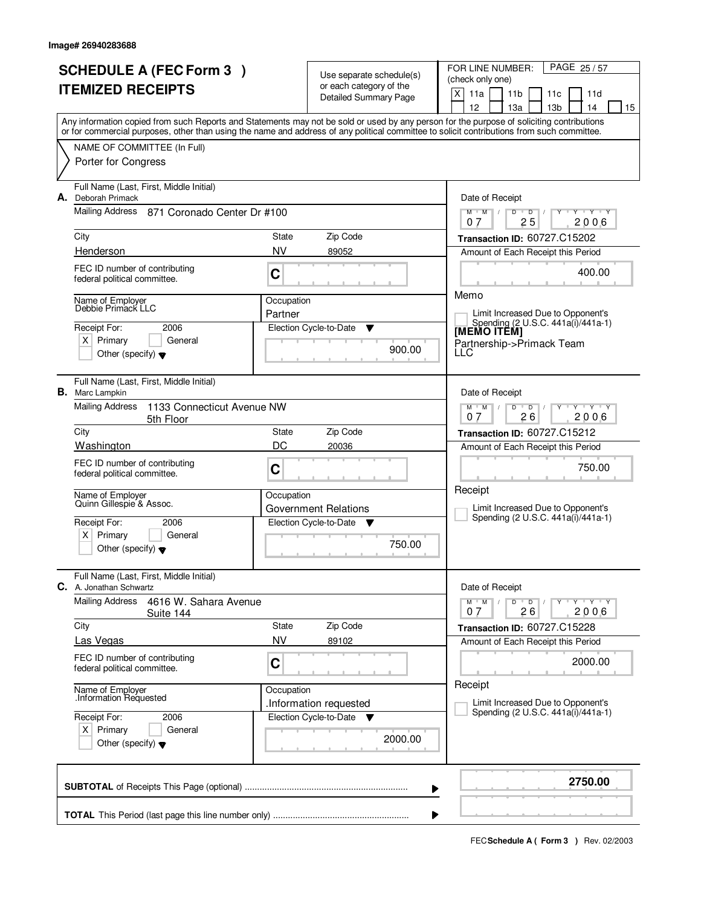| <b>SCHEDULE A (FEC Form 3)</b><br><b>ITEMIZED RECEIPTS</b> |                                                                                                                                                                                                                                                                                         |            | Use separate schedule(s)<br>or each category of the | PAGE 25/57<br>FOR LINE NUMBER:<br>(check only one)<br>X<br>11a<br>11 <sub>b</sub><br>11d<br>11c |  |  |
|------------------------------------------------------------|-----------------------------------------------------------------------------------------------------------------------------------------------------------------------------------------------------------------------------------------------------------------------------------------|------------|-----------------------------------------------------|-------------------------------------------------------------------------------------------------|--|--|
|                                                            |                                                                                                                                                                                                                                                                                         |            | <b>Detailed Summary Page</b>                        | 12<br>13 <sub>b</sub><br>14<br>15<br>13a                                                        |  |  |
|                                                            | Any information copied from such Reports and Statements may not be sold or used by any person for the purpose of soliciting contributions<br>or for commercial purposes, other than using the name and address of any political committee to solicit contributions from such committee. |            |                                                     |                                                                                                 |  |  |
|                                                            | NAME OF COMMITTEE (In Full)                                                                                                                                                                                                                                                             |            |                                                     |                                                                                                 |  |  |
|                                                            | Porter for Congress                                                                                                                                                                                                                                                                     |            |                                                     |                                                                                                 |  |  |
|                                                            | Full Name (Last, First, Middle Initial)<br>A. Deborah Primack                                                                                                                                                                                                                           |            |                                                     | Date of Receipt                                                                                 |  |  |
|                                                            | Mailing Address<br>871 Coronado Center Dr #100                                                                                                                                                                                                                                          |            |                                                     | $Y + Y + Y$<br>$M$ $M$ /<br>$\overline{D}$<br>$\overline{D}$<br>25<br>2006<br>07                |  |  |
|                                                            | City                                                                                                                                                                                                                                                                                    | State      | Zip Code                                            | Transaction ID: 60727.C15202                                                                    |  |  |
|                                                            | Henderson                                                                                                                                                                                                                                                                               | <b>NV</b>  | 89052                                               | Amount of Each Receipt this Period                                                              |  |  |
|                                                            | FEC ID number of contributing<br>federal political committee.                                                                                                                                                                                                                           | C          |                                                     | 400.00                                                                                          |  |  |
|                                                            | Name of Employer                                                                                                                                                                                                                                                                        | Occupation |                                                     | Memo                                                                                            |  |  |
|                                                            | Debbie Primack LLC                                                                                                                                                                                                                                                                      | Partner    |                                                     | Limit Increased Due to Opponent's<br>Spending (2 U.S.C. 441a(i)/441a-1)                         |  |  |
|                                                            | Receipt For:<br>2006                                                                                                                                                                                                                                                                    |            | Election Cycle-to-Date<br>Y                         | <b>IMEMO ITÈMI</b>                                                                              |  |  |
|                                                            | $X$ Primary<br>General<br>Other (specify) $\blacktriangledown$                                                                                                                                                                                                                          |            | 900.00                                              | Partnership->Primack Team<br>LLC                                                                |  |  |
| В.                                                         | Full Name (Last, First, Middle Initial)<br>Marc Lampkin                                                                                                                                                                                                                                 |            |                                                     | Date of Receipt                                                                                 |  |  |
|                                                            | <b>Mailing Address</b><br>1133 Connecticut Avenue NW<br>5th Floor                                                                                                                                                                                                                       |            |                                                     | $Y - Y - Y$<br>$M$ $M$ /<br>D<br>$\mathsf D$<br>2006<br>07<br>26                                |  |  |
|                                                            | City                                                                                                                                                                                                                                                                                    | State      | Zip Code                                            | Transaction ID: 60727.C15212                                                                    |  |  |
|                                                            | Washington                                                                                                                                                                                                                                                                              | DC         | 20036                                               | Amount of Each Receipt this Period                                                              |  |  |
|                                                            | FEC ID number of contributing<br>federal political committee.                                                                                                                                                                                                                           | C          |                                                     | 750.00<br>Receipt                                                                               |  |  |
|                                                            | Name of Employer<br>Quinn Gillespie & Assoc.                                                                                                                                                                                                                                            | Occupation |                                                     |                                                                                                 |  |  |
|                                                            |                                                                                                                                                                                                                                                                                         |            | <b>Government Relations</b>                         | Limit Increased Due to Opponent's<br>Spending (2 U.S.C. 441a(i)/441a-1)                         |  |  |
|                                                            | Receipt For:<br>2006<br>$\times$<br>Primary<br>General                                                                                                                                                                                                                                  |            | Election Cycle-to-Date<br><b>V</b>                  |                                                                                                 |  |  |
|                                                            | Other (specify) $\blacktriangledown$                                                                                                                                                                                                                                                    |            | 750.00                                              |                                                                                                 |  |  |
|                                                            | Full Name (Last, First, Middle Initial)<br>C. A. Jonathan Schwartz                                                                                                                                                                                                                      |            |                                                     | Date of Receipt                                                                                 |  |  |
|                                                            | <b>Mailing Address</b><br>4616 W. Sahara Avenue<br>Suite 144                                                                                                                                                                                                                            |            |                                                     | Y Y Y Y<br>$M$ $M$<br>$\sqrt{ }$<br>D<br>$\overline{D}$<br>2006<br>26<br>07                     |  |  |
|                                                            | City                                                                                                                                                                                                                                                                                    | State      | Zip Code                                            | <b>Transaction ID: 60727.C15228</b>                                                             |  |  |
|                                                            | Las Vegas                                                                                                                                                                                                                                                                               | <b>NV</b>  | 89102                                               | Amount of Each Receipt this Period                                                              |  |  |
|                                                            | FEC ID number of contributing<br>federal political committee.                                                                                                                                                                                                                           | C          |                                                     | 2000.00                                                                                         |  |  |
|                                                            | Name of Employer<br>Information Requested                                                                                                                                                                                                                                               | Occupation | Information requested                               | Receipt<br>Limit Increased Due to Opponent's                                                    |  |  |
|                                                            | Receipt For:<br>2006                                                                                                                                                                                                                                                                    |            | Election Cycle-to-Date<br><b>V</b>                  | Spending (2 U.S.C. 441a(i)/441a-1)                                                              |  |  |
|                                                            | $X$ Primary<br>General<br>Other (specify) $\blacktriangledown$                                                                                                                                                                                                                          |            | 2000.00                                             |                                                                                                 |  |  |
|                                                            |                                                                                                                                                                                                                                                                                         |            | ▶                                                   | 2750.00                                                                                         |  |  |
|                                                            |                                                                                                                                                                                                                                                                                         |            |                                                     |                                                                                                 |  |  |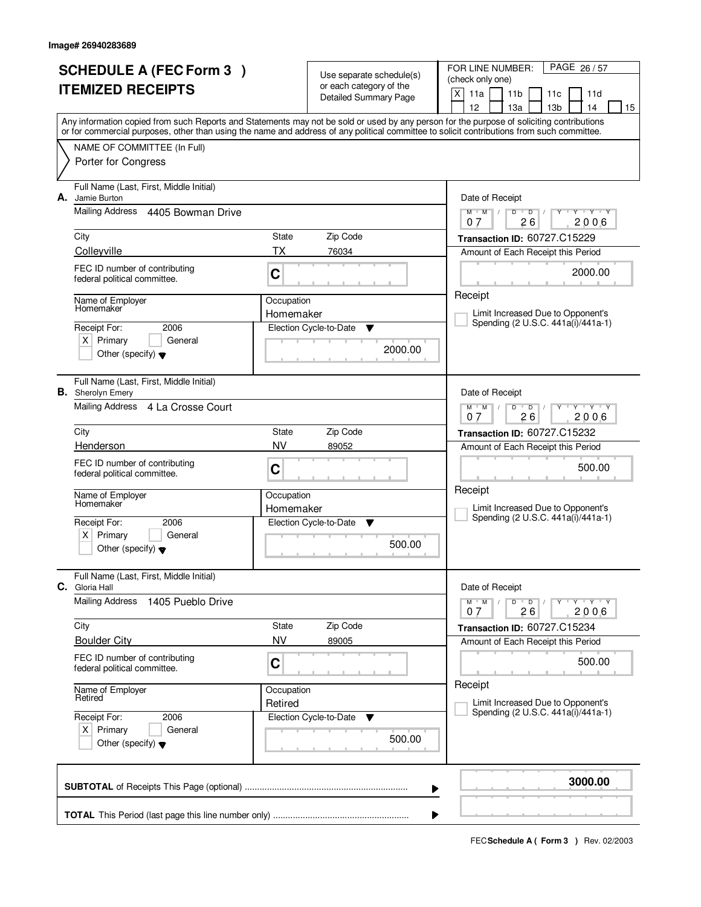| <b>SCHEDULE A (FEC Form 3)</b> |                                                               |            | Use separate schedule(s)                         | FOR LINE NUMBER:<br>PAGE 26/57<br>(check only one)                                                                                                                                                                                                                                             |
|--------------------------------|---------------------------------------------------------------|------------|--------------------------------------------------|------------------------------------------------------------------------------------------------------------------------------------------------------------------------------------------------------------------------------------------------------------------------------------------------|
|                                | <b>ITEMIZED RECEIPTS</b>                                      |            | or each category of the<br>Detailed Summary Page | X<br>11a<br>11 <sub>b</sub><br>11d<br>11c<br>12<br>13 <sub>b</sub><br>15<br>14                                                                                                                                                                                                                 |
|                                |                                                               |            |                                                  | 13a<br>Any information copied from such Reports and Statements may not be sold or used by any person for the purpose of soliciting contributions<br>or for commercial purposes, other than using the name and address of any political committee to solicit contributions from such committee. |
|                                | NAME OF COMMITTEE (In Full)                                   |            |                                                  |                                                                                                                                                                                                                                                                                                |
| Porter for Congress            |                                                               |            |                                                  |                                                                                                                                                                                                                                                                                                |
| А.<br>Jamie Burton             | Full Name (Last, First, Middle Initial)                       |            |                                                  | Date of Receipt                                                                                                                                                                                                                                                                                |
|                                | Mailing Address 4405 Bowman Drive                             |            |                                                  | $\overline{D}$<br>$Y + Y + Y$<br>$M$ $M$ /<br>D<br>26<br>2006<br>07                                                                                                                                                                                                                            |
| City                           |                                                               | State      | Zip Code                                         | Transaction ID: 60727.C15229                                                                                                                                                                                                                                                                   |
| Colleyville                    |                                                               | <b>TX</b>  | 76034                                            | Amount of Each Receipt this Period                                                                                                                                                                                                                                                             |
|                                | FEC ID number of contributing<br>federal political committee. | C          |                                                  | 2000.00                                                                                                                                                                                                                                                                                        |
|                                | Name of Employer<br>Homemaker                                 |            | Occupation<br>Homemaker                          | Receipt<br>Limit Increased Due to Opponent's                                                                                                                                                                                                                                                   |
| Receipt For:                   | 2006                                                          |            | Election Cycle-to-Date<br>Y                      | Spending (2 U.S.C. 441a(i)/441a-1)                                                                                                                                                                                                                                                             |
| $X$ Primary                    | General<br>Other (specify) $\blacktriangledown$               |            | 2000.00                                          |                                                                                                                                                                                                                                                                                                |
| <b>B.</b> Sherolyn Emery       | Full Name (Last, First, Middle Initial)                       |            |                                                  | Date of Receipt                                                                                                                                                                                                                                                                                |
|                                | Mailing Address 4 La Crosse Court                             |            |                                                  | $Y$ $Y$ $Y$<br>$M$ $M$ /<br>D<br>$\overline{D}$<br>26<br>2006<br>07                                                                                                                                                                                                                            |
| City                           |                                                               | State      | Zip Code                                         | Transaction ID: 60727.C15232                                                                                                                                                                                                                                                                   |
| Henderson                      |                                                               | <b>NV</b>  | 89052                                            | Amount of Each Receipt this Period                                                                                                                                                                                                                                                             |
|                                | FEC ID number of contributing<br>federal political committee. | C          |                                                  | 500.00                                                                                                                                                                                                                                                                                         |
| Name of Employer<br>Homemaker  |                                                               | Occupation |                                                  | Receipt                                                                                                                                                                                                                                                                                        |
|                                |                                                               | Homemaker  |                                                  | Limit Increased Due to Opponent's<br>Spending (2 U.S.C. 441a(i)/441a-1)                                                                                                                                                                                                                        |
| Receipt For:<br>Primary<br>ΧI  | 2006<br>General                                               |            | Election Cycle-to-Date<br>- V                    |                                                                                                                                                                                                                                                                                                |
|                                | Other (specify) $\blacktriangledown$                          |            | 500.00                                           |                                                                                                                                                                                                                                                                                                |
| <b>C.</b> Gloria Hall          | Full Name (Last, First, Middle Initial)                       |            |                                                  | Date of Receipt                                                                                                                                                                                                                                                                                |
| Mailing Address                | 1405 Pueblo Drive                                             |            |                                                  | $M$ $M$ $/$<br>D<br>$\overline{D}$<br>$Y - Y - Y - Y$<br>26<br>2006<br>07                                                                                                                                                                                                                      |
| City                           |                                                               | State      | Zip Code                                         | Transaction ID: 60727.C15234                                                                                                                                                                                                                                                                   |
| <b>Boulder City</b>            |                                                               | <b>NV</b>  | 89005                                            | Amount of Each Receipt this Period                                                                                                                                                                                                                                                             |
|                                | FEC ID number of contributing<br>federal political committee. | C          |                                                  | 500.00                                                                                                                                                                                                                                                                                         |
| Name of Employer<br>Retired    |                                                               | Occupation |                                                  | Receipt                                                                                                                                                                                                                                                                                        |
| Receipt For:                   | 2006                                                          | Retired    | Election Cycle-to-Date<br>v                      | Limit Increased Due to Opponent's<br>Spending (2 U.S.C. 441a(i)/441a-1)                                                                                                                                                                                                                        |
| $X$ Primary                    | General<br>Other (specify) $\blacktriangledown$               |            | 500.00                                           |                                                                                                                                                                                                                                                                                                |
|                                |                                                               |            |                                                  | 3000.00<br>▶                                                                                                                                                                                                                                                                                   |
|                                |                                                               |            |                                                  |                                                                                                                                                                                                                                                                                                |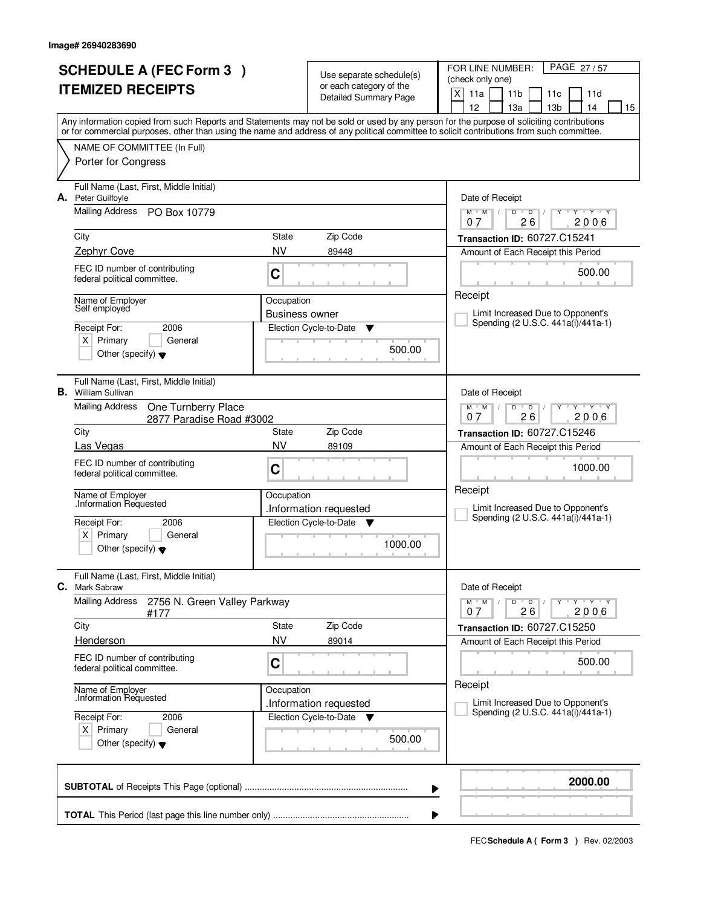| <b>SCHEDULE A (FEC Form 3)</b><br><b>ITEMIZED RECEIPTS</b> |                                                                                                                                                                                                                                                                                         |                       | Use separate schedule(s)<br>or each category of the<br>Detailed Summary Page | PAGE 27/57<br>FOR LINE NUMBER:<br>(check only one)<br>$\times$<br>11a<br>11 <sub>b</sub><br>11d<br>11c                            |
|------------------------------------------------------------|-----------------------------------------------------------------------------------------------------------------------------------------------------------------------------------------------------------------------------------------------------------------------------------------|-----------------------|------------------------------------------------------------------------------|-----------------------------------------------------------------------------------------------------------------------------------|
|                                                            |                                                                                                                                                                                                                                                                                         |                       |                                                                              | 12<br>13a<br>13 <sub>b</sub><br>14<br>15                                                                                          |
|                                                            | Any information copied from such Reports and Statements may not be sold or used by any person for the purpose of soliciting contributions<br>or for commercial purposes, other than using the name and address of any political committee to solicit contributions from such committee. |                       |                                                                              |                                                                                                                                   |
|                                                            | NAME OF COMMITTEE (In Full)<br>Porter for Congress                                                                                                                                                                                                                                      |                       |                                                                              |                                                                                                                                   |
|                                                            |                                                                                                                                                                                                                                                                                         |                       |                                                                              |                                                                                                                                   |
| А.                                                         | Full Name (Last, First, Middle Initial)<br>Peter Guilfoyle                                                                                                                                                                                                                              |                       |                                                                              | Date of Receipt                                                                                                                   |
|                                                            | Mailing Address PO Box 10779                                                                                                                                                                                                                                                            |                       |                                                                              | $Y + Y + Y$<br>$M$ $M$ $/$<br>$\mathsf D$<br>$\blacksquare$ $\blacksquare$ $\blacksquare$ $\blacksquare$<br>Ÿ<br>26<br>2006<br>07 |
|                                                            | City                                                                                                                                                                                                                                                                                    | State                 | Zip Code                                                                     | Transaction ID: 60727.C15241                                                                                                      |
|                                                            | Zephyr Cove                                                                                                                                                                                                                                                                             | <b>NV</b>             | 89448                                                                        | Amount of Each Receipt this Period                                                                                                |
|                                                            | FEC ID number of contributing<br>federal political committee.                                                                                                                                                                                                                           | C                     |                                                                              | 500.00                                                                                                                            |
|                                                            | Name of Employer<br>Self employed                                                                                                                                                                                                                                                       | Occupation            |                                                                              | Receipt                                                                                                                           |
|                                                            |                                                                                                                                                                                                                                                                                         | <b>Business owner</b> |                                                                              | Limit Increased Due to Opponent's<br>Spending (2 U.S.C. 441a(i)/441a-1)                                                           |
|                                                            | 2006<br>Receipt For:<br>$X$ Primary<br>General                                                                                                                                                                                                                                          |                       | Election Cycle-to-Date<br>▼                                                  |                                                                                                                                   |
|                                                            | Other (specify) $\blacktriangledown$                                                                                                                                                                                                                                                    |                       | 500.00                                                                       |                                                                                                                                   |
|                                                            | Full Name (Last, First, Middle Initial)<br><b>B.</b> William Sullivan                                                                                                                                                                                                                   | Date of Receipt       |                                                                              |                                                                                                                                   |
|                                                            | <b>Mailing Address</b><br>One Turnberry Place<br>2877 Paradise Road #3002                                                                                                                                                                                                               |                       |                                                                              | $Y - Y - Y$<br>$M$ $M$ /<br>D<br>$\overline{D}$<br>26<br>2006<br>0.7                                                              |
|                                                            | City                                                                                                                                                                                                                                                                                    | State                 | Zip Code                                                                     | <b>Transaction ID: 60727.C15246</b>                                                                                               |
|                                                            | Las Vegas                                                                                                                                                                                                                                                                               | <b>NV</b>             | 89109                                                                        | Amount of Each Receipt this Period                                                                                                |
|                                                            | FEC ID number of contributing<br>federal political committee.                                                                                                                                                                                                                           | C                     |                                                                              | 1000.00                                                                                                                           |
|                                                            | Name of Employer<br>Information Requested                                                                                                                                                                                                                                               | Occupation            |                                                                              | Receipt                                                                                                                           |
|                                                            |                                                                                                                                                                                                                                                                                         |                       | Information requested                                                        | Limit Increased Due to Opponent's<br>Spending (2 U.S.C. 441a(i)/441a-1)                                                           |
|                                                            | Receipt For:<br>2006<br>Primary<br>X∣<br>General                                                                                                                                                                                                                                        |                       | Election Cycle-to-Date ▼                                                     |                                                                                                                                   |
|                                                            | Other (specify) $\blacktriangledown$                                                                                                                                                                                                                                                    |                       | 1000.00                                                                      |                                                                                                                                   |
| С.                                                         | Full Name (Last, First, Middle Initial)<br>Mark Sabraw                                                                                                                                                                                                                                  |                       |                                                                              | Date of Receipt                                                                                                                   |
|                                                            | <b>Mailing Address</b><br>2756 N. Green Valley Parkway<br>#177                                                                                                                                                                                                                          |                       |                                                                              | $M$ $M$ /<br>D<br>$\overline{D}$<br>$Y + Y + Y$<br>2006<br>26<br>07                                                               |
|                                                            | City                                                                                                                                                                                                                                                                                    | State                 | Zip Code                                                                     | Transaction ID: 60727.C15250                                                                                                      |
|                                                            | Henderson                                                                                                                                                                                                                                                                               | NV                    | 89014                                                                        | Amount of Each Receipt this Period                                                                                                |
|                                                            | FEC ID number of contributing<br>federal political committee.                                                                                                                                                                                                                           | C                     |                                                                              | 500.00                                                                                                                            |
|                                                            | Name of Employer<br>Information Requested.                                                                                                                                                                                                                                              | Occupation            |                                                                              | Receipt                                                                                                                           |
|                                                            | Receipt For:                                                                                                                                                                                                                                                                            |                       | .Information requested<br>Election Cycle-to-Date ▼                           | Limit Increased Due to Opponent's<br>Spending (2 U.S.C. 441a(i)/441a-1)                                                           |
|                                                            | 2006<br>$X$ Primary<br>General                                                                                                                                                                                                                                                          |                       |                                                                              |                                                                                                                                   |
|                                                            | Other (specify) $\blacktriangledown$                                                                                                                                                                                                                                                    |                       | 500.00                                                                       |                                                                                                                                   |
|                                                            |                                                                                                                                                                                                                                                                                         |                       | ▶                                                                            | 2000.00                                                                                                                           |
|                                                            |                                                                                                                                                                                                                                                                                         |                       |                                                                              |                                                                                                                                   |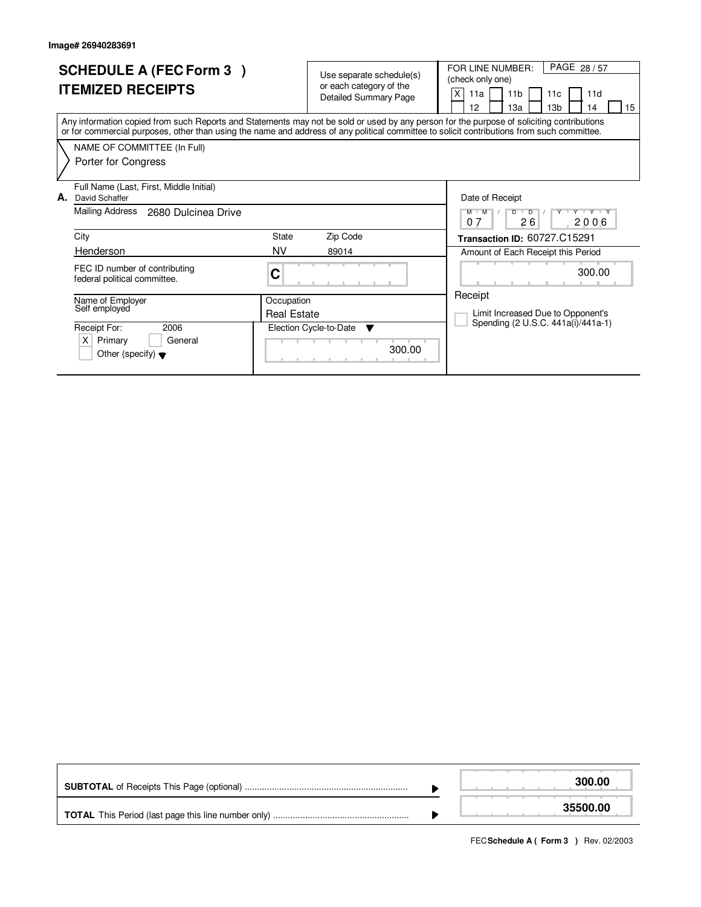| <b>SCHEDULE A (FEC Form 3)</b><br><b>ITEMIZED RECEIPTS</b>                                                                                                                                                                                                                              | Use separate schedule(s)<br>or each category of the<br><b>Detailed Summary Page</b>   |        | PAGE 28/57<br>FOR LINE NUMBER:<br>(check only one)<br>Χ<br>11a<br>11 <sub>b</sub><br>11d<br>11c<br>12<br>13a<br>13 <sub>b</sub><br>14<br>15 |
|-----------------------------------------------------------------------------------------------------------------------------------------------------------------------------------------------------------------------------------------------------------------------------------------|---------------------------------------------------------------------------------------|--------|---------------------------------------------------------------------------------------------------------------------------------------------|
| Any information copied from such Reports and Statements may not be sold or used by any person for the purpose of soliciting contributions<br>or for commercial purposes, other than using the name and address of any political committee to solicit contributions from such committee. |                                                                                       |        |                                                                                                                                             |
| NAME OF COMMITTEE (In Full)<br>Porter for Congress                                                                                                                                                                                                                                      |                                                                                       |        |                                                                                                                                             |
| Full Name (Last, First, Middle Initial)<br>А.<br>David Schaffer<br>Mailing Address<br>2680 Dulcinea Drive                                                                                                                                                                               |                                                                                       |        | Date of Receipt<br>Y Y Y Y Y<br>$\overline{D}$<br>M M<br>D                                                                                  |
| City<br>Henderson                                                                                                                                                                                                                                                                       | <b>State</b><br>Zip Code<br><b>NV</b><br>89014                                        |        | 26<br>2006<br>07<br>Transaction ID: 60727.C15291<br>Amount of Each Receipt this Period                                                      |
| FEC ID number of contributing<br>federal political committee.                                                                                                                                                                                                                           | С                                                                                     |        | 300.00                                                                                                                                      |
| Name of Employer<br>Self employed<br>2006<br>Receipt For:                                                                                                                                                                                                                               | Occupation<br><b>Real Estate</b><br>Election Cycle-to-Date<br>$\overline{\mathbf{v}}$ |        | Receipt<br>Limit Increased Due to Opponent's<br>Spending (2 U.S.C. 441a(i)/441a-1)                                                          |
| $\times$<br>General<br>Primary<br>Other (specify) $\blacktriangledown$                                                                                                                                                                                                                  |                                                                                       | 300.00 |                                                                                                                                             |

|  | 300.00   |
|--|----------|
|  | 35500.00 |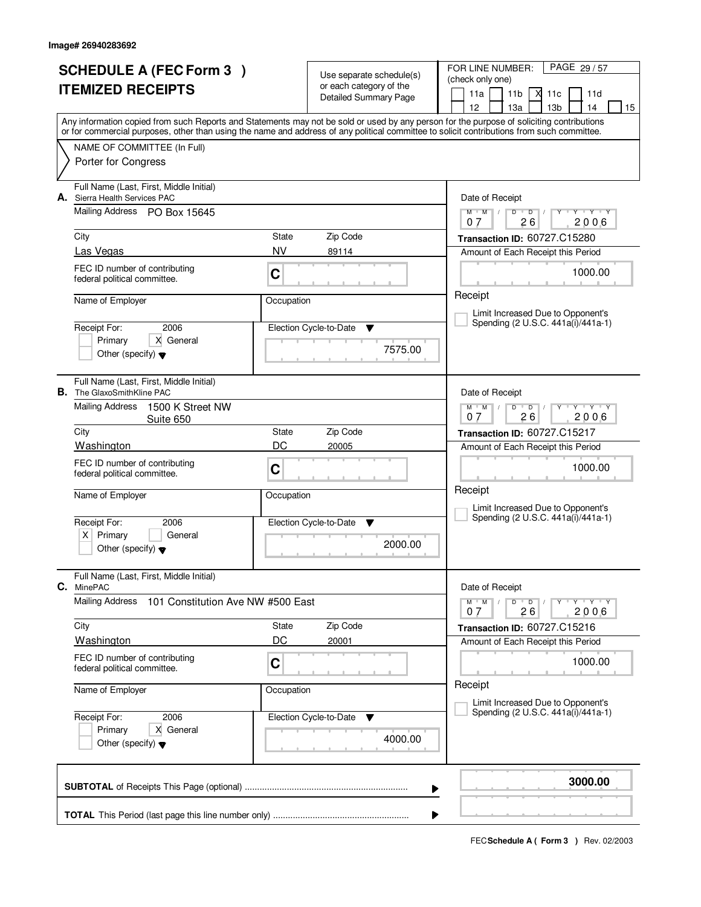| <b>SCHEDULE A (FEC Form 3)</b><br><b>ITEMIZED RECEIPTS</b> |                                                                                                                  |                    | Use separate schedule(s)<br>or each category of the<br><b>Detailed Summary Page</b> | PAGE 29/57<br>FOR LINE NUMBER:<br>(check only one)<br>11a<br>11 <sub>b</sub><br>X<br>11c<br>11d                                                                                                                                                                                                                                     |
|------------------------------------------------------------|------------------------------------------------------------------------------------------------------------------|--------------------|-------------------------------------------------------------------------------------|-------------------------------------------------------------------------------------------------------------------------------------------------------------------------------------------------------------------------------------------------------------------------------------------------------------------------------------|
|                                                            |                                                                                                                  |                    |                                                                                     | 12<br>13a<br>13 <sub>b</sub><br>14<br>15<br>Any information copied from such Reports and Statements may not be sold or used by any person for the purpose of soliciting contributions<br>or for commercial purposes, other than using the name and address of any political committee to solicit contributions from such committee. |
|                                                            | NAME OF COMMITTEE (In Full)<br>Porter for Congress                                                               |                    |                                                                                     |                                                                                                                                                                                                                                                                                                                                     |
| А.                                                         | Full Name (Last, First, Middle Initial)<br>Sierra Health Services PAC<br>Mailing Address PO Box 15645            |                    |                                                                                     | Date of Receipt<br>$D$ $D$<br>$Y + Y + Y$<br>$M$ $M$ $/$                                                                                                                                                                                                                                                                            |
|                                                            | City<br>Las Vegas                                                                                                | State<br><b>NV</b> | Zip Code<br>89114                                                                   | 26<br>2006<br>07<br>Transaction ID: 60727.C15280<br>Amount of Each Receipt this Period                                                                                                                                                                                                                                              |
|                                                            | FEC ID number of contributing<br>C<br>federal political committee.                                               |                    |                                                                                     | 1000.00<br>Receipt                                                                                                                                                                                                                                                                                                                  |
|                                                            | Name of Employer<br>2006<br>Receipt For:                                                                         | Occupation         | Election Cycle-to-Date<br>v                                                         | Limit Increased Due to Opponent's<br>Spending (2 U.S.C. 441a(i)/441a-1)                                                                                                                                                                                                                                                             |
|                                                            | X General<br>Primary<br>Other (specify) $\blacktriangledown$                                                     |                    | 7575.00                                                                             |                                                                                                                                                                                                                                                                                                                                     |
| В.                                                         | Full Name (Last, First, Middle Initial)<br>The GlaxoSmithKline PAC<br><b>Mailing Address</b><br>1500 K Street NW |                    |                                                                                     | Date of Receipt<br>$Y + Y + Y$<br>$M$ $M$<br>$D$ $D$                                                                                                                                                                                                                                                                                |
|                                                            | Suite 650<br>City                                                                                                | State              | Zip Code                                                                            | 26<br>2006<br>0.7<br>Transaction ID: 60727.C15217                                                                                                                                                                                                                                                                                   |
|                                                            | Washington<br>FEC ID number of contributing<br>federal political committee.                                      | DC<br>C            | 20005                                                                               | Amount of Each Receipt this Period<br>1000.00                                                                                                                                                                                                                                                                                       |
|                                                            | Name of Employer<br>Receipt For:<br>2006                                                                         | Occupation         | Election Cycle-to-Date<br><b>V</b>                                                  | Receipt<br>Limit Increased Due to Opponent's<br>Spending (2 U.S.C. 441a(i)/441a-1)                                                                                                                                                                                                                                                  |
|                                                            | $x \mid$<br>Primary<br>General<br>Other (specify) $\blacktriangledown$                                           |                    | 2000.00                                                                             |                                                                                                                                                                                                                                                                                                                                     |
| С.                                                         | Full Name (Last, First, Middle Initial)<br>MinePAC                                                               |                    |                                                                                     | Date of Receipt                                                                                                                                                                                                                                                                                                                     |
|                                                            | Mailing Address<br>101 Constitution Ave NW #500 East                                                             |                    |                                                                                     | $M^{\prime}$ M $\rightarrow$ /<br>D<br>$Y - Y - Y - Y$<br>$\overline{D}$ /<br>2006<br>26<br>07                                                                                                                                                                                                                                      |
|                                                            | City<br>Washington                                                                                               | State<br>DC        | Zip Code<br>20001                                                                   | Transaction ID: 60727.C15216<br>Amount of Each Receipt this Period                                                                                                                                                                                                                                                                  |
|                                                            | FEC ID number of contributing<br>C<br>federal political committee.                                               |                    |                                                                                     | 1000.00<br>Receipt                                                                                                                                                                                                                                                                                                                  |
|                                                            | Name of Employer                                                                                                 | Occupation         |                                                                                     | Limit Increased Due to Opponent's                                                                                                                                                                                                                                                                                                   |
|                                                            | Receipt For:<br>2006<br>Primary<br>X General<br>Other (specify) $\blacktriangledown$                             |                    | Election Cycle-to-Date<br>v<br>4000.00                                              | Spending (2 U.S.C. 441a(i)/441a-1)                                                                                                                                                                                                                                                                                                  |
|                                                            |                                                                                                                  |                    |                                                                                     | 3000.00<br>▶                                                                                                                                                                                                                                                                                                                        |
|                                                            |                                                                                                                  |                    |                                                                                     |                                                                                                                                                                                                                                                                                                                                     |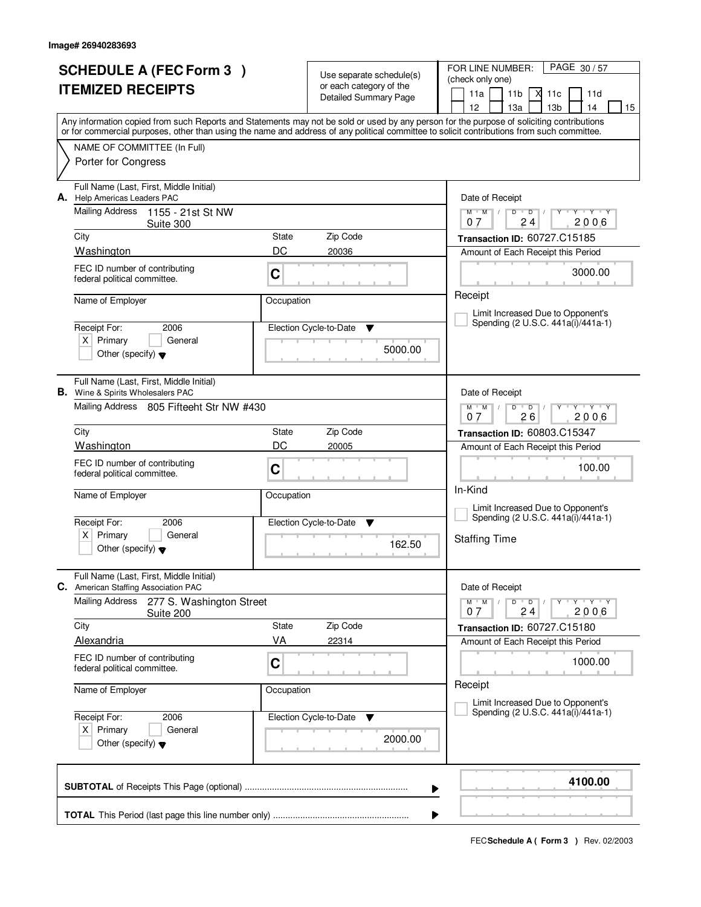| <b>SCHEDULE A (FEC Form 3)</b><br><b>ITEMIZED RECEIPTS</b> |                                                                                        |              | Use separate schedule(s)<br>or each category of the<br><b>Detailed Summary Page</b> | PAGE 30/57<br>FOR LINE NUMBER:<br>(check only one)<br>11a<br>11 <sub>b</sub><br>М<br>11c<br>11d                                                                                                                                                                                                                                     |
|------------------------------------------------------------|----------------------------------------------------------------------------------------|--------------|-------------------------------------------------------------------------------------|-------------------------------------------------------------------------------------------------------------------------------------------------------------------------------------------------------------------------------------------------------------------------------------------------------------------------------------|
|                                                            |                                                                                        |              |                                                                                     | 12<br>13 <sub>b</sub><br>13a<br>14<br>15<br>Any information copied from such Reports and Statements may not be sold or used by any person for the purpose of soliciting contributions<br>or for commercial purposes, other than using the name and address of any political committee to solicit contributions from such committee. |
|                                                            | NAME OF COMMITTEE (In Full)<br>Porter for Congress                                     |              |                                                                                     |                                                                                                                                                                                                                                                                                                                                     |
|                                                            | Full Name (Last, First, Middle Initial)<br>A. Help Americas Leaders PAC                |              |                                                                                     | Date of Receipt                                                                                                                                                                                                                                                                                                                     |
|                                                            | <b>Mailing Address</b><br>1155 - 21st St NW<br>Suite 300                               |              |                                                                                     | $M$ $M$ $/$<br>$D$ $D$<br>Y Y Y Y<br>Y<br>$\perp$<br>2006<br>24<br>07                                                                                                                                                                                                                                                               |
|                                                            | City                                                                                   | State        | Zip Code                                                                            | Transaction ID: 60727.C15185                                                                                                                                                                                                                                                                                                        |
|                                                            | Washington                                                                             | DC           | 20036                                                                               | Amount of Each Receipt this Period                                                                                                                                                                                                                                                                                                  |
|                                                            | FEC ID number of contributing<br>federal political committee.                          | C            |                                                                                     | 3000.00                                                                                                                                                                                                                                                                                                                             |
|                                                            | Name of Employer                                                                       | Occupation   |                                                                                     | Receipt                                                                                                                                                                                                                                                                                                                             |
|                                                            |                                                                                        |              |                                                                                     | Limit Increased Due to Opponent's<br>Spending (2 U.S.C. 441a(i)/441a-1)                                                                                                                                                                                                                                                             |
|                                                            | Receipt For:<br>2006                                                                   |              | Election Cycle-to-Date<br>v                                                         |                                                                                                                                                                                                                                                                                                                                     |
|                                                            | $X$ Primary<br>General<br>Other (specify) $\blacktriangledown$                         |              | 5000.00                                                                             |                                                                                                                                                                                                                                                                                                                                     |
|                                                            | Full Name (Last, First, Middle Initial)<br><b>B.</b> Wine & Spirits Wholesalers PAC    |              |                                                                                     | Date of Receipt                                                                                                                                                                                                                                                                                                                     |
|                                                            | Mailing Address 805 Fifteeht Str NW #430                                               |              |                                                                                     | $\begin{array}{c} \Vdash \mathsf{Y} \quad \Vdash \mathsf{Y} \quad \Vdash \mathsf{Y} \end{array}$<br>$M$ $M$ /<br>$D$ $D$<br>26<br>2006<br>0.7                                                                                                                                                                                       |
|                                                            | City                                                                                   | State        | Zip Code                                                                            | Transaction ID: 60803.C15347                                                                                                                                                                                                                                                                                                        |
|                                                            | Washington                                                                             | DC           | 20005                                                                               | Amount of Each Receipt this Period                                                                                                                                                                                                                                                                                                  |
|                                                            | FEC ID number of contributing<br>federal political committee.                          | C            |                                                                                     | 100.00<br>In-Kind                                                                                                                                                                                                                                                                                                                   |
|                                                            | Name of Employer                                                                       | Occupation   |                                                                                     | Limit Increased Due to Opponent's                                                                                                                                                                                                                                                                                                   |
|                                                            | Receipt For:<br>2006                                                                   |              | Election Cycle-to-Date<br>▼                                                         | Spending (2 U.S.C. 441a(i)/441a-1)                                                                                                                                                                                                                                                                                                  |
|                                                            | $X$ Primary<br>General<br>Other (specify) $\blacktriangledown$                         |              | 162.50                                                                              | <b>Staffing Time</b>                                                                                                                                                                                                                                                                                                                |
|                                                            | Full Name (Last, First, Middle Initial)                                                |              |                                                                                     |                                                                                                                                                                                                                                                                                                                                     |
|                                                            | C. American Staffing Association PAC<br>Mailing Address                                |              |                                                                                     | Date of Receipt<br>$M$ $M$<br>$\mathsf{Y} \dashv \mathsf{Y} \dashv \mathsf{Y}$                                                                                                                                                                                                                                                      |
|                                                            | 277 S. Washington Street<br>Suite 200                                                  |              |                                                                                     | $D$ $D$ $I$<br>2006<br>24<br>07                                                                                                                                                                                                                                                                                                     |
|                                                            | City                                                                                   | <b>State</b> | Zip Code                                                                            | Transaction ID: 60727.C15180                                                                                                                                                                                                                                                                                                        |
|                                                            | Alexandria                                                                             | VA           | 22314                                                                               | Amount of Each Receipt this Period                                                                                                                                                                                                                                                                                                  |
|                                                            | FEC ID number of contributing<br>federal political committee.                          | C            |                                                                                     | 1000.00                                                                                                                                                                                                                                                                                                                             |
|                                                            | Name of Employer                                                                       | Occupation   |                                                                                     | Receipt<br>Limit Increased Due to Opponent's                                                                                                                                                                                                                                                                                        |
|                                                            | Receipt For:<br>2006<br>$X$ Primary<br>General<br>Other (specify) $\blacktriangledown$ |              | Election Cycle-to-Date<br>v<br>2000.00                                              | Spending (2 U.S.C. 441a(i)/441a-1)                                                                                                                                                                                                                                                                                                  |
|                                                            |                                                                                        |              |                                                                                     | 4100.00<br>▶                                                                                                                                                                                                                                                                                                                        |
|                                                            |                                                                                        |              |                                                                                     |                                                                                                                                                                                                                                                                                                                                     |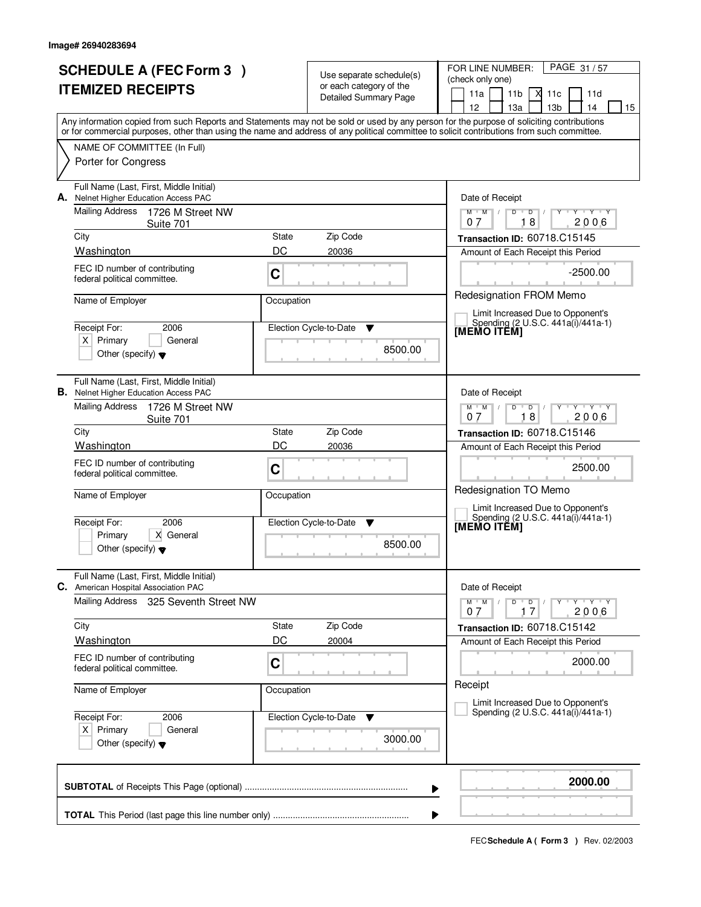| <b>SCHEDULE A (FEC Form 3)</b> |                                                                                         |             | Use separate schedule(s)                         | PAGE 31/57<br>FOR LINE NUMBER:<br>(check only one)                                                                                                                                                 |  |
|--------------------------------|-----------------------------------------------------------------------------------------|-------------|--------------------------------------------------|----------------------------------------------------------------------------------------------------------------------------------------------------------------------------------------------------|--|
| <b>ITEMIZED RECEIPTS</b>       |                                                                                         |             | or each category of the<br>Detailed Summary Page | 11a<br>11 <sub>b</sub><br>X<br>11c<br>11d                                                                                                                                                          |  |
|                                |                                                                                         |             |                                                  | 13 <sub>b</sub><br>12 <sup>2</sup><br>13a<br>14<br>15<br>Any information copied from such Reports and Statements may not be sold or used by any person for the purpose of soliciting contributions |  |
|                                |                                                                                         |             |                                                  | or for commercial purposes, other than using the name and address of any political committee to solicit contributions from such committee.                                                         |  |
|                                | NAME OF COMMITTEE (In Full)<br>Porter for Congress                                      |             |                                                  |                                                                                                                                                                                                    |  |
| А.                             | Full Name (Last, First, Middle Initial)<br>Nelnet Higher Education Access PAC           |             |                                                  | Date of Receipt                                                                                                                                                                                    |  |
|                                | <b>Mailing Address</b><br>1726 M Street NW<br>Suite 701                                 |             |                                                  | $Y + Y + Y$<br>$M$ $M$ /<br>$D$ $D$ $/$<br>$Y$ <sup>U</sup><br>18<br>2006<br>07                                                                                                                    |  |
|                                | City                                                                                    | State       | Zip Code                                         | Transaction ID: 60718.C15145                                                                                                                                                                       |  |
|                                | Washington<br>FEC ID number of contributing                                             | DC          | 20036                                            | Amount of Each Receipt this Period                                                                                                                                                                 |  |
|                                | federal political committee.                                                            | C           |                                                  | $-2500.00$                                                                                                                                                                                         |  |
|                                | Name of Employer                                                                        | Occupation  |                                                  | Redesignation FROM Memo<br>Limit Increased Due to Opponent's                                                                                                                                       |  |
|                                | Receipt For:<br>2006                                                                    |             | Election Cycle-to-Date<br>▼                      | Spending (2 U.S.C. 441a(i)/441a-1)<br>[MEMO ITĔM]                                                                                                                                                  |  |
|                                | $X$ Primary<br>General<br>Other (specify) $\blacktriangledown$                          |             | 8500.00                                          |                                                                                                                                                                                                    |  |
|                                | Full Name (Last, First, Middle Initial)<br><b>B.</b> Nelnet Higher Education Access PAC |             |                                                  | Date of Receipt                                                                                                                                                                                    |  |
|                                | Mailing Address<br>1726 M Street NW<br>Suite 701                                        |             |                                                  | $Y + Y + Y$<br>$M$ $M$ /<br>D<br>$\overline{D}$<br>18<br>2006<br>07                                                                                                                                |  |
|                                | City                                                                                    | State<br>DC | Zip Code                                         | <b>Transaction ID: 60718.C15146</b>                                                                                                                                                                |  |
|                                | Washington<br>FEC ID number of contributing                                             |             | 20036                                            | Amount of Each Receipt this Period                                                                                                                                                                 |  |
|                                | federal political committee.                                                            | C           |                                                  | 2500.00                                                                                                                                                                                            |  |
|                                | Name of Employer                                                                        | Occupation  |                                                  | Redesignation TO Memo                                                                                                                                                                              |  |
|                                | Receipt For:<br>2006                                                                    |             | Election Cycle-to-Date<br><b>V</b>               | Limit Increased Due to Opponent's<br>Spending (2 U.S.C. 441a(i)/441a-1)<br>[MEMO ITEM]                                                                                                             |  |
|                                | Primary<br>X General<br>Other (specify) $\blacktriangledown$                            |             | 8500.00                                          |                                                                                                                                                                                                    |  |
|                                | Full Name (Last, First, Middle Initial)<br>C. American Hospital Association PAC         |             |                                                  | Date of Receipt                                                                                                                                                                                    |  |
|                                | Mailing Address<br>325 Seventh Street NW                                                |             |                                                  | $D$ $D$<br>$M$ $M$ $/$<br>$Y + Y + Y$<br>2006<br>07<br>17                                                                                                                                          |  |
|                                | City                                                                                    | State       | Zip Code                                         | Transaction ID: 60718.C15142                                                                                                                                                                       |  |
|                                | <b>Washington</b>                                                                       | DC          | 20004                                            | Amount of Each Receipt this Period                                                                                                                                                                 |  |
|                                | FEC ID number of contributing<br>federal political committee.                           | C           |                                                  | 2000.00                                                                                                                                                                                            |  |
|                                | Name of Employer                                                                        | Occupation  |                                                  | Receipt<br>Limit Increased Due to Opponent's                                                                                                                                                       |  |
|                                | Receipt For:<br>2006                                                                    |             | Election Cycle-to-Date<br>v                      | Spending (2 U.S.C. 441a(i)/441a-1)                                                                                                                                                                 |  |
|                                | $X$ Primary<br>General<br>Other (specify) $\blacktriangledown$                          |             | 3000.00                                          |                                                                                                                                                                                                    |  |
|                                |                                                                                         |             | ▶                                                | 2000.00                                                                                                                                                                                            |  |
|                                |                                                                                         |             | ▶                                                |                                                                                                                                                                                                    |  |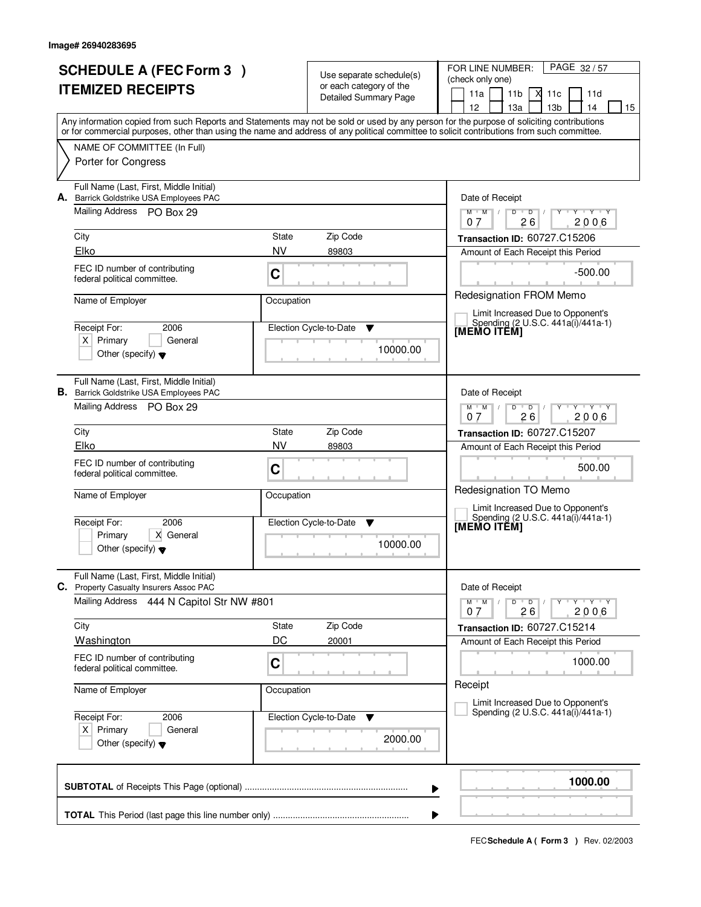|    | <b>SCHEDULE A (FEC Form 3)</b>                                                            |                                                |                                                     | FOR LINE NUMBER:<br>PAGE 32/57                                                                                                                                                                                                                                                          |  |
|----|-------------------------------------------------------------------------------------------|------------------------------------------------|-----------------------------------------------------|-----------------------------------------------------------------------------------------------------------------------------------------------------------------------------------------------------------------------------------------------------------------------------------------|--|
|    | <b>ITEMIZED RECEIPTS</b>                                                                  |                                                | Use separate schedule(s)<br>or each category of the | (check only one)                                                                                                                                                                                                                                                                        |  |
|    |                                                                                           |                                                | <b>Detailed Summary Page</b>                        | 11a<br>11 <sub>b</sub><br>11d<br>-X<br>11c                                                                                                                                                                                                                                              |  |
|    |                                                                                           |                                                |                                                     | 12<br>13 <sub>b</sub><br>13a<br>14<br>15                                                                                                                                                                                                                                                |  |
|    |                                                                                           |                                                |                                                     | Any information copied from such Reports and Statements may not be sold or used by any person for the purpose of soliciting contributions<br>or for commercial purposes, other than using the name and address of any political committee to solicit contributions from such committee. |  |
|    | NAME OF COMMITTEE (In Full)                                                               |                                                |                                                     |                                                                                                                                                                                                                                                                                         |  |
|    | Porter for Congress                                                                       |                                                |                                                     |                                                                                                                                                                                                                                                                                         |  |
| А. | Full Name (Last, First, Middle Initial)<br>Barrick Goldstrike USA Employees PAC           |                                                |                                                     | Date of Receipt                                                                                                                                                                                                                                                                         |  |
|    | Mailing Address PO Box 29                                                                 |                                                |                                                     | $M$ $M$ $/$<br>$Y + Y + Y$<br>D<br>$\overline{D}$<br>26<br>2006<br>07                                                                                                                                                                                                                   |  |
|    | City                                                                                      | State                                          | Zip Code                                            | Transaction ID: 60727.C15206                                                                                                                                                                                                                                                            |  |
|    | Elko                                                                                      | <b>NV</b>                                      | 89803                                               | Amount of Each Receipt this Period                                                                                                                                                                                                                                                      |  |
|    | FEC ID number of contributing<br>federal political committee.                             | $\mathbf C$                                    |                                                     | $-500.00$                                                                                                                                                                                                                                                                               |  |
|    | Name of Employer                                                                          | Occupation                                     |                                                     | Redesignation FROM Memo<br>Limit Increased Due to Opponent's                                                                                                                                                                                                                            |  |
|    | Receipt For:<br>2006                                                                      |                                                | Election Cycle-to-Date<br>v                         | Spending (2 U.S.C. 441a(i)/441a-1)<br>[MEMO ITEM]                                                                                                                                                                                                                                       |  |
|    | $X$ Primary<br>General                                                                    |                                                | 10000.00                                            |                                                                                                                                                                                                                                                                                         |  |
|    | Other (specify) $\blacktriangledown$                                                      |                                                |                                                     |                                                                                                                                                                                                                                                                                         |  |
|    | Full Name (Last, First, Middle Initial)<br><b>B.</b> Barrick Goldstrike USA Employees PAC |                                                |                                                     | Date of Receipt                                                                                                                                                                                                                                                                         |  |
|    | Mailing Address PO Box 29                                                                 |                                                |                                                     | $M$ $M$ /<br>$Y - Y - Y$<br>D<br>$\overline{D}$<br>26<br>2006<br>07                                                                                                                                                                                                                     |  |
|    | City                                                                                      | State                                          | Zip Code                                            | <b>Transaction ID: 60727.C15207</b>                                                                                                                                                                                                                                                     |  |
|    | Elko                                                                                      | <b>NV</b>                                      | 89803                                               | Amount of Each Receipt this Period                                                                                                                                                                                                                                                      |  |
|    | FEC ID number of contributing<br>federal political committee.                             | $\mathbf C$                                    |                                                     | 500.00                                                                                                                                                                                                                                                                                  |  |
|    | Name of Employer                                                                          | Occupation                                     |                                                     | Redesignation TO Memo<br>Limit Increased Due to Opponent's                                                                                                                                                                                                                              |  |
|    | Receipt For:<br>2006                                                                      | Election Cycle-to-Date<br><b>V</b><br>10000.00 |                                                     | Spending (2 U.S.C. 441a(i)/441a-1)<br>[MEMO ITEM]                                                                                                                                                                                                                                       |  |
|    | Primary<br>X General                                                                      |                                                |                                                     |                                                                                                                                                                                                                                                                                         |  |
|    | Other (specify) $\blacktriangledown$                                                      |                                                |                                                     |                                                                                                                                                                                                                                                                                         |  |
|    | Full Name (Last, First, Middle Initial)<br>C. Property Casualty Insurers Assoc PAC        |                                                |                                                     | Date of Receipt                                                                                                                                                                                                                                                                         |  |
|    | <b>Mailing Address</b><br>444 N Capitol Str NW #801                                       |                                                |                                                     | $M$ $M$ /<br>D<br>$\overline{D}$<br>$Y + Y + Y$<br>2006<br>26<br>07                                                                                                                                                                                                                     |  |
|    | City                                                                                      | State                                          | Zip Code                                            | Transaction ID: 60727.C15214                                                                                                                                                                                                                                                            |  |
|    | <b>Washington</b>                                                                         | DC                                             | 20001                                               | Amount of Each Receipt this Period                                                                                                                                                                                                                                                      |  |
|    | FEC ID number of contributing<br>federal political committee.                             | $\mathbf C$                                    |                                                     | 1000.00                                                                                                                                                                                                                                                                                 |  |
|    | Name of Employer                                                                          | Occupation                                     |                                                     | Receipt<br>Limit Increased Due to Opponent's                                                                                                                                                                                                                                            |  |
|    | Receipt For:<br>2006                                                                      |                                                | Election Cycle-to-Date<br>v                         | Spending (2 U.S.C. 441a(i)/441a-1)                                                                                                                                                                                                                                                      |  |
|    | $X$ Primary<br>General<br>Other (specify) $\blacktriangledown$                            |                                                | 2000.00                                             |                                                                                                                                                                                                                                                                                         |  |
|    |                                                                                           |                                                |                                                     | 1000.00<br>▶                                                                                                                                                                                                                                                                            |  |
|    |                                                                                           |                                                |                                                     |                                                                                                                                                                                                                                                                                         |  |
|    |                                                                                           |                                                |                                                     |                                                                                                                                                                                                                                                                                         |  |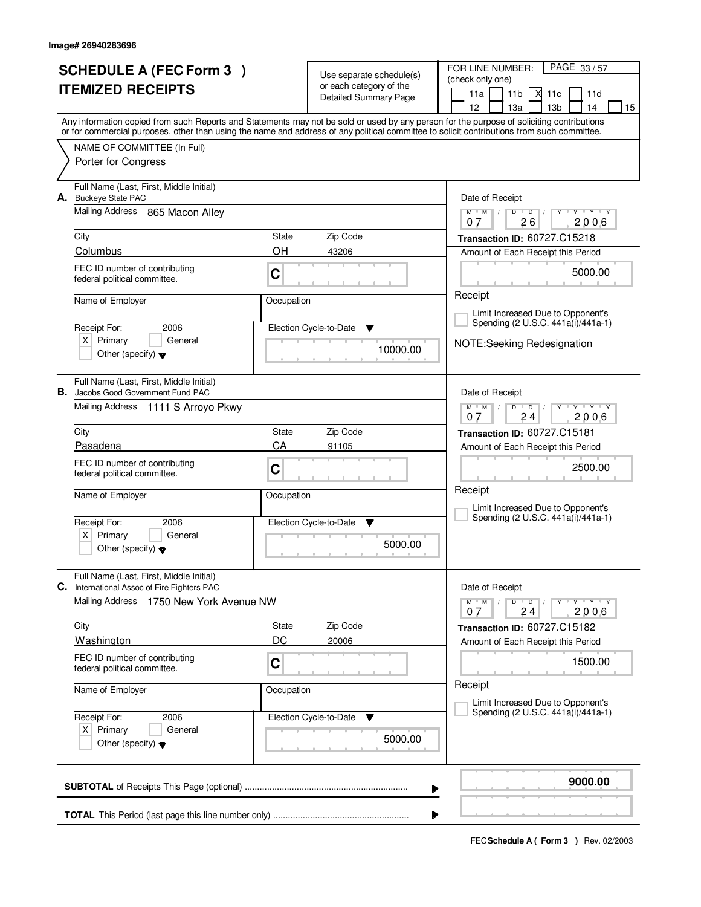|    | <b>SCHEDULE A (FEC Form 3)</b>                                                       |             | Use separate schedule(s)     | FOR LINE NUMBER:<br>PAGE 33/57                                                                                                             |  |  |
|----|--------------------------------------------------------------------------------------|-------------|------------------------------|--------------------------------------------------------------------------------------------------------------------------------------------|--|--|
|    | <b>ITEMIZED RECEIPTS</b>                                                             |             | or each category of the      | (check only one)                                                                                                                           |  |  |
|    |                                                                                      |             | <b>Detailed Summary Page</b> | 11a<br>11 <sub>b</sub><br>11d<br>X<br>11c<br>12<br>13 <sub>b</sub><br>13a<br>14<br>15                                                      |  |  |
|    |                                                                                      |             |                              | Any information copied from such Reports and Statements may not be sold or used by any person for the purpose of soliciting contributions  |  |  |
|    |                                                                                      |             |                              | or for commercial purposes, other than using the name and address of any political committee to solicit contributions from such committee. |  |  |
|    | NAME OF COMMITTEE (In Full)                                                          |             |                              |                                                                                                                                            |  |  |
|    | Porter for Congress                                                                  |             |                              |                                                                                                                                            |  |  |
|    | Full Name (Last, First, Middle Initial)<br>A. Buckeye State PAC                      |             |                              | Date of Receipt                                                                                                                            |  |  |
|    | <b>Mailing Address</b><br>865 Macon Alley                                            |             |                              | $Y - Y - Y$<br>$M$ $M$ /<br>$\overline{D}$<br>D<br>26<br>2006<br>07                                                                        |  |  |
|    | City                                                                                 | State       | Zip Code                     | Transaction ID: 60727.C15218                                                                                                               |  |  |
|    | Columbus                                                                             | ΟH          | 43206                        | Amount of Each Receipt this Period                                                                                                         |  |  |
|    | FEC ID number of contributing                                                        | $\mathbf C$ |                              | 5000.00                                                                                                                                    |  |  |
|    | federal political committee.                                                         |             |                              |                                                                                                                                            |  |  |
|    | Name of Employer                                                                     | Occupation  |                              | Receipt                                                                                                                                    |  |  |
|    |                                                                                      |             |                              | Limit Increased Due to Opponent's<br>Spending (2 U.S.C. 441a(i)/441a-1)                                                                    |  |  |
|    | Receipt For:<br>2006<br>$X$ Primary<br>General                                       |             | Election Cycle-to-Date<br>v  |                                                                                                                                            |  |  |
|    | Other (specify) $\blacktriangledown$                                                 |             | 10000.00                     | NOTE:Seeking Redesignation                                                                                                                 |  |  |
|    |                                                                                      |             |                              |                                                                                                                                            |  |  |
|    | Full Name (Last, First, Middle Initial)<br><b>B.</b> Jacobs Good Government Fund PAC |             |                              | Date of Receipt                                                                                                                            |  |  |
|    | Mailing Address 1111 S Arroyo Pkwy                                                   |             |                              | $M$ $M$ /<br>$Y - Y - Y$<br>D<br>$\overline{D}$                                                                                            |  |  |
|    | City                                                                                 | State       | Zip Code                     | 24<br>2006<br>07                                                                                                                           |  |  |
|    | Pasadena                                                                             | CA          | 91105                        | Transaction ID: 60727.C15181<br>Amount of Each Receipt this Period                                                                         |  |  |
|    | FEC ID number of contributing                                                        |             |                              |                                                                                                                                            |  |  |
|    | federal political committee.                                                         | $\mathbf C$ |                              | 2500.00                                                                                                                                    |  |  |
|    | Name of Employer                                                                     | Occupation  |                              | Receipt                                                                                                                                    |  |  |
|    |                                                                                      |             |                              | Limit Increased Due to Opponent's                                                                                                          |  |  |
|    | Receipt For:<br>2006                                                                 |             | Election Cycle-to-Date<br>v  | Spending (2 U.S.C. 441a(i)/441a-1)                                                                                                         |  |  |
|    | Primary<br>x <sub>1</sub><br>General<br>Other (specify) $\blacktriangledown$         |             | 5000.00                      |                                                                                                                                            |  |  |
|    |                                                                                      |             |                              |                                                                                                                                            |  |  |
| C. | Full Name (Last, First, Middle Initial)<br>International Assoc of Fire Fighters PAC  |             |                              | Date of Receipt                                                                                                                            |  |  |
|    | Mailing Address<br>1750 New York Avenue NW                                           |             |                              | $M$ $M$ $M$<br>D<br>$\overline{D}$<br>$Y + Y + Y$                                                                                          |  |  |
|    | City                                                                                 | State       | Zip Code                     | 2006<br>07<br>24<br>Transaction ID: 60727.C15182                                                                                           |  |  |
|    | <b>Washington</b>                                                                    | DC          | 20006                        | Amount of Each Receipt this Period                                                                                                         |  |  |
|    | FEC ID number of contributing                                                        |             |                              | 1500.00                                                                                                                                    |  |  |
|    | federal political committee.                                                         | $\mathbf C$ |                              |                                                                                                                                            |  |  |
|    | Name of Employer                                                                     | Occupation  |                              | Receipt                                                                                                                                    |  |  |
|    |                                                                                      |             |                              | Limit Increased Due to Opponent's<br>Spending (2 U.S.C. 441a(i)/441a-1)                                                                    |  |  |
|    | Receipt For:<br>2006<br>$X$ Primary<br>General                                       |             | Election Cycle-to-Date<br>v  |                                                                                                                                            |  |  |
|    | Other (specify) $\blacktriangledown$                                                 |             | 5000.00                      |                                                                                                                                            |  |  |
|    |                                                                                      |             |                              |                                                                                                                                            |  |  |
|    |                                                                                      |             |                              | 9000.00                                                                                                                                    |  |  |
|    |                                                                                      |             |                              | ▶                                                                                                                                          |  |  |
|    |                                                                                      |             |                              |                                                                                                                                            |  |  |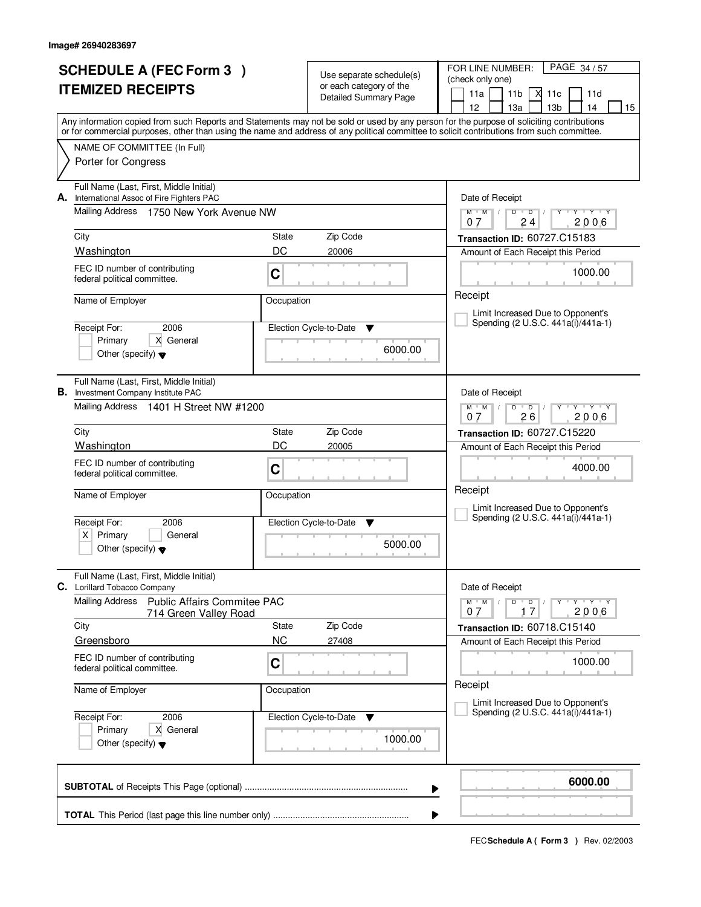|    | <b>SCHEDULE A (FEC Form 3)</b>                                                      |                    |                                                     | FOR LINE NUMBER:<br>PAGE 34/57                                                                                                             |
|----|-------------------------------------------------------------------------------------|--------------------|-----------------------------------------------------|--------------------------------------------------------------------------------------------------------------------------------------------|
|    | <b>ITEMIZED RECEIPTS</b>                                                            |                    | Use separate schedule(s)<br>or each category of the | (check only one)                                                                                                                           |
|    |                                                                                     |                    | <b>Detailed Summary Page</b>                        | 11a<br>11 <sub>b</sub><br>X<br>11c<br>11d<br>12<br>13 <sub>b</sub><br>13a<br>14<br>15                                                      |
|    |                                                                                     |                    |                                                     | Any information copied from such Reports and Statements may not be sold or used by any person for the purpose of soliciting contributions  |
|    |                                                                                     |                    |                                                     | or for commercial purposes, other than using the name and address of any political committee to solicit contributions from such committee. |
|    | NAME OF COMMITTEE (In Full)                                                         |                    |                                                     |                                                                                                                                            |
|    | Porter for Congress                                                                 |                    |                                                     |                                                                                                                                            |
| А. | Full Name (Last, First, Middle Initial)<br>International Assoc of Fire Fighters PAC |                    |                                                     | Date of Receipt                                                                                                                            |
|    | Mailing Address<br>1750 New York Avenue NW                                          |                    |                                                     | $Y$ $Y$ $Y$<br>$M$ $M$ /<br>D<br>$\overline{D}$<br>24<br>2006<br>07                                                                        |
|    | City                                                                                | State              | Zip Code                                            | Transaction ID: 60727.C15183                                                                                                               |
|    | Washington                                                                          | DC                 | 20006                                               | Amount of Each Receipt this Period                                                                                                         |
|    | FEC ID number of contributing                                                       | C                  |                                                     | 1000.00                                                                                                                                    |
|    | federal political committee.                                                        |                    |                                                     |                                                                                                                                            |
|    | Name of Employer                                                                    | Occupation         |                                                     | Receipt                                                                                                                                    |
|    |                                                                                     |                    |                                                     | Limit Increased Due to Opponent's<br>Spending (2 U.S.C. 441a(i)/441a-1)                                                                    |
|    | 2006<br>Receipt For:<br>X General<br>Primary                                        |                    | Election Cycle-to-Date<br>v                         |                                                                                                                                            |
|    | Other (specify) $\blacktriangledown$                                                |                    | 6000.00                                             |                                                                                                                                            |
|    |                                                                                     |                    |                                                     |                                                                                                                                            |
| В. | Full Name (Last, First, Middle Initial)<br>Investment Company Institute PAC         |                    |                                                     | Date of Receipt                                                                                                                            |
|    | Mailing Address 1401 H Street NW #1200                                              |                    |                                                     | $M^+M^-$ /<br>$Y - Y - Y$<br>D<br>$\overline{D}$                                                                                           |
|    |                                                                                     |                    |                                                     | 26<br>2006<br>07                                                                                                                           |
|    | City                                                                                | <b>State</b>       | Zip Code                                            | Transaction ID: 60727.C15220                                                                                                               |
|    | Washington                                                                          | DC                 | 20005                                               | Amount of Each Receipt this Period                                                                                                         |
|    | FEC ID number of contributing<br>federal political committee.                       | C                  |                                                     | 4000.00                                                                                                                                    |
|    |                                                                                     | Occupation         |                                                     | Receipt                                                                                                                                    |
|    | Name of Employer                                                                    |                    |                                                     | Limit Increased Due to Opponent's                                                                                                          |
|    | Receipt For:<br>2006                                                                |                    | Election Cycle-to-Date<br>v                         | Spending (2 U.S.C. 441a(i)/441a-1)                                                                                                         |
|    | Primary<br>$X \mid$<br>General                                                      |                    | 5000.00                                             |                                                                                                                                            |
|    | Other (specify) $\blacktriangledown$                                                |                    |                                                     |                                                                                                                                            |
|    | Full Name (Last, First, Middle Initial)<br>C. Lorillard Tobacco Company             |                    |                                                     | Date of Receipt                                                                                                                            |
|    | Mailing Address<br>Public Affairs Commitee PAC                                      |                    |                                                     | $M = M$<br>$D$ $D$<br>$Y + Y + Y$                                                                                                          |
|    | 714 Green Valley Road                                                               |                    |                                                     | 2006<br>07<br>17                                                                                                                           |
|    | City<br>Greensboro                                                                  | State<br><b>NC</b> | Zip Code<br>27408                                   | Transaction ID: 60718.C15140                                                                                                               |
|    | FEC ID number of contributing                                                       |                    |                                                     | Amount of Each Receipt this Period                                                                                                         |
|    | federal political committee.                                                        | C                  |                                                     | 1000.00                                                                                                                                    |
|    | Name of Employer                                                                    | Occupation         |                                                     | Receipt                                                                                                                                    |
|    |                                                                                     |                    |                                                     | Limit Increased Due to Opponent's<br>Spending (2 U.S.C. 441a(i)/441a-1)                                                                    |
|    | 2006<br>Receipt For:<br>Primary<br>X General                                        |                    | Election Cycle-to-Date<br>v                         |                                                                                                                                            |
|    | Other (specify) $\blacktriangledown$                                                |                    | 1000.00                                             |                                                                                                                                            |
|    |                                                                                     |                    |                                                     |                                                                                                                                            |
|    |                                                                                     |                    |                                                     | 6000.00                                                                                                                                    |
|    |                                                                                     |                    |                                                     |                                                                                                                                            |
|    |                                                                                     |                    |                                                     |                                                                                                                                            |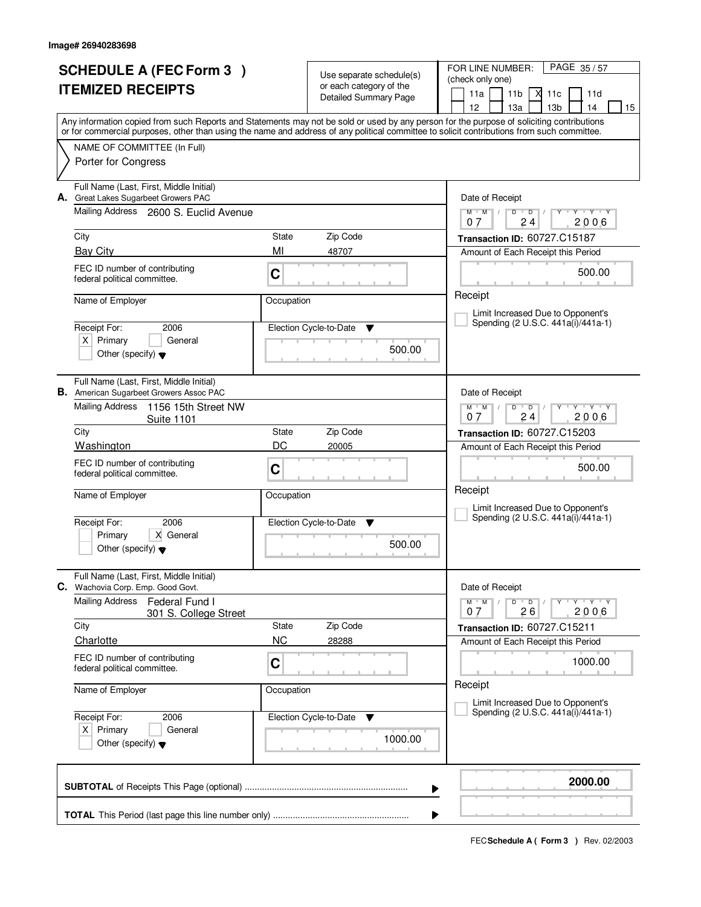| <b>SCHEDULE A (FEC Form 3)</b>                                                                                                                                                                                                                                                          |             |                                                     | FOR LINE NUMBER:<br>PAGE 35/57                                        |  |  |
|-----------------------------------------------------------------------------------------------------------------------------------------------------------------------------------------------------------------------------------------------------------------------------------------|-------------|-----------------------------------------------------|-----------------------------------------------------------------------|--|--|
| <b>ITEMIZED RECEIPTS</b>                                                                                                                                                                                                                                                                |             | Use separate schedule(s)<br>or each category of the | (check only one)                                                      |  |  |
|                                                                                                                                                                                                                                                                                         |             | <b>Detailed Summary Page</b>                        | 11a<br>11 <sub>b</sub><br>11d<br>X<br>11c                             |  |  |
|                                                                                                                                                                                                                                                                                         |             |                                                     | 12<br>13 <sub>b</sub><br>15<br>13a<br>14                              |  |  |
| Any information copied from such Reports and Statements may not be sold or used by any person for the purpose of soliciting contributions<br>or for commercial purposes, other than using the name and address of any political committee to solicit contributions from such committee. |             |                                                     |                                                                       |  |  |
| NAME OF COMMITTEE (In Full)                                                                                                                                                                                                                                                             |             |                                                     |                                                                       |  |  |
| Porter for Congress                                                                                                                                                                                                                                                                     |             |                                                     |                                                                       |  |  |
| Full Name (Last, First, Middle Initial)<br>A. Great Lakes Sugarbeet Growers PAC                                                                                                                                                                                                         |             |                                                     | Date of Receipt                                                       |  |  |
| Mailing Address 2600 S. Euclid Avenue                                                                                                                                                                                                                                                   |             |                                                     | $M$ $M$ /<br>$Y + Y + Y$<br>D<br>$\overline{D}$<br>2006<br>07<br>24   |  |  |
| City                                                                                                                                                                                                                                                                                    | State       | Zip Code                                            | Transaction ID: 60727.C15187                                          |  |  |
| <b>Bay City</b>                                                                                                                                                                                                                                                                         | MI          | 48707                                               | Amount of Each Receipt this Period                                    |  |  |
| FEC ID number of contributing<br>federal political committee.                                                                                                                                                                                                                           | $\mathbf C$ |                                                     | 500.00                                                                |  |  |
| Name of Employer                                                                                                                                                                                                                                                                        | Occupation  |                                                     | Receipt<br>Limit Increased Due to Opponent's                          |  |  |
| Receipt For:<br>2006                                                                                                                                                                                                                                                                    |             | Election Cycle-to-Date<br>v                         | Spending (2 U.S.C. 441a(i)/441a-1)                                    |  |  |
| $X$ Primary<br>General                                                                                                                                                                                                                                                                  |             | 500.00                                              |                                                                       |  |  |
| Other (specify) $\blacktriangledown$                                                                                                                                                                                                                                                    |             |                                                     |                                                                       |  |  |
| Full Name (Last, First, Middle Initial)<br><b>B.</b> American Sugarbeet Growers Assoc PAC                                                                                                                                                                                               |             |                                                     | Date of Receipt                                                       |  |  |
| <b>Mailing Address</b><br>1156 15th Street NW<br><b>Suite 1101</b>                                                                                                                                                                                                                      |             |                                                     | $M$ $M$ /<br>$Y - Y - Y$<br>D<br>$\overline{D}$<br>24<br>2006<br>07   |  |  |
| City                                                                                                                                                                                                                                                                                    | State       | Zip Code                                            | <b>Transaction ID: 60727.C15203</b>                                   |  |  |
| Washington                                                                                                                                                                                                                                                                              | DC<br>20005 |                                                     | Amount of Each Receipt this Period                                    |  |  |
| FEC ID number of contributing<br>federal political committee.                                                                                                                                                                                                                           | $\mathbf C$ |                                                     | 500.00                                                                |  |  |
| Name of Employer                                                                                                                                                                                                                                                                        | Occupation  |                                                     | Receipt<br>Limit Increased Due to Opponent's                          |  |  |
| Receipt For:<br>2006                                                                                                                                                                                                                                                                    |             | Election Cycle-to-Date<br>v                         | Spending (2 U.S.C. 441a(i)/441a-1)                                    |  |  |
| Primary<br>X General<br>Other (specify) $\blacktriangledown$                                                                                                                                                                                                                            |             | 500.00                                              |                                                                       |  |  |
| Full Name (Last, First, Middle Initial)<br>C. Wachovia Corp. Emp. Good Govt.                                                                                                                                                                                                            |             |                                                     | Date of Receipt                                                       |  |  |
| <b>Mailing Address</b><br>Federal Fund I<br>301 S. College Street                                                                                                                                                                                                                       |             |                                                     | $M$ $M$ $M$<br>D<br>$\overline{D}$<br>$Y + Y + Y$<br>2006<br>26<br>07 |  |  |
| City                                                                                                                                                                                                                                                                                    | State       | Zip Code                                            | Transaction ID: 60727.C15211                                          |  |  |
| Charlotte                                                                                                                                                                                                                                                                               | <b>NC</b>   | 28288                                               | Amount of Each Receipt this Period                                    |  |  |
| FEC ID number of contributing<br>federal political committee.                                                                                                                                                                                                                           | $\mathbf C$ |                                                     | 1000.00                                                               |  |  |
| Name of Employer                                                                                                                                                                                                                                                                        | Occupation  |                                                     | Receipt<br>Limit Increased Due to Opponent's                          |  |  |
| Receipt For:<br>2006                                                                                                                                                                                                                                                                    |             | Election Cycle-to-Date<br>v                         | Spending (2 U.S.C. 441a(i)/441a-1)                                    |  |  |
| $X$ Primary<br>General<br>Other (specify) $\blacktriangledown$                                                                                                                                                                                                                          |             | 1000.00                                             |                                                                       |  |  |
|                                                                                                                                                                                                                                                                                         |             |                                                     | 2000.00                                                               |  |  |
|                                                                                                                                                                                                                                                                                         |             |                                                     | ▶                                                                     |  |  |
|                                                                                                                                                                                                                                                                                         |             |                                                     |                                                                       |  |  |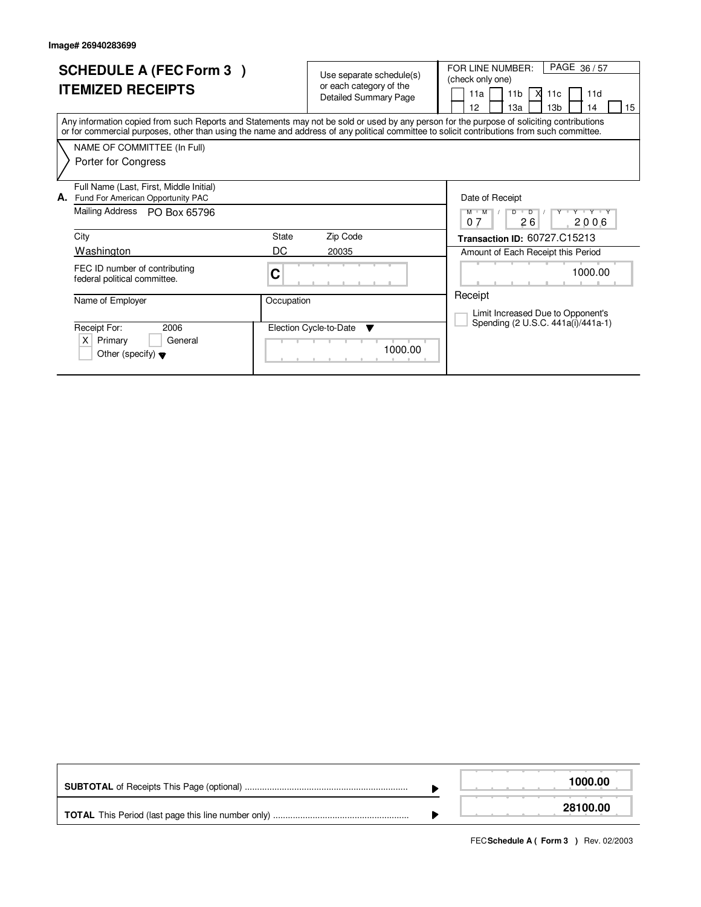| <b>SCHEDULE A (FEC Form 3)</b><br><b>ITEMIZED RECEIPTS</b>                                                                                                                                                                                                                              | Use separate schedule(s)<br>or each category of the<br><b>Detailed Summary Page</b> | PAGE 36/57<br>FOR LINE NUMBER:<br>(check only one)<br>11a<br>11 <sub>b</sub><br>X<br>11d<br>11c<br>12<br>13a<br>13 <sub>b</sub><br>14<br>15 |
|-----------------------------------------------------------------------------------------------------------------------------------------------------------------------------------------------------------------------------------------------------------------------------------------|-------------------------------------------------------------------------------------|---------------------------------------------------------------------------------------------------------------------------------------------|
| Any information copied from such Reports and Statements may not be sold or used by any person for the purpose of soliciting contributions<br>or for commercial purposes, other than using the name and address of any political committee to solicit contributions from such committee. |                                                                                     |                                                                                                                                             |
| NAME OF COMMITTEE (In Full)<br>Porter for Congress                                                                                                                                                                                                                                      |                                                                                     |                                                                                                                                             |
| Full Name (Last, First, Middle Initial)<br>Fund For American Opportunity PAC<br>А.                                                                                                                                                                                                      |                                                                                     | Date of Receipt                                                                                                                             |
| Mailing Address<br>PO Box 65796                                                                                                                                                                                                                                                         |                                                                                     | Y Y Y Y Y Y<br>$M$ $M$<br>$\overline{D}$<br>D<br>26<br>2006<br>07                                                                           |
| City                                                                                                                                                                                                                                                                                    | Zip Code<br>State                                                                   | Transaction ID: 60727.C15213                                                                                                                |
| Washington                                                                                                                                                                                                                                                                              | DC<br>20035                                                                         | Amount of Each Receipt this Period                                                                                                          |
| FEC ID number of contributing<br>federal political committee.                                                                                                                                                                                                                           | С                                                                                   | 1000.00                                                                                                                                     |
| Name of Employer                                                                                                                                                                                                                                                                        | Occupation                                                                          | Receipt                                                                                                                                     |
| Receipt For:<br>2006<br>X<br>Primary<br>General<br>Other (specify) $\blacktriangledown$                                                                                                                                                                                                 | Election Cycle-to-Date<br>▼<br>1000.00                                              | Limit Increased Due to Opponent's<br>Spending (2 U.S.C. 441a(i)/441a-1)                                                                     |

|  | 1000.00  |
|--|----------|
|  | 28100.00 |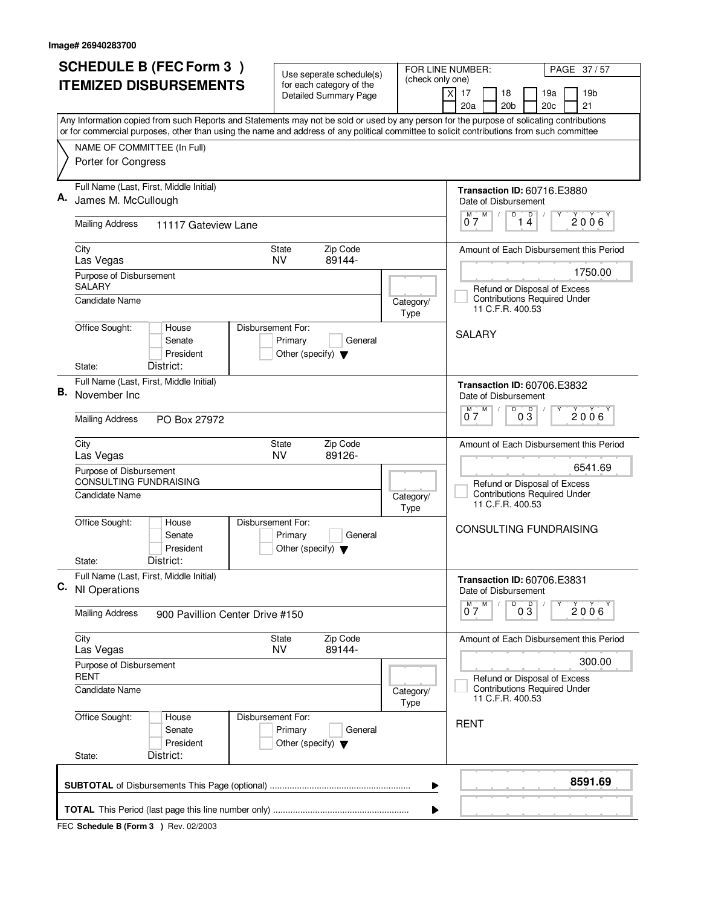| Any Information copied from such Reports and Statements may not be sold or used by any person for the purpose of solicating contributions<br>or for commercial purposes, other than using the name and address of any political committee to solicit contributions from such committee<br>NAME OF COMMITTEE (In Full)<br>Porter for Congress<br>Full Name (Last, First, Middle Initial)<br>James M. McCullough<br><b>Mailing Address</b><br>11117 Gateview Lane<br>City<br><b>NV</b><br>Las Vegas<br>Purpose of Disbursement<br><b>SALARY</b> | Zip Code<br>State<br>89144-                                |                          | <b>Transaction ID: 60716.E3880</b><br>Date of Disbursement<br>$0^{\frac{M}{2}}$<br>D<br>$\overline{14}$<br>$2006^{\circ}$ |
|-----------------------------------------------------------------------------------------------------------------------------------------------------------------------------------------------------------------------------------------------------------------------------------------------------------------------------------------------------------------------------------------------------------------------------------------------------------------------------------------------------------------------------------------------|------------------------------------------------------------|--------------------------|---------------------------------------------------------------------------------------------------------------------------|
|                                                                                                                                                                                                                                                                                                                                                                                                                                                                                                                                               |                                                            |                          |                                                                                                                           |
|                                                                                                                                                                                                                                                                                                                                                                                                                                                                                                                                               |                                                            |                          |                                                                                                                           |
|                                                                                                                                                                                                                                                                                                                                                                                                                                                                                                                                               |                                                            |                          |                                                                                                                           |
|                                                                                                                                                                                                                                                                                                                                                                                                                                                                                                                                               |                                                            |                          |                                                                                                                           |
|                                                                                                                                                                                                                                                                                                                                                                                                                                                                                                                                               |                                                            |                          | Amount of Each Disbursement this Period                                                                                   |
| Candidate Name                                                                                                                                                                                                                                                                                                                                                                                                                                                                                                                                |                                                            | Category/<br>Type        | 1750.00<br>Refund or Disposal of Excess<br><b>Contributions Required Under</b><br>11 C.F.R. 400.53                        |
| Office Sought:<br>Disbursement For:<br>House<br>Senate<br>President<br>District:<br>State:                                                                                                                                                                                                                                                                                                                                                                                                                                                    | Primary<br>General<br>Other (specify) $\blacktriangledown$ |                          | <b>SALARY</b>                                                                                                             |
| Full Name (Last, First, Middle Initial)<br>В.<br>November Inc                                                                                                                                                                                                                                                                                                                                                                                                                                                                                 |                                                            |                          | <b>Transaction ID: 60706.E3832</b><br>Date of Disbursement                                                                |
| <b>Mailing Address</b><br>PO Box 27972                                                                                                                                                                                                                                                                                                                                                                                                                                                                                                        |                                                            |                          | D<br>M<br>$0\overline{3}$<br>2006'<br>07                                                                                  |
| City<br>Las Vegas<br>Purpose of Disbursement                                                                                                                                                                                                                                                                                                                                                                                                                                                                                                  | Zip Code<br>State<br>NV.<br>89126-                         |                          | Amount of Each Disbursement this Period<br>6541.69                                                                        |
| <b>CONSULTING FUNDRAISING</b><br><b>Candidate Name</b>                                                                                                                                                                                                                                                                                                                                                                                                                                                                                        |                                                            | Category/<br>Type        | Refund or Disposal of Excess<br><b>Contributions Required Under</b><br>11 C.F.R. 400.53                                   |
| Office Sought:<br>Disbursement For:<br>House<br>Senate<br>President                                                                                                                                                                                                                                                                                                                                                                                                                                                                           | Primary<br>General<br>Other (specify) $\blacktriangledown$ |                          | CONSULTING FUNDRAISING                                                                                                    |
| District:<br>State:<br>Full Name (Last, First, Middle Initial)<br>C. NI Operations                                                                                                                                                                                                                                                                                                                                                                                                                                                            |                                                            |                          | Transaction ID: 60706.E3831<br>Date of Disbursement                                                                       |
| <b>Mailing Address</b><br>900 Pavillion Center Drive #150                                                                                                                                                                                                                                                                                                                                                                                                                                                                                     |                                                            |                          | D<br>$0\frac{D}{3}$<br>M<br>M<br>$2006^{\circ}$<br>07                                                                     |
| City<br>Las Vegas                                                                                                                                                                                                                                                                                                                                                                                                                                                                                                                             | Zip Code<br>State<br><b>NV</b><br>89144-                   |                          | Amount of Each Disbursement this Period                                                                                   |
| Purpose of Disbursement<br><b>RENT</b>                                                                                                                                                                                                                                                                                                                                                                                                                                                                                                        |                                                            |                          | 300.00<br>Refund or Disposal of Excess                                                                                    |
| Candidate Name                                                                                                                                                                                                                                                                                                                                                                                                                                                                                                                                |                                                            | Category/<br><b>Type</b> | <b>Contributions Required Under</b><br>11 C.F.R. 400.53                                                                   |
| Office Sought:<br>Disbursement For:<br>House<br>Senate<br>President<br>District:<br>State:                                                                                                                                                                                                                                                                                                                                                                                                                                                    | Primary<br>General<br>Other (specify) $\blacktriangledown$ |                          | <b>RENT</b>                                                                                                               |
|                                                                                                                                                                                                                                                                                                                                                                                                                                                                                                                                               |                                                            | ▶                        | 8591.69                                                                                                                   |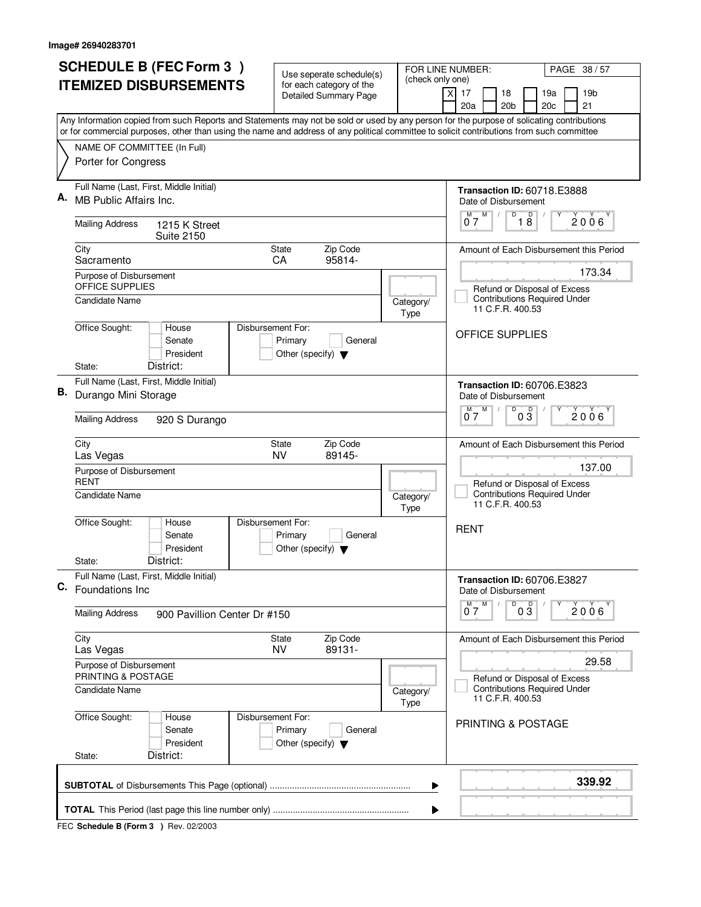|    | <b>SCHEDULE B (FEC Form 3)</b>                                                                                                                                                                                                                                                         | Use seperate schedule(s)                                                        | (check only one)                   | FOR LINE NUMBER:<br>PAGE 38 / 57                                                        |
|----|----------------------------------------------------------------------------------------------------------------------------------------------------------------------------------------------------------------------------------------------------------------------------------------|---------------------------------------------------------------------------------|------------------------------------|-----------------------------------------------------------------------------------------|
|    | <b>ITEMIZED DISBURSEMENTS</b>                                                                                                                                                                                                                                                          | for each category of the<br><b>Detailed Summary Page</b>                        |                                    | X<br>17<br>18<br>19a<br>19 <sub>b</sub><br>20 <sub>b</sub><br>20c<br>21<br>20a          |
|    | Any Information copied from such Reports and Statements may not be sold or used by any person for the purpose of solicating contributions<br>or for commercial purposes, other than using the name and address of any political committee to solicit contributions from such committee |                                                                                 |                                    |                                                                                         |
|    | NAME OF COMMITTEE (In Full)<br>Porter for Congress                                                                                                                                                                                                                                     |                                                                                 |                                    |                                                                                         |
| А. | Full Name (Last, First, Middle Initial)<br>MB Public Affairs Inc.                                                                                                                                                                                                                      |                                                                                 |                                    | <b>Transaction ID: 60718.E3888</b><br>Date of Disbursement                              |
|    | <b>Mailing Address</b><br>1215 K Street                                                                                                                                                                                                                                                |                                                                                 |                                    | $0^{\frac{M}{2}}$<br>D<br>$\begin{bmatrix} 0 \\ 0 \end{bmatrix}$<br>Υ<br>2006           |
|    | <b>Suite 2150</b><br>City<br>Sacramento                                                                                                                                                                                                                                                | Zip Code<br><b>State</b><br>95814-<br>CA                                        |                                    | Amount of Each Disbursement this Period                                                 |
|    | Purpose of Disbursement<br>OFFICE SUPPLIES                                                                                                                                                                                                                                             |                                                                                 |                                    | 173.34                                                                                  |
|    | <b>Candidate Name</b>                                                                                                                                                                                                                                                                  |                                                                                 | Category/<br><b>Type</b>           | Refund or Disposal of Excess<br><b>Contributions Required Under</b><br>11 C.F.R. 400.53 |
|    | Office Sought:<br>House<br>Senate<br>President<br>District:<br>State:                                                                                                                                                                                                                  | Disbursement For:<br>Primary<br>General<br>Other (specify) $\blacktriangledown$ |                                    | OFFICE SUPPLIES                                                                         |
|    | Full Name (Last, First, Middle Initial)                                                                                                                                                                                                                                                |                                                                                 | <b>Transaction ID: 60706.E3823</b> |                                                                                         |
| В. | Durango Mini Storage                                                                                                                                                                                                                                                                   |                                                                                 |                                    | Date of Disbursement<br>D<br>D<br>$M$ $M$                                               |
|    | <b>Mailing Address</b><br>920 S Durango                                                                                                                                                                                                                                                |                                                                                 |                                    | 2006<br>03<br>07                                                                        |
|    | City<br>Las Vegas                                                                                                                                                                                                                                                                      | Zip Code<br><b>State</b><br>NV<br>89145-                                        |                                    | Amount of Each Disbursement this Period                                                 |
|    | Purpose of Disbursement<br><b>RENT</b>                                                                                                                                                                                                                                                 |                                                                                 |                                    | 137.00<br>Refund or Disposal of Excess                                                  |
|    | <b>Candidate Name</b>                                                                                                                                                                                                                                                                  |                                                                                 | Category/<br><b>Type</b>           | <b>Contributions Required Under</b><br>11 C.F.R. 400.53                                 |
|    | Office Sought:<br>House<br>Senate<br>President                                                                                                                                                                                                                                         | Disbursement For:<br>Primary<br>General<br>Other (specify) $\blacktriangledown$ |                                    | <b>RENT</b>                                                                             |
|    | District:<br>State:<br>Full Name (Last, First, Middle Initial)                                                                                                                                                                                                                         |                                                                                 |                                    | Transaction ID: 60706.E3827                                                             |
|    | C. Foundations Inc.                                                                                                                                                                                                                                                                    |                                                                                 |                                    | Date of Disbursement                                                                    |
|    | <b>Mailing Address</b><br>900 Pavillion Center Dr #150                                                                                                                                                                                                                                 |                                                                                 |                                    | M<br>D<br>$0\sqrt{3}$<br>2006<br>07                                                     |
|    | City<br>Las Vegas                                                                                                                                                                                                                                                                      | Zip Code<br>State<br><b>NV</b><br>89131-                                        |                                    | Amount of Each Disbursement this Period                                                 |
|    | Purpose of Disbursement<br>PRINTING & POSTAGE                                                                                                                                                                                                                                          |                                                                                 |                                    | 29.58<br>Refund or Disposal of Excess                                                   |
|    | <b>Candidate Name</b>                                                                                                                                                                                                                                                                  |                                                                                 | Category/<br><b>Type</b>           | <b>Contributions Required Under</b><br>11 C.F.R. 400.53                                 |
|    | Office Sought:<br>House<br>Senate<br>President<br>District:<br>State:                                                                                                                                                                                                                  | Disbursement For:<br>Primary<br>General<br>Other (specify) $\blacktriangledown$ |                                    | <b>PRINTING &amp; POSTAGE</b>                                                           |
|    |                                                                                                                                                                                                                                                                                        |                                                                                 |                                    | 339.92                                                                                  |
|    |                                                                                                                                                                                                                                                                                        |                                                                                 | ▶                                  |                                                                                         |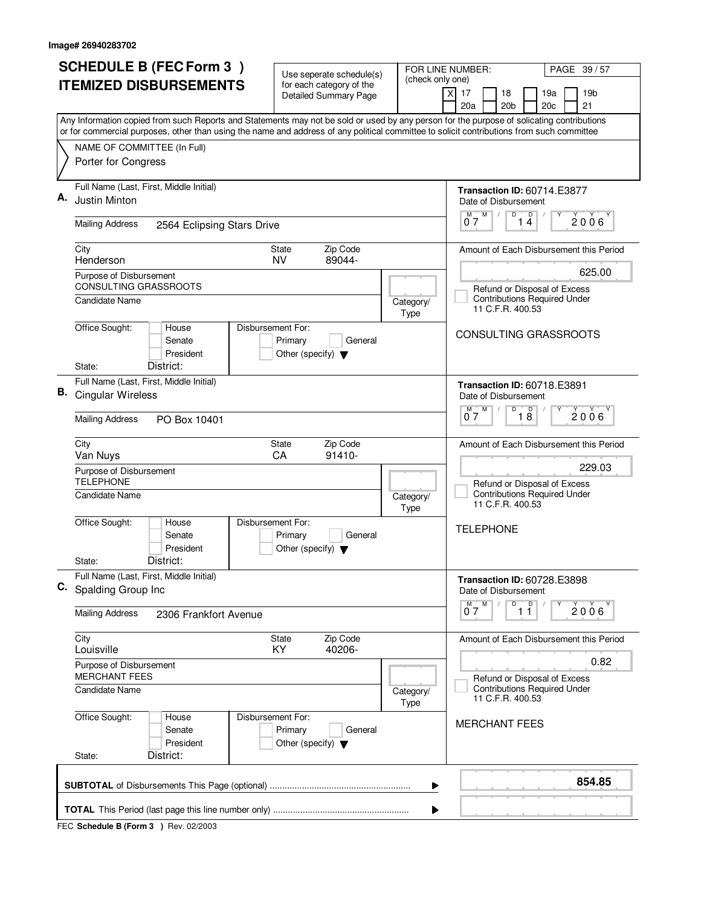|    | <b>SCHEDULE B (FEC Form 3)</b>                                                                                                                                                                                                                                                         | Use seperate schedule(s)                                   |                   | FOR LINE NUMBER:<br>PAGE 39/57                                                 |
|----|----------------------------------------------------------------------------------------------------------------------------------------------------------------------------------------------------------------------------------------------------------------------------------------|------------------------------------------------------------|-------------------|--------------------------------------------------------------------------------|
|    | <b>ITEMIZED DISBURSEMENTS</b>                                                                                                                                                                                                                                                          | for each category of the<br><b>Detailed Summary Page</b>   | (check only one)  | 17<br>18<br>19a<br>19 <sub>b</sub><br>X<br>20a<br>20 <sub>b</sub><br>20c<br>21 |
|    | Any Information copied from such Reports and Statements may not be sold or used by any person for the purpose of solicating contributions<br>or for commercial purposes, other than using the name and address of any political committee to solicit contributions from such committee |                                                            |                   |                                                                                |
|    | NAME OF COMMITTEE (In Full)                                                                                                                                                                                                                                                            |                                                            |                   |                                                                                |
|    | Porter for Congress                                                                                                                                                                                                                                                                    |                                                            |                   |                                                                                |
| А. | Full Name (Last, First, Middle Initial)<br>Justin Minton                                                                                                                                                                                                                               |                                                            |                   | Transaction ID: 60714.E3877<br>Date of Disbursement<br>M                       |
|    | <b>Mailing Address</b><br>2564 Eclipsing Stars Drive                                                                                                                                                                                                                                   |                                                            |                   | $\begin{bmatrix} 0 & 0 \\ 1 & 4 \end{bmatrix}$<br>$\overline{0}^M$ 7<br>2006   |
|    | City<br>Henderson                                                                                                                                                                                                                                                                      | State<br>Zip Code<br>89044-<br>NV.                         |                   | Amount of Each Disbursement this Period                                        |
|    | Purpose of Disbursement<br><b>CONSULTING GRASSROOTS</b>                                                                                                                                                                                                                                |                                                            |                   | 625.00<br>Refund or Disposal of Excess                                         |
|    | Candidate Name                                                                                                                                                                                                                                                                         |                                                            | Category/<br>Type | <b>Contributions Required Under</b><br>11 C.F.R. 400.53                        |
|    | Office Sought:<br>Disbursement For:<br>House<br>Senate<br>President                                                                                                                                                                                                                    | Primary<br>General<br>Other (specify) $\blacktriangledown$ |                   | CONSULTING GRASSROOTS                                                          |
|    | District:<br>State:<br>Full Name (Last, First, Middle Initial)                                                                                                                                                                                                                         |                                                            |                   |                                                                                |
| В. | Cingular Wireless                                                                                                                                                                                                                                                                      |                                                            |                   | <b>Transaction ID: 60718.E3891</b><br>Date of Disbursement                     |
|    | <b>Mailing Address</b><br>PO Box 10401                                                                                                                                                                                                                                                 |                                                            |                   | D<br>D<br>M<br>M<br>$2006^{\circ}$<br>07<br>18                                 |
|    | City<br>Van Nuys                                                                                                                                                                                                                                                                       | Zip Code<br><b>State</b><br>CA<br>91410-                   |                   | Amount of Each Disbursement this Period                                        |
|    | Purpose of Disbursement<br><b>TELEPHONE</b>                                                                                                                                                                                                                                            |                                                            |                   | 229.03<br>Refund or Disposal of Excess                                         |
|    | Candidate Name                                                                                                                                                                                                                                                                         |                                                            | Category/<br>Type | <b>Contributions Required Under</b><br>11 C.F.R. 400.53                        |
|    | Office Sought:<br>Disbursement For:<br>House<br>Senate<br>President                                                                                                                                                                                                                    | Primary<br>General<br>Other (specify) $\blacktriangledown$ |                   | <b>TELEPHONE</b>                                                               |
|    | District:<br>State:                                                                                                                                                                                                                                                                    |                                                            |                   |                                                                                |
| C. | Full Name (Last, First, Middle Initial)<br>Spalding Group Inc                                                                                                                                                                                                                          |                                                            |                   | <b>Transaction ID: 60728.E3898</b><br>Date of Disbursement                     |
|    | <b>Mailing Address</b><br>2306 Frankfort Avenue                                                                                                                                                                                                                                        |                                                            |                   | D<br>$\overline{1}$ $\overline{1}$<br>$M$ $M$<br>Υ<br>2006<br>07               |
|    | City<br>Louisville                                                                                                                                                                                                                                                                     | Zip Code<br>State<br>KY.<br>40206-                         |                   | Amount of Each Disbursement this Period                                        |
|    | Purpose of Disbursement<br><b>MERCHANT FEES</b>                                                                                                                                                                                                                                        |                                                            |                   | 0.82<br>Refund or Disposal of Excess                                           |
|    | Candidate Name                                                                                                                                                                                                                                                                         |                                                            | Category/<br>Type | <b>Contributions Required Under</b><br>11 C.F.R. 400.53                        |
|    | Office Sought:<br>Disbursement For:<br>House<br>Senate<br>President                                                                                                                                                                                                                    | Primary<br>General<br>Other (specify) $\blacktriangledown$ |                   | <b>MERCHANT FEES</b>                                                           |
|    | District:<br>State:                                                                                                                                                                                                                                                                    |                                                            |                   |                                                                                |
|    |                                                                                                                                                                                                                                                                                        |                                                            | ▶                 | 854.85                                                                         |
|    |                                                                                                                                                                                                                                                                                        |                                                            | ▶                 |                                                                                |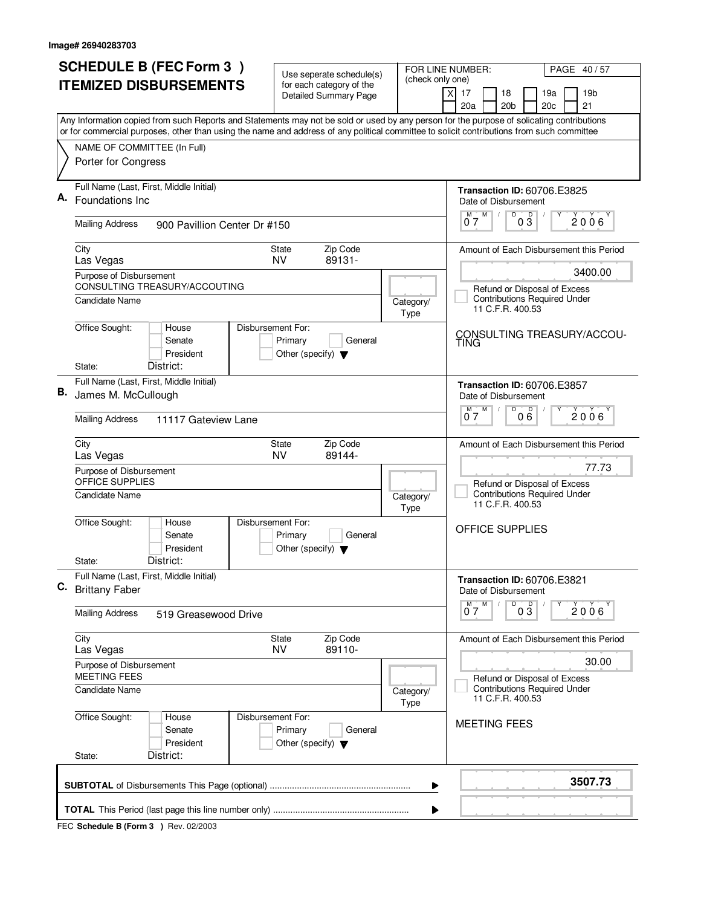| <b>SCHEDULE B (FEC Form 3)</b> |                                                                                                                                           | Use seperate schedule(s)                                   |                   | FOR LINE NUMBER:<br>PAGE 40/57                                                                      |  |  |
|--------------------------------|-------------------------------------------------------------------------------------------------------------------------------------------|------------------------------------------------------------|-------------------|-----------------------------------------------------------------------------------------------------|--|--|
|                                | <b>ITEMIZED DISBURSEMENTS</b>                                                                                                             | for each category of the<br><b>Detailed Summary Page</b>   | (check only one)  | 17<br>19 <sub>b</sub><br>X<br>18<br>19a<br>20a<br>20 <sub>b</sub><br>20c<br>21                      |  |  |
|                                | Any Information copied from such Reports and Statements may not be sold or used by any person for the purpose of solicating contributions |                                                            |                   |                                                                                                     |  |  |
|                                | or for commercial purposes, other than using the name and address of any political committee to solicit contributions from such committee |                                                            |                   |                                                                                                     |  |  |
|                                | NAME OF COMMITTEE (In Full)<br>Porter for Congress                                                                                        |                                                            |                   |                                                                                                     |  |  |
|                                | Full Name (Last, First, Middle Initial)<br>Foundations Inc                                                                                |                                                            |                   | <b>Transaction ID: 60706.E3825</b><br>Date of Disbursement<br>Υ                                     |  |  |
|                                | <b>Mailing Address</b><br>900 Pavillion Center Dr #150                                                                                    |                                                            |                   | $\overline{0}$ $\overline{3}$<br>$0^{\overline{M}}$ $\overline{7}^{\overline{M}}$<br>$2006^{\circ}$ |  |  |
|                                | City<br>Las Vegas                                                                                                                         | Zip Code<br>State<br>89131-<br><b>NV</b>                   |                   | Amount of Each Disbursement this Period                                                             |  |  |
|                                | Purpose of Disbursement                                                                                                                   |                                                            |                   | 3400.00                                                                                             |  |  |
|                                | CONSULTING TREASURY/ACCOUTING<br>Candidate Name                                                                                           |                                                            | Category/<br>Type | Refund or Disposal of Excess<br><b>Contributions Required Under</b><br>11 C.F.R. 400.53             |  |  |
|                                | Office Sought:<br>House<br>Disbursement For:<br>Senate<br>President<br>District:<br>State:                                                | Primary<br>General<br>Other (specify) $\blacktriangledown$ |                   | CONSULTING TREASURY/ACCOU-<br>TING                                                                  |  |  |
|                                | Full Name (Last, First, Middle Initial)                                                                                                   |                                                            |                   | <b>Transaction ID: 60706.E3857</b>                                                                  |  |  |
| В.                             | James M. McCullough                                                                                                                       |                                                            |                   | Date of Disbursement                                                                                |  |  |
|                                | <b>Mailing Address</b><br>11117 Gateview Lane                                                                                             |                                                            |                   | D<br>D<br>M<br>2006<br>07<br>06                                                                     |  |  |
|                                | City<br>Las Vegas                                                                                                                         | Zip Code<br>State<br>89144-<br><b>NV</b>                   |                   | Amount of Each Disbursement this Period                                                             |  |  |
|                                | Purpose of Disbursement<br>OFFICE SUPPLIES                                                                                                |                                                            |                   | 77.73<br>Refund or Disposal of Excess                                                               |  |  |
|                                | Candidate Name                                                                                                                            |                                                            | Category/<br>Type | <b>Contributions Required Under</b><br>11 C.F.R. 400.53                                             |  |  |
|                                | Office Sought:<br>Disbursement For:<br>House<br>Senate<br>President                                                                       | Primary<br>General<br>Other (specify) $\blacktriangledown$ |                   | OFFICE SUPPLIES                                                                                     |  |  |
|                                | District:<br>State:                                                                                                                       |                                                            |                   |                                                                                                     |  |  |
| C.                             | Full Name (Last, First, Middle Initial)<br><b>Brittany Faber</b>                                                                          |                                                            |                   | <b>Transaction ID: 60706.E3821</b><br>Date of Disbursement                                          |  |  |
|                                | <b>Mailing Address</b><br>519 Greasewood Drive                                                                                            |                                                            |                   | $\overline{0}$ $\overline{3}$<br>$M$ $M$<br>$2006^{\circ}$<br>07                                    |  |  |
|                                | City<br>Las Vegas                                                                                                                         | Zip Code<br>State<br><b>NV</b><br>89110-                   |                   | Amount of Each Disbursement this Period                                                             |  |  |
|                                | Purpose of Disbursement<br><b>MEETING FEES</b>                                                                                            |                                                            |                   | 30.00<br>Refund or Disposal of Excess                                                               |  |  |
|                                | <b>Candidate Name</b>                                                                                                                     |                                                            | Category/<br>Type | <b>Contributions Required Under</b><br>11 C.F.R. 400.53                                             |  |  |
|                                | Office Sought:<br>Disbursement For:<br>House<br>Senate<br>President                                                                       | Primary<br>General<br>Other (specify) $\blacktriangledown$ |                   | <b>MEETING FEES</b>                                                                                 |  |  |
|                                | District:<br>State:                                                                                                                       |                                                            |                   |                                                                                                     |  |  |
|                                |                                                                                                                                           |                                                            | ▶                 | 3507.73                                                                                             |  |  |
|                                | ▶                                                                                                                                         |                                                            |                   |                                                                                                     |  |  |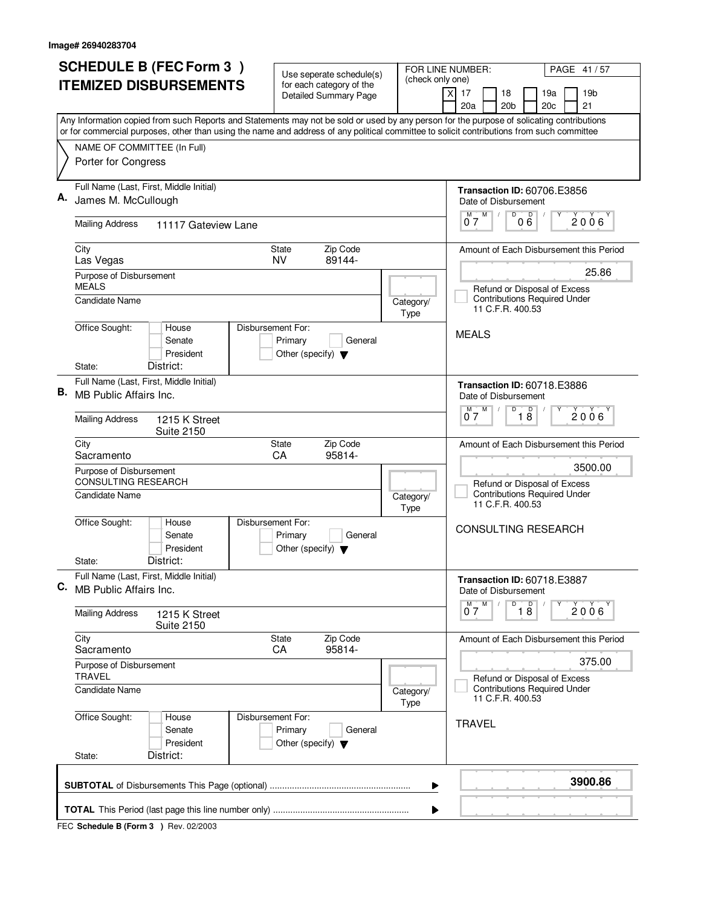|    | <b>SCHEDULE B (FEC Form 3)</b><br><b>ITEMIZED DISBURSEMENTS</b>                | Use seperate schedule(s)<br>for each category of the<br><b>Detailed Summary Page</b> | FOR LINE NUMBER:<br>PAGE 41/57<br>(check only one)<br>19 <sub>b</sub><br>$\times$<br>17<br>18<br>19a<br>20a<br>20 <sub>b</sub><br>21<br>20c                                                                                                                                            |
|----|--------------------------------------------------------------------------------|--------------------------------------------------------------------------------------|----------------------------------------------------------------------------------------------------------------------------------------------------------------------------------------------------------------------------------------------------------------------------------------|
|    |                                                                                |                                                                                      | Any Information copied from such Reports and Statements may not be sold or used by any person for the purpose of solicating contributions<br>or for commercial purposes, other than using the name and address of any political committee to solicit contributions from such committee |
|    | NAME OF COMMITTEE (In Full)<br>Porter for Congress                             |                                                                                      |                                                                                                                                                                                                                                                                                        |
|    | Full Name (Last, First, Middle Initial)<br>James M. McCullough                 |                                                                                      | <b>Transaction ID: 60706.E3856</b><br>Date of Disbursement                                                                                                                                                                                                                             |
|    | <b>Mailing Address</b><br>11117 Gateview Lane                                  |                                                                                      | $\overline{0}^M$ $\overline{7}^M$<br>D<br>00 <sup>0</sup><br>$2006^{\circ}$                                                                                                                                                                                                            |
|    | City<br>Las Vegas                                                              | Zip Code<br>State<br><b>NV</b><br>89144-                                             | Amount of Each Disbursement this Period                                                                                                                                                                                                                                                |
|    | Purpose of Disbursement<br><b>MEALS</b><br>Candidate Name                      |                                                                                      | 25.86<br>Refund or Disposal of Excess<br><b>Contributions Required Under</b><br>Category/<br>11 C.F.R. 400.53                                                                                                                                                                          |
|    | Office Sought:<br>House<br>Senate<br>President<br>District:<br>State:          | Disbursement For:<br>Primary<br>General<br>Other (specify) $\blacktriangledown$      | Type<br><b>MEALS</b>                                                                                                                                                                                                                                                                   |
| В. | Full Name (Last, First, Middle Initial)<br>MB Public Affairs Inc.              |                                                                                      | <b>Transaction ID: 60718.E3886</b><br>Date of Disbursement                                                                                                                                                                                                                             |
|    | <b>Mailing Address</b><br>1215 K Street<br><b>Suite 2150</b>                   |                                                                                      | D<br>M<br>$\overline{18}$<br>2006'<br>07                                                                                                                                                                                                                                               |
|    | City<br>Sacramento                                                             | Zip Code<br>State<br>95814-<br><b>CA</b>                                             | Amount of Each Disbursement this Period                                                                                                                                                                                                                                                |
|    | Purpose of Disbursement<br><b>CONSULTING RESEARCH</b><br><b>Candidate Name</b> |                                                                                      | 3500.00<br>Refund or Disposal of Excess<br><b>Contributions Required Under</b><br>Category/<br>11 C.F.R. 400.53<br>Type                                                                                                                                                                |
|    | Office Sought:<br>House<br>Senate<br>President<br>District:<br>State:          | Disbursement For:<br>Primary<br>General<br>Other (specify) $\blacktriangledown$      | <b>CONSULTING RESEARCH</b>                                                                                                                                                                                                                                                             |
|    | Full Name (Last, First, Middle Initial)<br>C. MB Public Affairs Inc.           |                                                                                      | Transaction ID: 60718.E3887<br>Date of Disbursement                                                                                                                                                                                                                                    |
|    | <b>Mailing Address</b><br>1215 K Street<br><b>Suite 2150</b>                   |                                                                                      | D<br>$\overline{18}$<br>M<br>M<br>$2006^{\circ}$<br>07                                                                                                                                                                                                                                 |
|    | City<br>Sacramento                                                             | Zip Code<br>State<br>95814-<br>CA                                                    | Amount of Each Disbursement this Period                                                                                                                                                                                                                                                |
|    | Purpose of Disbursement<br><b>TRAVEL</b>                                       |                                                                                      | 375.00<br>Refund or Disposal of Excess                                                                                                                                                                                                                                                 |
|    | Candidate Name                                                                 |                                                                                      | <b>Contributions Required Under</b><br>Category/<br>11 C.F.R. 400.53<br><b>Type</b>                                                                                                                                                                                                    |
|    | Office Sought:<br>House<br>Senate<br>President<br>District:<br>State:          | Disbursement For:<br>Primary<br>General<br>Other (specify) $\blacktriangledown$      | <b>TRAVEL</b>                                                                                                                                                                                                                                                                          |
|    |                                                                                |                                                                                      | 3900.86<br>▶                                                                                                                                                                                                                                                                           |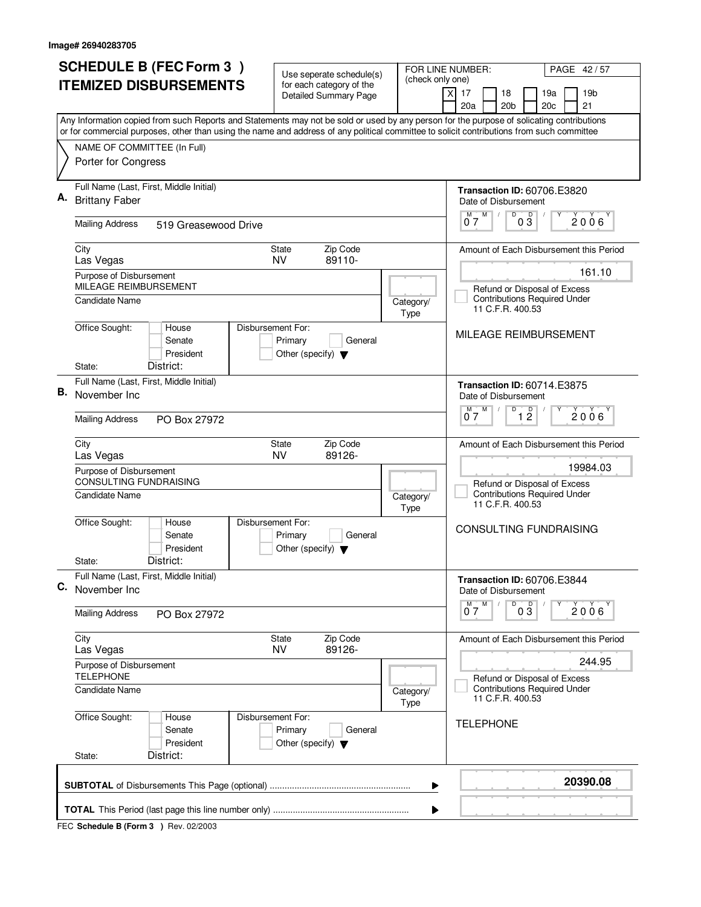| <b>SCHEDULE B (FEC Form 3)</b>                                                                                                                                                                                                                                                         | Use seperate schedule(s)                                                        | FOR LINE NUMBER:         | PAGE 42/57                                                                                          |  |  |
|----------------------------------------------------------------------------------------------------------------------------------------------------------------------------------------------------------------------------------------------------------------------------------------|---------------------------------------------------------------------------------|--------------------------|-----------------------------------------------------------------------------------------------------|--|--|
| <b>ITEMIZED DISBURSEMENTS</b>                                                                                                                                                                                                                                                          | for each category of the<br><b>Detailed Summary Page</b>                        | (check only one)         | 17<br>18<br>19 <sub>b</sub><br>X<br>19a<br>20a<br>20 <sub>b</sub><br>20 <sub>c</sub><br>21          |  |  |
| Any Information copied from such Reports and Statements may not be sold or used by any person for the purpose of solicating contributions<br>or for commercial purposes, other than using the name and address of any political committee to solicit contributions from such committee |                                                                                 |                          |                                                                                                     |  |  |
| NAME OF COMMITTEE (In Full)<br>Porter for Congress                                                                                                                                                                                                                                     |                                                                                 |                          |                                                                                                     |  |  |
| Full Name (Last, First, Middle Initial)<br>Α.<br><b>Brittany Faber</b>                                                                                                                                                                                                                 |                                                                                 |                          | <b>Transaction ID: 60706.E3820</b><br>Date of Disbursement<br>D                                     |  |  |
| <b>Mailing Address</b><br>519 Greasewood Drive                                                                                                                                                                                                                                         |                                                                                 |                          | $0^M$ $7^M$<br>$0\frac{D}{3}$<br>$2006^{\circ}$                                                     |  |  |
| City<br>Las Vegas                                                                                                                                                                                                                                                                      | Zip Code<br>State<br>89110-<br>NV                                               |                          | Amount of Each Disbursement this Period                                                             |  |  |
| Purpose of Disbursement<br>MILEAGE REIMBURSEMENT<br>Candidate Name                                                                                                                                                                                                                     |                                                                                 | Category/<br><b>Type</b> | 161.10<br>Refund or Disposal of Excess<br><b>Contributions Required Under</b><br>11 C.F.R. 400.53   |  |  |
| Office Sought:<br>House<br>Senate<br>President<br>District:<br>State:                                                                                                                                                                                                                  | Disbursement For:<br>Primary<br>General<br>Other (specify) $\blacktriangledown$ |                          | MILEAGE REIMBURSEMENT                                                                               |  |  |
| Full Name (Last, First, Middle Initial)<br>В.<br>November Inc                                                                                                                                                                                                                          |                                                                                 |                          | <b>Transaction ID: 60714.E3875</b><br>Date of Disbursement                                          |  |  |
| <b>Mailing Address</b><br>PO Box 27972                                                                                                                                                                                                                                                 |                                                                                 |                          | D<br>D<br>M<br>2006<br>07<br>12                                                                     |  |  |
| City<br>Las Vegas                                                                                                                                                                                                                                                                      | Zip Code<br><b>State</b><br>89126-<br>NV                                        |                          | Amount of Each Disbursement this Period                                                             |  |  |
| Purpose of Disbursement<br>CONSULTING FUNDRAISING<br>Candidate Name                                                                                                                                                                                                                    |                                                                                 | Category/<br>Type        | 19984.03<br>Refund or Disposal of Excess<br><b>Contributions Required Under</b><br>11 C.F.R. 400.53 |  |  |
| Office Sought:<br>House<br>Senate<br>President<br>District:<br>State:                                                                                                                                                                                                                  | Disbursement For:<br>Primary<br>General<br>Other (specify) $\blacktriangledown$ |                          | <b>CONSULTING FUNDRAISING</b>                                                                       |  |  |
| Full Name (Last, First, Middle Initial)<br>C. November Inc.                                                                                                                                                                                                                            |                                                                                 |                          | <b>Transaction ID: 60706.E3844</b><br>Date of Disbursement                                          |  |  |
| <b>Mailing Address</b><br>PO Box 27972                                                                                                                                                                                                                                                 |                                                                                 |                          | D<br>$M$ M<br>$0\overline{3}$<br>$2006^{\circ}$<br>07                                               |  |  |
| City<br>Las Vegas                                                                                                                                                                                                                                                                      | Zip Code<br>State<br><b>NV</b><br>89126-                                        |                          | Amount of Each Disbursement this Period                                                             |  |  |
| Purpose of Disbursement<br><b>TELEPHONE</b>                                                                                                                                                                                                                                            |                                                                                 |                          | 244.95<br>Refund or Disposal of Excess                                                              |  |  |
| Candidate Name                                                                                                                                                                                                                                                                         |                                                                                 | Category/<br><b>Type</b> | <b>Contributions Required Under</b><br>11 C.F.R. 400.53                                             |  |  |
| Office Sought:<br>House<br>Senate<br>President<br>District:<br>State:                                                                                                                                                                                                                  | Disbursement For:<br>Primary<br>General<br>Other (specify) $\blacktriangledown$ |                          | <b>TELEPHONE</b>                                                                                    |  |  |
|                                                                                                                                                                                                                                                                                        |                                                                                 | ▶                        | 20390.08                                                                                            |  |  |
| ▶                                                                                                                                                                                                                                                                                      |                                                                                 |                          |                                                                                                     |  |  |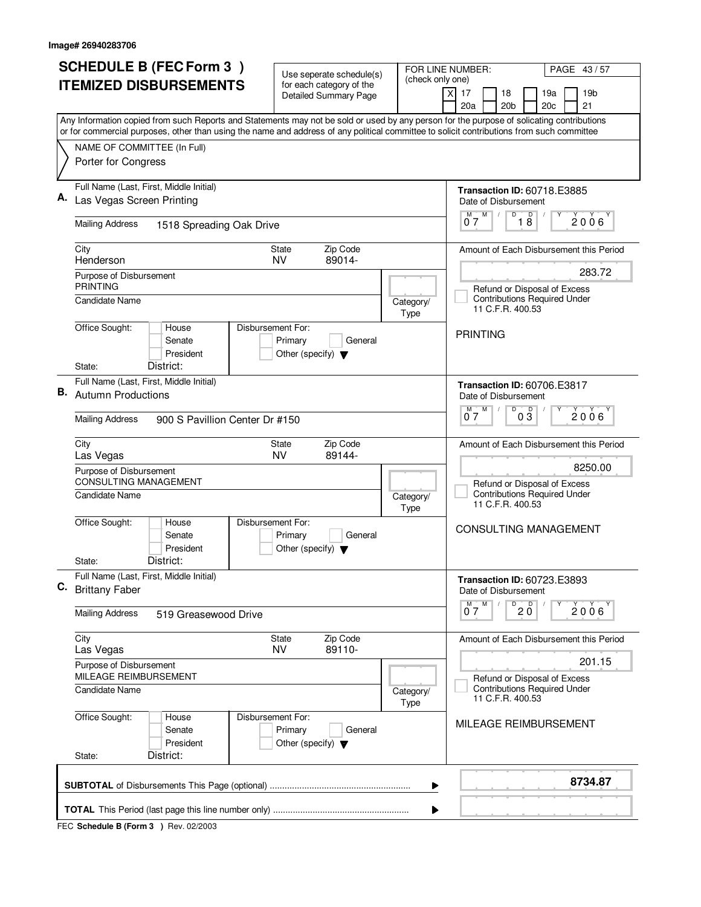|    | <b>SCHEDULE B (FEC Form 3)</b>                                                                                                                                                                                                                                                         | Use seperate schedule(s)                                   | FOR LINE NUMBER:  | PAGE 43/57                                                                                        |
|----|----------------------------------------------------------------------------------------------------------------------------------------------------------------------------------------------------------------------------------------------------------------------------------------|------------------------------------------------------------|-------------------|---------------------------------------------------------------------------------------------------|
|    | <b>ITEMIZED DISBURSEMENTS</b>                                                                                                                                                                                                                                                          | for each category of the<br><b>Detailed Summary Page</b>   | (check only one)  | 19 <sub>b</sub><br>X<br>17<br>18<br>19a<br>20a<br>20 <sub>b</sub><br>20c<br>21                    |
|    | Any Information copied from such Reports and Statements may not be sold or used by any person for the purpose of solicating contributions<br>or for commercial purposes, other than using the name and address of any political committee to solicit contributions from such committee |                                                            |                   |                                                                                                   |
|    | NAME OF COMMITTEE (In Full)<br>Porter for Congress                                                                                                                                                                                                                                     |                                                            |                   |                                                                                                   |
|    | Full Name (Last, First, Middle Initial)<br>Las Vegas Screen Printing                                                                                                                                                                                                                   |                                                            |                   | <b>Transaction ID: 60718.E3885</b><br>Date of Disbursement<br>D<br>Υ                              |
|    | <b>Mailing Address</b><br>1518 Spreading Oak Drive                                                                                                                                                                                                                                     |                                                            |                   | $0^{\frac{M}{2}}$<br>$\overline{18}$<br>$2006^{\circ}$                                            |
|    | City<br>Henderson                                                                                                                                                                                                                                                                      | Zip Code<br>State<br>89014-<br><b>NV</b>                   |                   | Amount of Each Disbursement this Period                                                           |
|    | Purpose of Disbursement<br><b>PRINTING</b><br>Candidate Name                                                                                                                                                                                                                           |                                                            | Category/<br>Type | 283.72<br>Refund or Disposal of Excess<br><b>Contributions Required Under</b><br>11 C.F.R. 400.53 |
|    | Office Sought:<br>Disbursement For:<br>House<br>Senate<br>President<br>District:<br>State:                                                                                                                                                                                             | Primary<br>General<br>Other (specify) $\blacktriangledown$ |                   | <b>PRINTING</b>                                                                                   |
| В. | Full Name (Last, First, Middle Initial)<br><b>Autumn Productions</b>                                                                                                                                                                                                                   |                                                            |                   | <b>Transaction ID: 60706.E3817</b><br>Date of Disbursement                                        |
|    | <b>Mailing Address</b><br>900 S Pavillion Center Dr #150                                                                                                                                                                                                                               |                                                            |                   | D<br>D<br>M<br>2006<br>07<br>03                                                                   |
|    | City<br>Las Vegas<br>Purpose of Disbursement                                                                                                                                                                                                                                           | Zip Code<br><b>State</b><br><b>NV</b><br>89144-            |                   | Amount of Each Disbursement this Period<br>8250.00                                                |
|    | <b>CONSULTING MANAGEMENT</b><br><b>Candidate Name</b>                                                                                                                                                                                                                                  |                                                            | Category/<br>Type | Refund or Disposal of Excess<br><b>Contributions Required Under</b><br>11 C.F.R. 400.53           |
|    | Office Sought:<br>Disbursement For:<br>House<br>Senate<br>President                                                                                                                                                                                                                    | Primary<br>General<br>Other (specify) $\blacktriangledown$ |                   | CONSULTING MANAGEMENT                                                                             |
|    | District:<br>State:                                                                                                                                                                                                                                                                    |                                                            |                   |                                                                                                   |
| C. | Full Name (Last, First, Middle Initial)<br><b>Brittany Faber</b>                                                                                                                                                                                                                       |                                                            |                   | <b>Transaction ID: 60723.E3893</b><br>Date of Disbursement                                        |
|    | <b>Mailing Address</b><br>519 Greasewood Drive                                                                                                                                                                                                                                         |                                                            |                   | $\overline{0}$ 2 $\overline{0}$<br>$M$ M<br>$2006^{\circ}$<br>07                                  |
|    | City<br>Las Vegas                                                                                                                                                                                                                                                                      | Zip Code<br>State<br><b>NV</b><br>89110-                   |                   | Amount of Each Disbursement this Period                                                           |
|    | Purpose of Disbursement<br>MILEAGE REIMBURSEMENT                                                                                                                                                                                                                                       |                                                            |                   | 201.15<br>Refund or Disposal of Excess                                                            |
|    | <b>Candidate Name</b>                                                                                                                                                                                                                                                                  |                                                            | Category/<br>Type | <b>Contributions Required Under</b><br>11 C.F.R. 400.53                                           |
|    | Office Sought:<br>Disbursement For:<br>House<br>Senate<br>President<br>District:<br>State:                                                                                                                                                                                             | Primary<br>General<br>Other (specify) $\blacktriangledown$ |                   | MILEAGE REIMBURSEMENT                                                                             |
|    |                                                                                                                                                                                                                                                                                        |                                                            | ▶                 | 8734.87                                                                                           |
|    |                                                                                                                                                                                                                                                                                        |                                                            | ▶                 |                                                                                                   |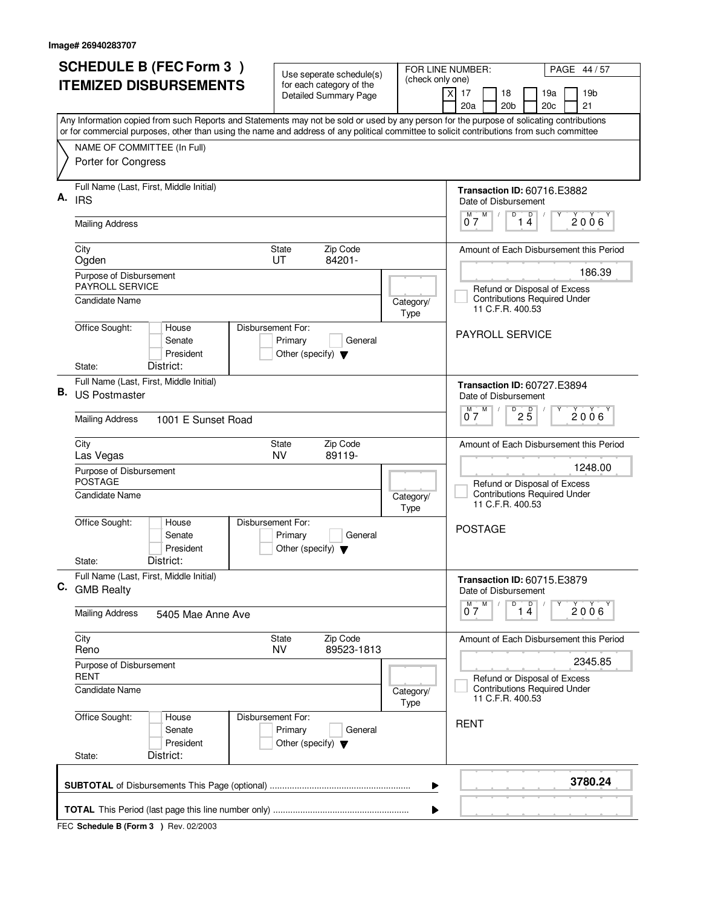| <b>SCHEDULE B (FEC Form 3)</b>                                                                                                                                                                                                                                                         | Use seperate schedule(s)                                                        | FOR LINE NUMBER:<br>(check only one) | PAGE 44 / 57                                                                                                                                    |
|----------------------------------------------------------------------------------------------------------------------------------------------------------------------------------------------------------------------------------------------------------------------------------------|---------------------------------------------------------------------------------|--------------------------------------|-------------------------------------------------------------------------------------------------------------------------------------------------|
| <b>ITEMIZED DISBURSEMENTS</b>                                                                                                                                                                                                                                                          | for each category of the<br><b>Detailed Summary Page</b>                        | X                                    | 17<br>19 <sub>b</sub><br>18<br>19a<br>20a<br>20 <sub>b</sub><br>20 <sub>c</sub><br>21                                                           |
| Any Information copied from such Reports and Statements may not be sold or used by any person for the purpose of solicating contributions<br>or for commercial purposes, other than using the name and address of any political committee to solicit contributions from such committee |                                                                                 |                                      |                                                                                                                                                 |
| NAME OF COMMITTEE (In Full)<br>Porter for Congress                                                                                                                                                                                                                                     |                                                                                 |                                      |                                                                                                                                                 |
| Full Name (Last, First, Middle Initial)<br>А.<br><b>IRS</b><br><b>Mailing Address</b>                                                                                                                                                                                                  |                                                                                 |                                      | <b>Transaction ID: 60716.E3882</b><br>Date of Disbursement<br>$0^M$ $7^M$<br>D<br>$\begin{bmatrix} 0 \\ 4 \end{bmatrix}$<br>Υ<br>$2006^{\circ}$ |
| City                                                                                                                                                                                                                                                                                   | Zip Code<br>State                                                               |                                      | Amount of Each Disbursement this Period                                                                                                         |
| Ogden                                                                                                                                                                                                                                                                                  | 84201-<br>UT                                                                    |                                      | 186.39                                                                                                                                          |
| Purpose of Disbursement<br>PAYROLL SERVICE<br>Candidate Name                                                                                                                                                                                                                           |                                                                                 | Category/<br>Type                    | Refund or Disposal of Excess<br><b>Contributions Required Under</b><br>11 C.F.R. 400.53                                                         |
| Office Sought:<br>House<br>Senate<br>President<br>District:<br>State:                                                                                                                                                                                                                  | Disbursement For:<br>Primary<br>General<br>Other (specify) $\blacktriangledown$ |                                      | PAYROLL SERVICE                                                                                                                                 |
| Full Name (Last, First, Middle Initial)<br>В.<br><b>US Postmaster</b>                                                                                                                                                                                                                  |                                                                                 |                                      | <b>Transaction ID: 60727.E3894</b><br>Date of Disbursement                                                                                      |
| <b>Mailing Address</b><br>1001 E Sunset Road                                                                                                                                                                                                                                           |                                                                                 |                                      | D<br>$2\overline{5}$<br>$0^{\overline{M}}$<br>2006                                                                                              |
| City<br>Las Vegas                                                                                                                                                                                                                                                                      | Zip Code<br><b>State</b><br>89119-<br><b>NV</b>                                 |                                      | Amount of Each Disbursement this Period                                                                                                         |
| Purpose of Disbursement<br><b>POSTAGE</b><br>Candidate Name                                                                                                                                                                                                                            |                                                                                 | Category/<br>Type                    | 1248.00<br>Refund or Disposal of Excess<br><b>Contributions Required Under</b><br>11 C.F.R. 400.53                                              |
| Office Sought:<br>House<br>Senate<br>President<br>District:<br>State:                                                                                                                                                                                                                  | Disbursement For:<br>Primary<br>General<br>Other (specify) $\blacktriangledown$ |                                      | <b>POSTAGE</b>                                                                                                                                  |
| Full Name (Last, First, Middle Initial)<br>C. GMB Realty                                                                                                                                                                                                                               |                                                                                 |                                      | <b>Transaction ID: 60715.E3879</b><br>Date of Disbursement                                                                                      |
| <b>Mailing Address</b><br>5405 Mae Anne Ave                                                                                                                                                                                                                                            |                                                                                 |                                      | $\overline{14}$<br>$M$ $M$<br>$2006^{\circ}$<br>07                                                                                              |
| City<br>Reno                                                                                                                                                                                                                                                                           | Zip Code<br>State<br>89523-1813<br><b>NV</b>                                    |                                      | Amount of Each Disbursement this Period                                                                                                         |
| Purpose of Disbursement<br><b>RENT</b>                                                                                                                                                                                                                                                 |                                                                                 |                                      | 2345.85<br>Refund or Disposal of Excess                                                                                                         |
| Candidate Name                                                                                                                                                                                                                                                                         |                                                                                 | Category/<br><b>Type</b>             | <b>Contributions Required Under</b><br>11 C.F.R. 400.53                                                                                         |
| Office Sought:<br>House<br>Senate<br>President<br>District:<br>State:                                                                                                                                                                                                                  | Disbursement For:<br>Primary<br>General<br>Other (specify) $\blacktriangledown$ |                                      | <b>RENT</b>                                                                                                                                     |
|                                                                                                                                                                                                                                                                                        |                                                                                 | ▶                                    | 3780.24                                                                                                                                         |
|                                                                                                                                                                                                                                                                                        |                                                                                 | ▶                                    |                                                                                                                                                 |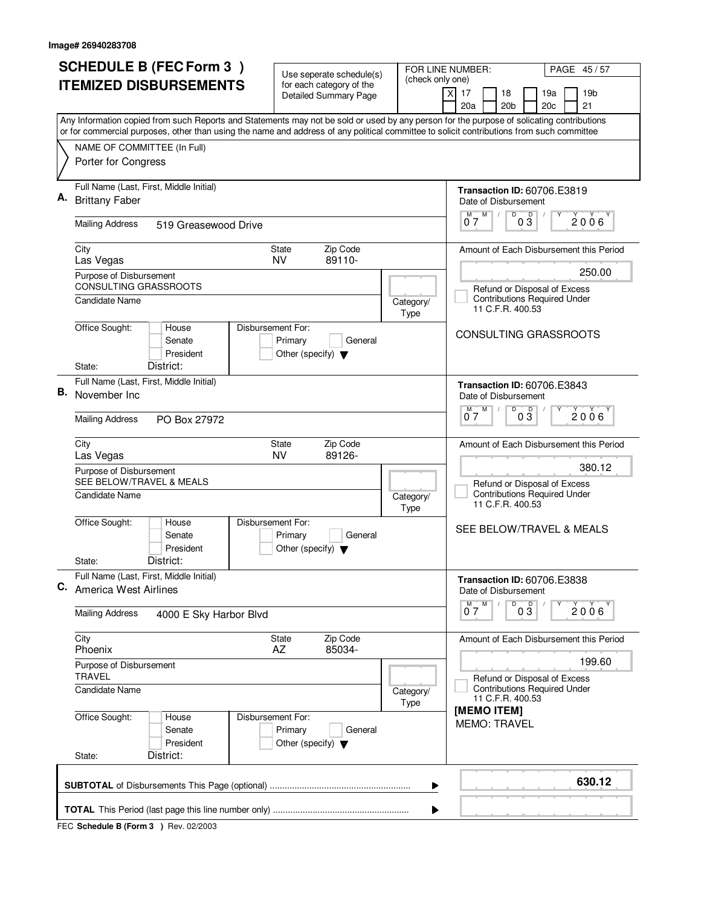| <b>SCHEDULE B (FEC Form 3)</b>                                                                                                                                                                                                                                                         | Use seperate schedule(s)                                                        | FOR LINE NUMBER:<br>(check only one) | PAGE 45/57                                                                                                                 |
|----------------------------------------------------------------------------------------------------------------------------------------------------------------------------------------------------------------------------------------------------------------------------------------|---------------------------------------------------------------------------------|--------------------------------------|----------------------------------------------------------------------------------------------------------------------------|
| <b>ITEMIZED DISBURSEMENTS</b>                                                                                                                                                                                                                                                          | for each category of the<br><b>Detailed Summary Page</b>                        |                                      | 17<br>18<br>19 <sub>b</sub><br>X<br>19a<br>20a<br>20 <sub>b</sub><br>20 <sub>c</sub><br>21                                 |
| Any Information copied from such Reports and Statements may not be sold or used by any person for the purpose of solicating contributions<br>or for commercial purposes, other than using the name and address of any political committee to solicit contributions from such committee |                                                                                 |                                      |                                                                                                                            |
| NAME OF COMMITTEE (In Full)<br>Porter for Congress                                                                                                                                                                                                                                     |                                                                                 |                                      |                                                                                                                            |
| Full Name (Last, First, Middle Initial)<br>Α.<br><b>Brittany Faber</b>                                                                                                                                                                                                                 |                                                                                 |                                      | <b>Transaction ID: 60706.E3819</b><br>Date of Disbursement<br>$0^M$ $7^M$<br>D<br>$0\frac{D}{3}$<br>Υ<br>2006 <sup>Y</sup> |
| <b>Mailing Address</b><br>519 Greasewood Drive                                                                                                                                                                                                                                         |                                                                                 |                                      |                                                                                                                            |
| City<br>Las Vegas                                                                                                                                                                                                                                                                      | Zip Code<br>State<br>89110-<br>NV                                               |                                      | Amount of Each Disbursement this Period<br>250.00                                                                          |
| Purpose of Disbursement<br>CONSULTING GRASSROOTS<br>Candidate Name                                                                                                                                                                                                                     |                                                                                 | Category/<br><b>Type</b>             | Refund or Disposal of Excess<br><b>Contributions Required Under</b><br>11 C.F.R. 400.53                                    |
| Office Sought:<br>House<br>Senate<br>President<br>District:<br>State:                                                                                                                                                                                                                  | Disbursement For:<br>Primary<br>General<br>Other (specify) $\blacktriangledown$ |                                      | CONSULTING GRASSROOTS                                                                                                      |
| Full Name (Last, First, Middle Initial)<br>В.<br>November Inc                                                                                                                                                                                                                          |                                                                                 |                                      | <b>Transaction ID: 60706.E3843</b><br>Date of Disbursement                                                                 |
| <b>Mailing Address</b><br>PO Box 27972                                                                                                                                                                                                                                                 |                                                                                 |                                      | D<br>D<br>M<br>2006<br>07<br>03                                                                                            |
| City<br>Las Vegas<br>Purpose of Disbursement<br>SEE BELOW/TRAVEL & MEALS                                                                                                                                                                                                               | Zip Code<br><b>State</b><br><b>NV</b><br>89126-                                 |                                      | Amount of Each Disbursement this Period<br>380.12                                                                          |
| Candidate Name                                                                                                                                                                                                                                                                         |                                                                                 | Category/<br>Type                    | Refund or Disposal of Excess<br><b>Contributions Required Under</b><br>11 C.F.R. 400.53                                    |
| Office Sought:<br>House<br>Senate<br>President                                                                                                                                                                                                                                         | Disbursement For:<br>Primary<br>General<br>Other (specify) $\blacktriangledown$ |                                      | SEE BELOW/TRAVEL & MEALS                                                                                                   |
| District:<br>State:<br>Full Name (Last, First, Middle Initial)                                                                                                                                                                                                                         |                                                                                 |                                      | <b>Transaction ID: 60706.E3838</b>                                                                                         |
| C. America West Airlines                                                                                                                                                                                                                                                               |                                                                                 |                                      | Date of Disbursement<br>$\overline{D}$<br>$M$ $M$                                                                          |
| <b>Mailing Address</b><br>4000 E Sky Harbor Blvd                                                                                                                                                                                                                                       |                                                                                 |                                      | $0\overline{3}$<br>$2006^{\circ}$<br>07                                                                                    |
| City<br>Phoenix                                                                                                                                                                                                                                                                        | Zip Code<br>State<br>AZ<br>85034-                                               |                                      | Amount of Each Disbursement this Period                                                                                    |
| Purpose of Disbursement<br><b>TRAVEL</b>                                                                                                                                                                                                                                               |                                                                                 |                                      | 199.60<br>Refund or Disposal of Excess                                                                                     |
| Candidate Name                                                                                                                                                                                                                                                                         |                                                                                 | Category/<br>Type                    | <b>Contributions Required Under</b><br>11 C.F.R. 400.53                                                                    |
| Office Sought:<br>House<br>Senate<br>President<br>District:<br>State:                                                                                                                                                                                                                  | Disbursement For:<br>Primary<br>General<br>Other (specify) $\blacktriangledown$ |                                      | [MEMO ITEM]<br><b>MEMO: TRAVEL</b>                                                                                         |
|                                                                                                                                                                                                                                                                                        |                                                                                 | ▶                                    | 630.12                                                                                                                     |
|                                                                                                                                                                                                                                                                                        |                                                                                 | ▶                                    |                                                                                                                            |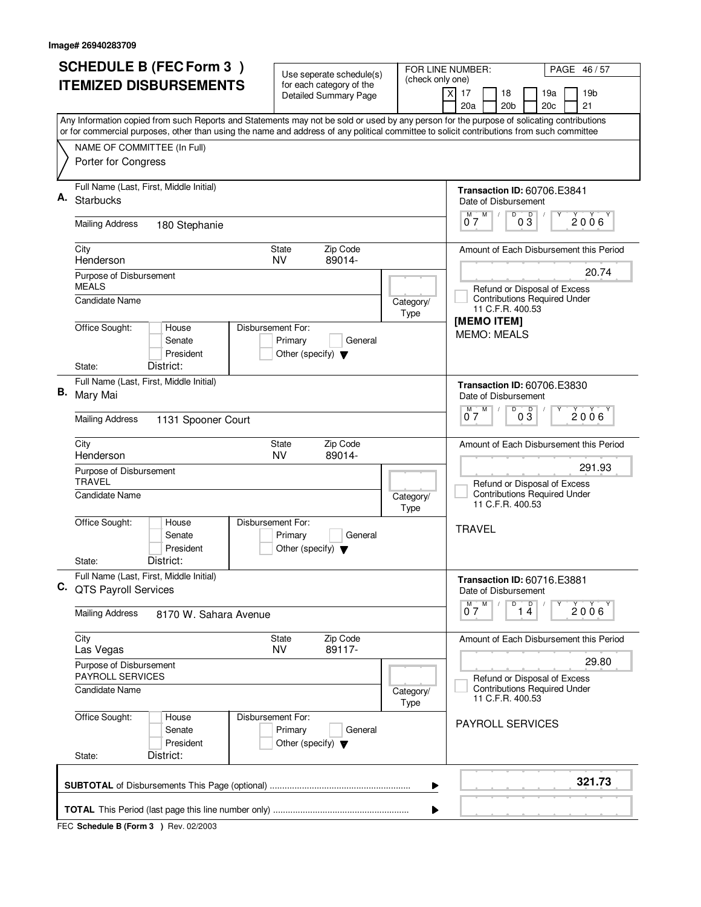|    | <b>SCHEDULE B (FEC Form 3)</b>                                                                                                                                                                                                                                                         | Use seperate schedule(s)                                                        | (check only one)                      | FOR LINE NUMBER:<br>PAGE 46/57                                                                   |
|----|----------------------------------------------------------------------------------------------------------------------------------------------------------------------------------------------------------------------------------------------------------------------------------------|---------------------------------------------------------------------------------|---------------------------------------|--------------------------------------------------------------------------------------------------|
|    | <b>ITEMIZED DISBURSEMENTS</b>                                                                                                                                                                                                                                                          | for each category of the<br><b>Detailed Summary Page</b>                        |                                       | 19 <sub>b</sub><br>X<br>17<br>18<br>19a<br>20a<br>20 <sub>b</sub><br>20c<br>21                   |
|    | Any Information copied from such Reports and Statements may not be sold or used by any person for the purpose of solicating contributions<br>or for commercial purposes, other than using the name and address of any political committee to solicit contributions from such committee |                                                                                 |                                       |                                                                                                  |
|    | NAME OF COMMITTEE (In Full)<br>Porter for Congress                                                                                                                                                                                                                                     |                                                                                 |                                       |                                                                                                  |
| Α. | Full Name (Last, First, Middle Initial)<br><b>Starbucks</b>                                                                                                                                                                                                                            |                                                                                 |                                       | <b>Transaction ID: 60706.E3841</b><br>Date of Disbursement<br>D<br>Υ                             |
|    | <b>Mailing Address</b><br>180 Stephanie                                                                                                                                                                                                                                                |                                                                                 |                                       | $0^M$ $7^M$<br>$0\overline{3}$<br>2006                                                           |
|    | City<br>Henderson                                                                                                                                                                                                                                                                      | Zip Code<br>State<br>89014-<br><b>NV</b>                                        |                                       | Amount of Each Disbursement this Period                                                          |
|    | Purpose of Disbursement<br><b>MEALS</b><br><b>Candidate Name</b>                                                                                                                                                                                                                       |                                                                                 | Category/                             | 20.74<br>Refund or Disposal of Excess<br><b>Contributions Required Under</b><br>11 C.F.R. 400.53 |
|    | Office Sought:<br>House<br>Senate<br>President<br>District:<br>State:                                                                                                                                                                                                                  | Disbursement For:<br>Primary<br>General<br>Other (specify) $\blacktriangledown$ | Type                                  | [MEMO ITEM]<br><b>MEMO: MEALS</b>                                                                |
| В. | Full Name (Last, First, Middle Initial)<br>Mary Mai                                                                                                                                                                                                                                    |                                                                                 |                                       | <b>Transaction ID: 60706.E3830</b><br>Date of Disbursement                                       |
|    | <b>Mailing Address</b><br>1131 Spooner Court                                                                                                                                                                                                                                           |                                                                                 |                                       | D<br>$0\overline{3}$<br>$0^{\overline{M}}$<br>M<br>2006                                          |
|    | City<br>Henderson                                                                                                                                                                                                                                                                      | Zip Code<br><b>State</b><br>89014-<br><b>NV</b>                                 |                                       | Amount of Each Disbursement this Period<br>291.93                                                |
|    | Purpose of Disbursement<br><b>TRAVEL</b><br>Candidate Name                                                                                                                                                                                                                             |                                                                                 | Category/<br>Type                     | Refund or Disposal of Excess<br><b>Contributions Required Under</b><br>11 C.F.R. 400.53          |
|    | Office Sought:<br>House<br>Senate<br>President<br>District:                                                                                                                                                                                                                            | Disbursement For:<br>Primary<br>General<br>Other (specify) $\blacktriangledown$ |                                       | <b>TRAVEL</b>                                                                                    |
|    | State:<br>Full Name (Last, First, Middle Initial)<br>C. QTS Payroll Services                                                                                                                                                                                                           |                                                                                 |                                       | <b>Transaction ID: 60716.E3881</b><br>Date of Disbursement                                       |
|    | <b>Mailing Address</b><br>8170 W. Sahara Avenue                                                                                                                                                                                                                                        |                                                                                 |                                       | $\overline{D}$<br>M<br>1 <sup>D</sup><br>M<br>$2006^{\circ}$<br>07                               |
|    | City<br>Las Vegas                                                                                                                                                                                                                                                                      | Zip Code<br>State<br><b>NV</b><br>89117-                                        |                                       | Amount of Each Disbursement this Period                                                          |
|    | Purpose of Disbursement<br><b>PAYROLL SERVICES</b>                                                                                                                                                                                                                                     |                                                                                 | 29.80<br>Refund or Disposal of Excess |                                                                                                  |
|    | Candidate Name                                                                                                                                                                                                                                                                         |                                                                                 | Category/<br>Type                     | <b>Contributions Required Under</b><br>11 C.F.R. 400.53                                          |
|    | Office Sought:<br>House<br>Senate<br>President<br>District:<br>State:                                                                                                                                                                                                                  | Disbursement For:<br>Primary<br>General<br>Other (specify) $\blacktriangledown$ |                                       | <b>PAYROLL SERVICES</b>                                                                          |
|    |                                                                                                                                                                                                                                                                                        |                                                                                 |                                       | 321.73                                                                                           |
|    |                                                                                                                                                                                                                                                                                        |                                                                                 | ▶                                     |                                                                                                  |
|    |                                                                                                                                                                                                                                                                                        |                                                                                 | ▶                                     |                                                                                                  |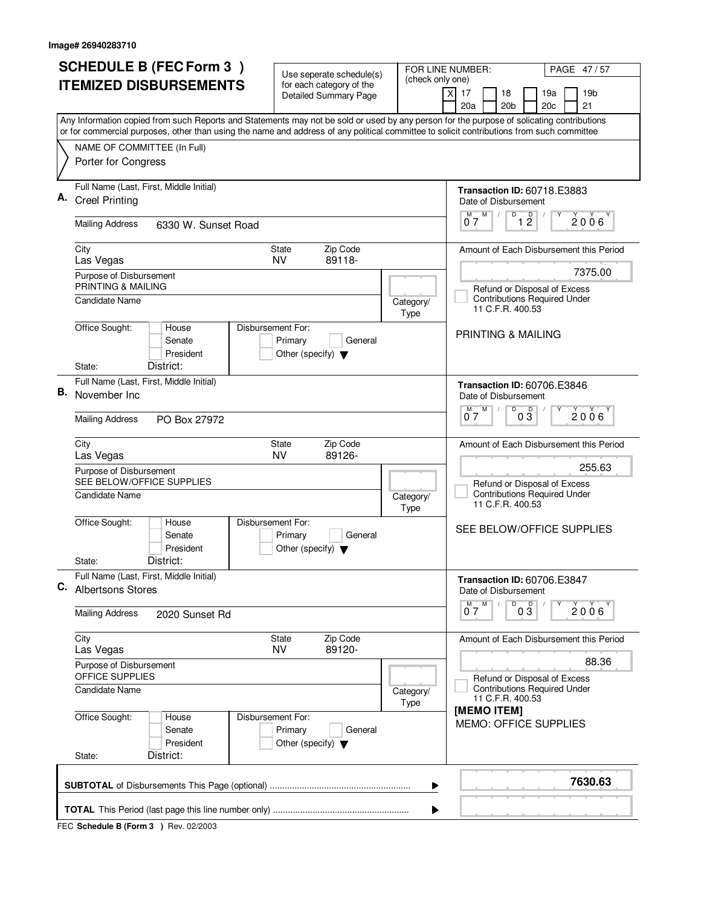| <b>SCHEDULE B (FEC Form 3)</b>                                                                                                                                                                                                                                                         | Use seperate schedule(s)                                                        | FOR LINE NUMBER:<br>(check only one) | PAGE 47/57                                                                                         |
|----------------------------------------------------------------------------------------------------------------------------------------------------------------------------------------------------------------------------------------------------------------------------------------|---------------------------------------------------------------------------------|--------------------------------------|----------------------------------------------------------------------------------------------------|
| <b>ITEMIZED DISBURSEMENTS</b>                                                                                                                                                                                                                                                          | for each category of the<br><b>Detailed Summary Page</b>                        | 17<br>X<br>20a                       | 18<br>19 <sub>b</sub><br>19a<br>20 <sub>b</sub><br>20 <sub>c</sub><br>21                           |
| Any Information copied from such Reports and Statements may not be sold or used by any person for the purpose of solicating contributions<br>or for commercial purposes, other than using the name and address of any political committee to solicit contributions from such committee |                                                                                 |                                      |                                                                                                    |
| NAME OF COMMITTEE (In Full)<br>Porter for Congress                                                                                                                                                                                                                                     |                                                                                 |                                      |                                                                                                    |
| Full Name (Last, First, Middle Initial)<br><b>Creel Printing</b>                                                                                                                                                                                                                       |                                                                                 |                                      | <b>Transaction ID: 60718.E3883</b><br>Date of Disbursement<br>D                                    |
| <b>Mailing Address</b><br>6330 W. Sunset Road                                                                                                                                                                                                                                          |                                                                                 |                                      | $0^M$ $7^M$<br>1 <sup>D</sup><br>$2006^{\circ}$                                                    |
| City<br>Las Vegas                                                                                                                                                                                                                                                                      | Zip Code<br>State<br>89118-<br><b>NV</b>                                        |                                      | Amount of Each Disbursement this Period                                                            |
| Purpose of Disbursement<br>PRINTING & MAILING<br>Candidate Name                                                                                                                                                                                                                        |                                                                                 | Category/<br>Type                    | 7375.00<br>Refund or Disposal of Excess<br><b>Contributions Required Under</b><br>11 C.F.R. 400.53 |
| Office Sought:<br>House<br>Senate<br>President<br>District:<br>State:                                                                                                                                                                                                                  | Disbursement For:<br>Primary<br>General<br>Other (specify) $\blacktriangledown$ |                                      | PRINTING & MAILING                                                                                 |
| Full Name (Last, First, Middle Initial)<br>В.<br>November Inc                                                                                                                                                                                                                          |                                                                                 |                                      | Transaction ID: 60706.E3846<br>Date of Disbursement                                                |
| <b>Mailing Address</b><br>PO Box 27972                                                                                                                                                                                                                                                 |                                                                                 |                                      | D<br>D<br>M<br>2006<br>07<br>03                                                                    |
| City<br>Las Vegas<br>Purpose of Disbursement                                                                                                                                                                                                                                           | Zip Code<br><b>State</b><br>89126-<br><b>NV</b>                                 |                                      | Amount of Each Disbursement this Period<br>255.63                                                  |
| SEE BELOW/OFFICE SUPPLIES<br>Candidate Name                                                                                                                                                                                                                                            |                                                                                 | Category/<br>Type                    | Refund or Disposal of Excess<br><b>Contributions Required Under</b><br>11 C.F.R. 400.53            |
| Office Sought:<br>House<br>Senate<br>President                                                                                                                                                                                                                                         | Disbursement For:<br>Primary<br>General<br>Other (specify) $\blacktriangledown$ |                                      | SEE BELOW/OFFICE SUPPLIES                                                                          |
| District:<br>State:<br>Full Name (Last, First, Middle Initial)<br>C.<br><b>Albertsons Stores</b>                                                                                                                                                                                       |                                                                                 |                                      | <b>Transaction ID: 60706.E3847</b><br>Date of Disbursement                                         |
| <b>Mailing Address</b><br>2020 Sunset Rd                                                                                                                                                                                                                                               |                                                                                 |                                      | D<br>$M$ $M$<br>$0\overline{3}$<br>$2006^{\circ}$<br>07                                            |
| City<br>Las Vegas                                                                                                                                                                                                                                                                      | Zip Code<br>State<br><b>NV</b><br>89120-                                        |                                      | Amount of Each Disbursement this Period                                                            |
| Purpose of Disbursement<br>OFFICE SUPPLIES                                                                                                                                                                                                                                             |                                                                                 |                                      | 88.36<br>Refund or Disposal of Excess                                                              |
| <b>Candidate Name</b>                                                                                                                                                                                                                                                                  |                                                                                 | Category/<br>Type                    | <b>Contributions Required Under</b><br>11 C.F.R. 400.53<br>[MEMO ITEM]                             |
| Office Sought:<br>House<br>Senate<br>President<br>District:<br>State:                                                                                                                                                                                                                  | Disbursement For:<br>Primary<br>General<br>Other (specify) $\blacktriangledown$ |                                      | <b>MEMO: OFFICE SUPPLIES</b>                                                                       |
|                                                                                                                                                                                                                                                                                        |                                                                                 | ▶                                    | 7630.63                                                                                            |
|                                                                                                                                                                                                                                                                                        |                                                                                 | ▶                                    |                                                                                                    |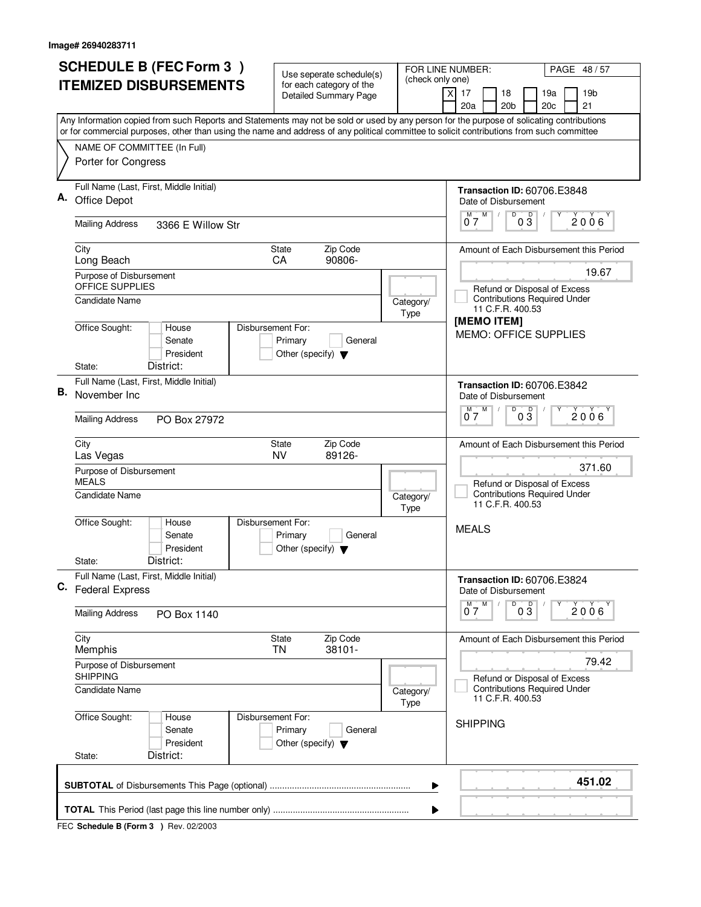| <b>SCHEDULE B (FEC Form 3)</b><br><b>ITEMIZED DISBURSEMENTS</b>                                                                                                                                                                                                                        | Use seperate schedule(s)<br>(check only one)<br>for each category of the                | FOR LINE NUMBER:<br>PAGE 48 / 57                                                            |
|----------------------------------------------------------------------------------------------------------------------------------------------------------------------------------------------------------------------------------------------------------------------------------------|-----------------------------------------------------------------------------------------|---------------------------------------------------------------------------------------------|
|                                                                                                                                                                                                                                                                                        | <b>Detailed Summary Page</b>                                                            | 19 <sub>b</sub><br>$\times$<br>17<br>18<br>19a<br>20a<br>20 <sub>b</sub><br>21<br>20c       |
| Any Information copied from such Reports and Statements may not be sold or used by any person for the purpose of solicating contributions<br>or for commercial purposes, other than using the name and address of any political committee to solicit contributions from such committee |                                                                                         |                                                                                             |
| NAME OF COMMITTEE (In Full)<br>Porter for Congress                                                                                                                                                                                                                                     |                                                                                         |                                                                                             |
| Full Name (Last, First, Middle Initial)<br>Α.<br>Office Depot                                                                                                                                                                                                                          |                                                                                         | <b>Transaction ID: 60706.E3848</b><br>Date of Disbursement<br>D<br>M                        |
| <b>Mailing Address</b><br>3366 E Willow Str                                                                                                                                                                                                                                            |                                                                                         | $0\overline{3}$<br>$0^{\overline{M}}$<br>$2006^{\circ}$                                     |
| City<br>Long Beach                                                                                                                                                                                                                                                                     | Zip Code<br>State<br>90806-<br>CA                                                       | Amount of Each Disbursement this Period                                                     |
| Purpose of Disbursement<br>OFFICE SUPPLIES                                                                                                                                                                                                                                             |                                                                                         | 19.67<br>Refund or Disposal of Excess                                                       |
| <b>Candidate Name</b>                                                                                                                                                                                                                                                                  | Category/<br>Type                                                                       | <b>Contributions Required Under</b><br>11 C.F.R. 400.53<br>[MEMO ITEM]                      |
| Office Sought:<br>House<br>Senate<br>President                                                                                                                                                                                                                                         | Disbursement For:<br>Primary<br>General<br>Other (specify) $\blacktriangledown$         | <b>MEMO: OFFICE SUPPLIES</b>                                                                |
| District:<br>State:<br>Full Name (Last, First, Middle Initial)<br>В.                                                                                                                                                                                                                   |                                                                                         | <b>Transaction ID: 60706.E3842</b>                                                          |
| November Inc<br><b>Mailing Address</b><br>PO Box 27972                                                                                                                                                                                                                                 |                                                                                         | Date of Disbursement<br>D<br>M<br>$0\overline{3}$<br>2006'<br>07                            |
|                                                                                                                                                                                                                                                                                        |                                                                                         |                                                                                             |
| City<br>Las Vegas                                                                                                                                                                                                                                                                      | Zip Code<br><b>State</b><br><b>NV</b><br>89126-                                         | Amount of Each Disbursement this Period<br>371.60                                           |
| Purpose of Disbursement<br><b>MEALS</b><br><b>Candidate Name</b>                                                                                                                                                                                                                       | Category/                                                                               | Refund or Disposal of Excess<br><b>Contributions Required Under</b><br>11 C.F.R. 400.53     |
| Office Sought:<br>House<br>Senate<br>President                                                                                                                                                                                                                                         | Type<br>Disbursement For:<br>Primary<br>General<br>Other (specify) $\blacktriangledown$ | <b>MEALS</b>                                                                                |
| District:<br>State:<br>Full Name (Last, First, Middle Initial)                                                                                                                                                                                                                         |                                                                                         | Transaction ID: 60706.E3824                                                                 |
| C. Federal Express<br><b>Mailing Address</b><br>PO Box 1140                                                                                                                                                                                                                            |                                                                                         | Date of Disbursement<br>$\overline{D}$<br>M<br>M<br>$0\overline{3}$<br>$2006^{\circ}$<br>07 |
| City                                                                                                                                                                                                                                                                                   | Zip Code<br>State                                                                       | Amount of Each Disbursement this Period                                                     |
| Memphis<br>Purpose of Disbursement<br><b>SHIPPING</b>                                                                                                                                                                                                                                  | 38101-<br>TN                                                                            | 79.42                                                                                       |
| Candidate Name                                                                                                                                                                                                                                                                         | Category/<br>Type                                                                       | Refund or Disposal of Excess<br><b>Contributions Required Under</b><br>11 C.F.R. 400.53     |
| Office Sought:<br>House<br>Senate<br>President                                                                                                                                                                                                                                         | Disbursement For:<br>Primary<br>General<br>Other (specify) $\blacktriangledown$         | <b>SHIPPING</b>                                                                             |
| District:<br>State:                                                                                                                                                                                                                                                                    |                                                                                         | 451.02                                                                                      |
|                                                                                                                                                                                                                                                                                        | ▶                                                                                       |                                                                                             |
|                                                                                                                                                                                                                                                                                        |                                                                                         |                                                                                             |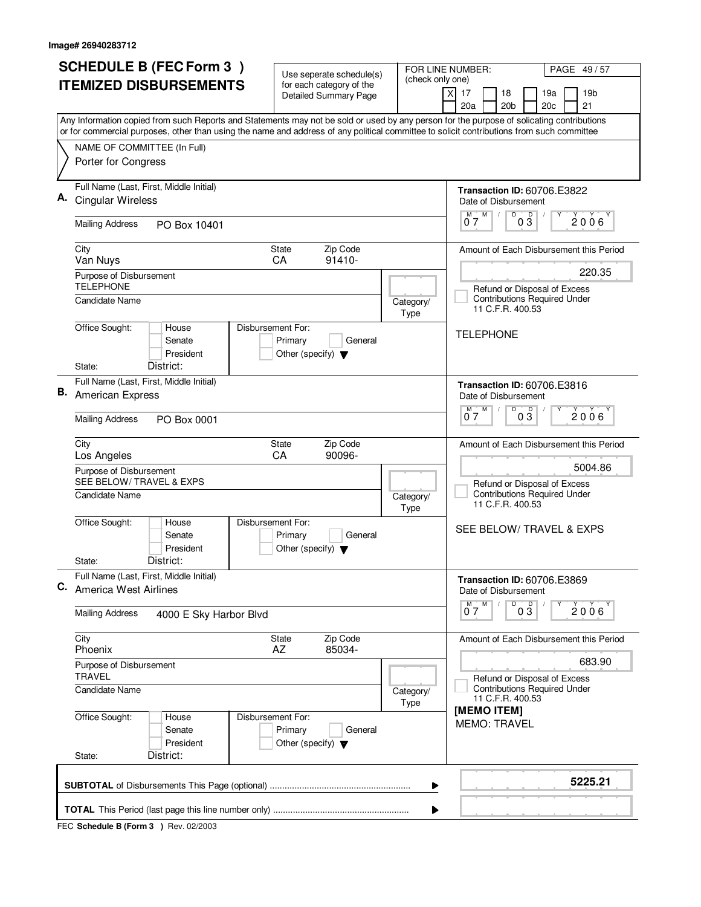| 20a<br>20 <sub>b</sub><br>21<br>20c<br>Any Information copied from such Reports and Statements may not be sold or used by any person for the purpose of solicating contributions<br>or for commercial purposes, other than using the name and address of any political committee to solicit contributions from such committee<br>NAME OF COMMITTEE (In Full)<br>Porter for Congress<br>Full Name (Last, First, Middle Initial)<br><b>Transaction ID: 60706.E3822</b><br><b>Cingular Wireless</b><br>Date of Disbursement<br>$0^{\frac{M}{2}}$<br>D<br>03<br>$2006^{\circ}$<br><b>Mailing Address</b><br>PO Box 10401<br>Zip Code<br>City<br>State<br>91410-<br>Van Nuys<br>CA<br>220.35<br>Purpose of Disbursement<br><b>TELEPHONE</b><br>Refund or Disposal of Excess<br><b>Contributions Required Under</b><br>Candidate Name<br>Category/<br>11 C.F.R. 400.53<br>Type<br>Office Sought:<br>Disbursement For:<br>House<br><b>TELEPHONE</b><br>Senate<br>Primary<br>General<br>President<br>Other (specify) $\blacktriangledown$<br>District:<br>State:<br>Full Name (Last, First, Middle Initial)<br><b>Transaction ID: 60706.E3816</b><br>В.<br>American Express<br>Date of Disbursement<br>D<br>M<br>$0\overline{3}$<br>2006<br>07<br><b>Mailing Address</b><br>PO Box 0001<br>Zip Code<br>City<br>State<br>Los Angeles<br>CA<br>90096-<br>5004.86<br>Purpose of Disbursement<br>SEE BELOW/ TRAVEL & EXPS<br>Refund or Disposal of Excess<br><b>Contributions Required Under</b><br><b>Candidate Name</b><br>Category/<br>11 C.F.R. 400.53<br>Type<br>Office Sought:<br>Disbursement For:<br>House<br>SEE BELOW/ TRAVEL & EXPS<br>Senate<br>Primary<br>General<br>President<br>Other (specify) $\blacktriangledown$<br>District:<br>State:<br>Full Name (Last, First, Middle Initial)<br><b>Transaction ID: 60706.E3869</b><br>C. America West Airlines<br>Date of Disbursement<br>D<br>$0\frac{D}{3}$<br>M<br>M<br>$2006^{\circ}$<br>07<br><b>Mailing Address</b><br>4000 E Sky Harbor Blvd<br>City<br>Zip Code<br>State<br>AZ<br>85034-<br>Phoenix<br>683.90<br>Purpose of Disbursement<br><b>TRAVEL</b><br>Refund or Disposal of Excess<br><b>Contributions Required Under</b><br>Candidate Name<br>Category/<br>11 C.F.R. 400.53<br>Type<br>[MEMO ITEM]<br>Office Sought:<br>Disbursement For:<br>House<br><b>MEMO: TRAVEL</b><br>Senate<br>Primary<br>General<br>President<br>Other (specify) $\blacktriangledown$<br>District:<br>State: | <b>SCHEDULE B (FEC Form 3)</b><br><b>ITEMIZED DISBURSEMENTS</b> | Use seperate schedule(s)<br>for each category of the<br><b>Detailed Summary Page</b> | FOR LINE NUMBER:<br>(check only one) | PAGE 49/57<br>$\times$<br>17<br>18<br>19a<br>19 <sub>b</sub> |
|----------------------------------------------------------------------------------------------------------------------------------------------------------------------------------------------------------------------------------------------------------------------------------------------------------------------------------------------------------------------------------------------------------------------------------------------------------------------------------------------------------------------------------------------------------------------------------------------------------------------------------------------------------------------------------------------------------------------------------------------------------------------------------------------------------------------------------------------------------------------------------------------------------------------------------------------------------------------------------------------------------------------------------------------------------------------------------------------------------------------------------------------------------------------------------------------------------------------------------------------------------------------------------------------------------------------------------------------------------------------------------------------------------------------------------------------------------------------------------------------------------------------------------------------------------------------------------------------------------------------------------------------------------------------------------------------------------------------------------------------------------------------------------------------------------------------------------------------------------------------------------------------------------------------------------------------------------------------------------------------------------------------------------------------------------------------------------------------------------------------------------------------------------------------------------------------------------------------------------------------------------------------------------------------------------------------------------------------------------------------------------------------------------------------------------------------------|-----------------------------------------------------------------|--------------------------------------------------------------------------------------|--------------------------------------|--------------------------------------------------------------|
|                                                                                                                                                                                                                                                                                                                                                                                                                                                                                                                                                                                                                                                                                                                                                                                                                                                                                                                                                                                                                                                                                                                                                                                                                                                                                                                                                                                                                                                                                                                                                                                                                                                                                                                                                                                                                                                                                                                                                                                                                                                                                                                                                                                                                                                                                                                                                                                                                                                    |                                                                 |                                                                                      |                                      |                                                              |
|                                                                                                                                                                                                                                                                                                                                                                                                                                                                                                                                                                                                                                                                                                                                                                                                                                                                                                                                                                                                                                                                                                                                                                                                                                                                                                                                                                                                                                                                                                                                                                                                                                                                                                                                                                                                                                                                                                                                                                                                                                                                                                                                                                                                                                                                                                                                                                                                                                                    |                                                                 |                                                                                      |                                      |                                                              |
|                                                                                                                                                                                                                                                                                                                                                                                                                                                                                                                                                                                                                                                                                                                                                                                                                                                                                                                                                                                                                                                                                                                                                                                                                                                                                                                                                                                                                                                                                                                                                                                                                                                                                                                                                                                                                                                                                                                                                                                                                                                                                                                                                                                                                                                                                                                                                                                                                                                    |                                                                 |                                                                                      |                                      |                                                              |
|                                                                                                                                                                                                                                                                                                                                                                                                                                                                                                                                                                                                                                                                                                                                                                                                                                                                                                                                                                                                                                                                                                                                                                                                                                                                                                                                                                                                                                                                                                                                                                                                                                                                                                                                                                                                                                                                                                                                                                                                                                                                                                                                                                                                                                                                                                                                                                                                                                                    |                                                                 |                                                                                      |                                      |                                                              |
|                                                                                                                                                                                                                                                                                                                                                                                                                                                                                                                                                                                                                                                                                                                                                                                                                                                                                                                                                                                                                                                                                                                                                                                                                                                                                                                                                                                                                                                                                                                                                                                                                                                                                                                                                                                                                                                                                                                                                                                                                                                                                                                                                                                                                                                                                                                                                                                                                                                    |                                                                 |                                                                                      |                                      |                                                              |
|                                                                                                                                                                                                                                                                                                                                                                                                                                                                                                                                                                                                                                                                                                                                                                                                                                                                                                                                                                                                                                                                                                                                                                                                                                                                                                                                                                                                                                                                                                                                                                                                                                                                                                                                                                                                                                                                                                                                                                                                                                                                                                                                                                                                                                                                                                                                                                                                                                                    |                                                                 |                                                                                      |                                      | Amount of Each Disbursement this Period                      |
|                                                                                                                                                                                                                                                                                                                                                                                                                                                                                                                                                                                                                                                                                                                                                                                                                                                                                                                                                                                                                                                                                                                                                                                                                                                                                                                                                                                                                                                                                                                                                                                                                                                                                                                                                                                                                                                                                                                                                                                                                                                                                                                                                                                                                                                                                                                                                                                                                                                    |                                                                 |                                                                                      |                                      |                                                              |
|                                                                                                                                                                                                                                                                                                                                                                                                                                                                                                                                                                                                                                                                                                                                                                                                                                                                                                                                                                                                                                                                                                                                                                                                                                                                                                                                                                                                                                                                                                                                                                                                                                                                                                                                                                                                                                                                                                                                                                                                                                                                                                                                                                                                                                                                                                                                                                                                                                                    |                                                                 |                                                                                      |                                      |                                                              |
|                                                                                                                                                                                                                                                                                                                                                                                                                                                                                                                                                                                                                                                                                                                                                                                                                                                                                                                                                                                                                                                                                                                                                                                                                                                                                                                                                                                                                                                                                                                                                                                                                                                                                                                                                                                                                                                                                                                                                                                                                                                                                                                                                                                                                                                                                                                                                                                                                                                    |                                                                 |                                                                                      |                                      |                                                              |
|                                                                                                                                                                                                                                                                                                                                                                                                                                                                                                                                                                                                                                                                                                                                                                                                                                                                                                                                                                                                                                                                                                                                                                                                                                                                                                                                                                                                                                                                                                                                                                                                                                                                                                                                                                                                                                                                                                                                                                                                                                                                                                                                                                                                                                                                                                                                                                                                                                                    |                                                                 |                                                                                      |                                      |                                                              |
|                                                                                                                                                                                                                                                                                                                                                                                                                                                                                                                                                                                                                                                                                                                                                                                                                                                                                                                                                                                                                                                                                                                                                                                                                                                                                                                                                                                                                                                                                                                                                                                                                                                                                                                                                                                                                                                                                                                                                                                                                                                                                                                                                                                                                                                                                                                                                                                                                                                    |                                                                 |                                                                                      |                                      | Amount of Each Disbursement this Period                      |
|                                                                                                                                                                                                                                                                                                                                                                                                                                                                                                                                                                                                                                                                                                                                                                                                                                                                                                                                                                                                                                                                                                                                                                                                                                                                                                                                                                                                                                                                                                                                                                                                                                                                                                                                                                                                                                                                                                                                                                                                                                                                                                                                                                                                                                                                                                                                                                                                                                                    |                                                                 |                                                                                      |                                      |                                                              |
|                                                                                                                                                                                                                                                                                                                                                                                                                                                                                                                                                                                                                                                                                                                                                                                                                                                                                                                                                                                                                                                                                                                                                                                                                                                                                                                                                                                                                                                                                                                                                                                                                                                                                                                                                                                                                                                                                                                                                                                                                                                                                                                                                                                                                                                                                                                                                                                                                                                    |                                                                 |                                                                                      |                                      |                                                              |
|                                                                                                                                                                                                                                                                                                                                                                                                                                                                                                                                                                                                                                                                                                                                                                                                                                                                                                                                                                                                                                                                                                                                                                                                                                                                                                                                                                                                                                                                                                                                                                                                                                                                                                                                                                                                                                                                                                                                                                                                                                                                                                                                                                                                                                                                                                                                                                                                                                                    |                                                                 |                                                                                      |                                      |                                                              |
|                                                                                                                                                                                                                                                                                                                                                                                                                                                                                                                                                                                                                                                                                                                                                                                                                                                                                                                                                                                                                                                                                                                                                                                                                                                                                                                                                                                                                                                                                                                                                                                                                                                                                                                                                                                                                                                                                                                                                                                                                                                                                                                                                                                                                                                                                                                                                                                                                                                    |                                                                 |                                                                                      |                                      | Amount of Each Disbursement this Period                      |
|                                                                                                                                                                                                                                                                                                                                                                                                                                                                                                                                                                                                                                                                                                                                                                                                                                                                                                                                                                                                                                                                                                                                                                                                                                                                                                                                                                                                                                                                                                                                                                                                                                                                                                                                                                                                                                                                                                                                                                                                                                                                                                                                                                                                                                                                                                                                                                                                                                                    |                                                                 |                                                                                      |                                      |                                                              |
|                                                                                                                                                                                                                                                                                                                                                                                                                                                                                                                                                                                                                                                                                                                                                                                                                                                                                                                                                                                                                                                                                                                                                                                                                                                                                                                                                                                                                                                                                                                                                                                                                                                                                                                                                                                                                                                                                                                                                                                                                                                                                                                                                                                                                                                                                                                                                                                                                                                    |                                                                 |                                                                                      |                                      |                                                              |
|                                                                                                                                                                                                                                                                                                                                                                                                                                                                                                                                                                                                                                                                                                                                                                                                                                                                                                                                                                                                                                                                                                                                                                                                                                                                                                                                                                                                                                                                                                                                                                                                                                                                                                                                                                                                                                                                                                                                                                                                                                                                                                                                                                                                                                                                                                                                                                                                                                                    |                                                                 |                                                                                      |                                      |                                                              |
| ▶                                                                                                                                                                                                                                                                                                                                                                                                                                                                                                                                                                                                                                                                                                                                                                                                                                                                                                                                                                                                                                                                                                                                                                                                                                                                                                                                                                                                                                                                                                                                                                                                                                                                                                                                                                                                                                                                                                                                                                                                                                                                                                                                                                                                                                                                                                                                                                                                                                                  |                                                                 |                                                                                      |                                      | 5225.21                                                      |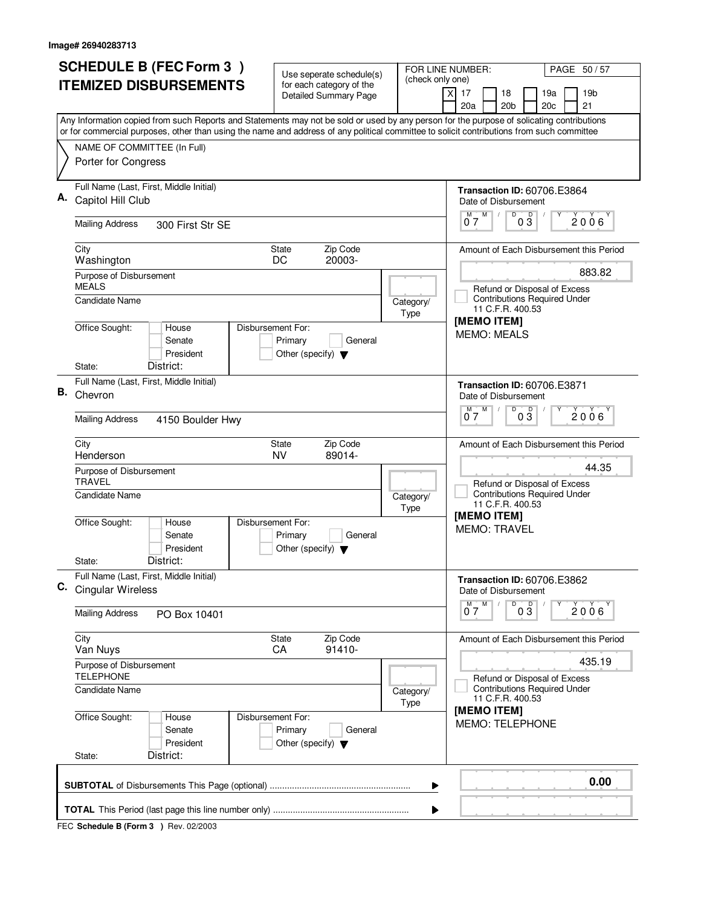|    | <b>SCHEDULE B (FEC Form 3)</b>                                                                                                                                                                                                                                                         | Use seperate schedule(s)                                                        |                   | FOR LINE NUMBER:<br>PAGE 50/57                                                                    |  |
|----|----------------------------------------------------------------------------------------------------------------------------------------------------------------------------------------------------------------------------------------------------------------------------------------|---------------------------------------------------------------------------------|-------------------|---------------------------------------------------------------------------------------------------|--|
|    | <b>ITEMIZED DISBURSEMENTS</b>                                                                                                                                                                                                                                                          | for each category of the<br><b>Detailed Summary Page</b>                        | (check only one)  | 19 <sub>b</sub><br>X<br>17<br>18<br>19a<br>20a<br>20 <sub>b</sub><br>20c<br>21                    |  |
|    | Any Information copied from such Reports and Statements may not be sold or used by any person for the purpose of solicating contributions<br>or for commercial purposes, other than using the name and address of any political committee to solicit contributions from such committee |                                                                                 |                   |                                                                                                   |  |
|    | NAME OF COMMITTEE (In Full)<br>Porter for Congress                                                                                                                                                                                                                                     |                                                                                 |                   |                                                                                                   |  |
| Α. | Full Name (Last, First, Middle Initial)<br>Capitol Hill Club                                                                                                                                                                                                                           |                                                                                 |                   | <b>Transaction ID: 60706.E3864</b><br>Date of Disbursement<br>D<br>Υ                              |  |
|    | <b>Mailing Address</b><br>300 First Str SE                                                                                                                                                                                                                                             |                                                                                 |                   | $0^M$ $7^M$<br>$0\overset{D}{3}$<br>2006                                                          |  |
|    | City<br>Washington                                                                                                                                                                                                                                                                     | Zip Code<br>State<br>20003-<br>DC                                               |                   | Amount of Each Disbursement this Period                                                           |  |
|    | Purpose of Disbursement<br><b>MEALS</b><br><b>Candidate Name</b>                                                                                                                                                                                                                       |                                                                                 | Category/<br>Type | 883.82<br>Refund or Disposal of Excess<br><b>Contributions Required Under</b><br>11 C.F.R. 400.53 |  |
|    | Office Sought:<br>House<br>Senate<br>President<br>District:<br>State:                                                                                                                                                                                                                  | Disbursement For:<br>Primary<br>General<br>Other (specify) $\blacktriangledown$ |                   | [MEMO ITEM]<br><b>MEMO: MEALS</b>                                                                 |  |
| В. | Full Name (Last, First, Middle Initial)<br>Chevron                                                                                                                                                                                                                                     |                                                                                 |                   | <b>Transaction ID: 60706.E3871</b><br>Date of Disbursement                                        |  |
|    | <b>Mailing Address</b><br>4150 Boulder Hwy                                                                                                                                                                                                                                             |                                                                                 |                   | D<br>$0\overline{3}$<br>$0^{\overline{M}}$<br>M<br>2006                                           |  |
|    | City<br>Henderson                                                                                                                                                                                                                                                                      | Zip Code<br><b>State</b><br>89014-<br><b>NV</b>                                 |                   | Amount of Each Disbursement this Period<br>44.35                                                  |  |
|    | Purpose of Disbursement<br><b>TRAVEL</b><br>Candidate Name                                                                                                                                                                                                                             |                                                                                 | Category/<br>Type | Refund or Disposal of Excess<br><b>Contributions Required Under</b><br>11 C.F.R. 400.53           |  |
|    | Office Sought:<br>House<br>Senate<br>President                                                                                                                                                                                                                                         | Disbursement For:<br>Primary<br>General<br>Other (specify) $\blacktriangledown$ |                   | [MEMO ITEM]<br><b>MEMO: TRAVEL</b>                                                                |  |
|    | District:<br>State:<br>Full Name (Last, First, Middle Initial)<br>C. Cingular Wireless                                                                                                                                                                                                 |                                                                                 |                   | <b>Transaction ID: 60706.E3862</b><br>Date of Disbursement<br>D<br>M                              |  |
|    | <b>Mailing Address</b><br>PO Box 10401                                                                                                                                                                                                                                                 |                                                                                 |                   | M <sub>1</sub><br>$0\overline{3}$<br>$2006^{\circ}$<br>07                                         |  |
|    | City<br>Van Nuys                                                                                                                                                                                                                                                                       | Zip Code<br>State<br>91410-<br>CA                                               |                   | Amount of Each Disbursement this Period                                                           |  |
|    | Purpose of Disbursement<br><b>TELEPHONE</b>                                                                                                                                                                                                                                            |                                                                                 |                   | 435.19<br>Refund or Disposal of Excess                                                            |  |
|    | Candidate Name                                                                                                                                                                                                                                                                         |                                                                                 | Category/<br>Type | <b>Contributions Required Under</b><br>11 C.F.R. 400.53                                           |  |
|    | Office Sought:<br>House<br>Senate<br>President<br>District:<br>State:                                                                                                                                                                                                                  | Disbursement For:<br>Primary<br>General<br>Other (specify) $\blacktriangledown$ |                   | [MEMO ITEM]<br><b>MEMO: TELEPHONE</b>                                                             |  |
|    |                                                                                                                                                                                                                                                                                        |                                                                                 |                   | 0.00                                                                                              |  |
|    | ▶                                                                                                                                                                                                                                                                                      |                                                                                 |                   |                                                                                                   |  |
|    |                                                                                                                                                                                                                                                                                        |                                                                                 |                   |                                                                                                   |  |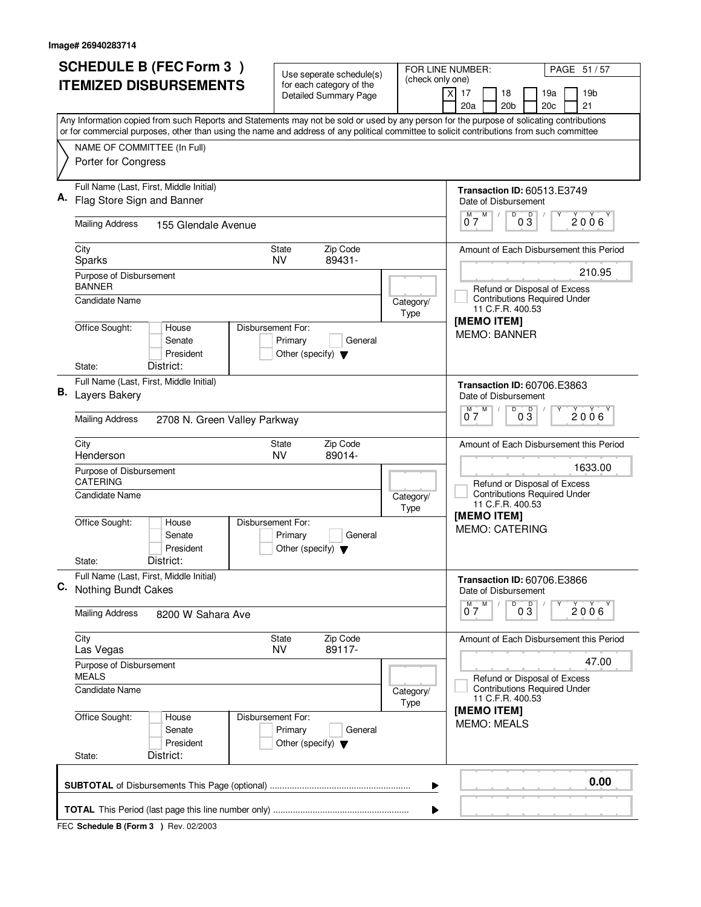| <b>SCHEDULE B (FEC Form 3)</b>                                                                                                                                                                                                                                                         | Use seperate schedule(s)                                   | FOR LINE NUMBER:      | PAGE 51 / 57                                                                                                                                     |
|----------------------------------------------------------------------------------------------------------------------------------------------------------------------------------------------------------------------------------------------------------------------------------------|------------------------------------------------------------|-----------------------|--------------------------------------------------------------------------------------------------------------------------------------------------|
| <b>ITEMIZED DISBURSEMENTS</b>                                                                                                                                                                                                                                                          | for each category of the<br><b>Detailed Summary Page</b>   | (check only one)<br>X | 17<br>19 <sub>b</sub><br>18<br>19a<br>20a<br>20 <sub>b</sub><br>20c<br>21                                                                        |
| Any Information copied from such Reports and Statements may not be sold or used by any person for the purpose of solicating contributions<br>or for commercial purposes, other than using the name and address of any political committee to solicit contributions from such committee |                                                            |                       |                                                                                                                                                  |
| NAME OF COMMITTEE (In Full)<br>Porter for Congress                                                                                                                                                                                                                                     |                                                            |                       |                                                                                                                                                  |
| Full Name (Last, First, Middle Initial)<br>Flag Store Sign and Banner                                                                                                                                                                                                                  |                                                            |                       | <b>Transaction ID: 60513.E3749</b><br>Date of Disbursement<br>D<br>$0^{\overline{M}}$ $\overline{7}^{\overline{M}}$<br>03<br>Υ<br>$2006^{\circ}$ |
| <b>Mailing Address</b><br>155 Glendale Avenue                                                                                                                                                                                                                                          |                                                            |                       |                                                                                                                                                  |
| City<br>Sparks                                                                                                                                                                                                                                                                         | Zip Code<br>State<br>89431-<br><b>NV</b>                   |                       | Amount of Each Disbursement this Period                                                                                                          |
| Purpose of Disbursement<br><b>BANNER</b><br><b>Candidate Name</b>                                                                                                                                                                                                                      |                                                            | Category/             | 210.95<br>Refund or Disposal of Excess<br><b>Contributions Required Under</b><br>11 C.F.R. 400.53                                                |
| Office Sought:<br>House<br>Disbursement For:<br>Senate<br>President<br>District:<br>State:                                                                                                                                                                                             | Primary<br>General<br>Other (specify) $\blacktriangledown$ | Type                  | [MEMO ITEM]<br><b>MEMO: BANNER</b>                                                                                                               |
| Full Name (Last, First, Middle Initial)<br>В.<br>Layers Bakery                                                                                                                                                                                                                         |                                                            |                       | <b>Transaction ID: 60706.E3863</b><br>Date of Disbursement                                                                                       |
| <b>Mailing Address</b><br>2708 N. Green Valley Parkway                                                                                                                                                                                                                                 |                                                            |                       | D<br>D<br>M<br>2006<br>07<br>03                                                                                                                  |
| City<br>Henderson<br>Purpose of Disbursement<br><b>CATERING</b>                                                                                                                                                                                                                        | Zip Code<br><b>State</b><br><b>NV</b><br>89014-            |                       | Amount of Each Disbursement this Period<br>1633.00<br>Refund or Disposal of Excess                                                               |
| Candidate Name<br>Office Sought:<br>Disbursement For:<br>House<br>Senate<br>President<br>District:<br>State:                                                                                                                                                                           | Primary<br>General<br>Other (specify) $\blacktriangledown$ | Category/<br>Type     | <b>Contributions Required Under</b><br>11 C.F.R. 400.53<br>[MEMO ITEM]<br><b>MEMO: CATERING</b>                                                  |
| Full Name (Last, First, Middle Initial)<br>C. Nothing Bundt Cakes                                                                                                                                                                                                                      |                                                            |                       | Transaction ID: 60706.E3866<br>Date of Disbursement                                                                                              |
| <b>Mailing Address</b><br>8200 W Sahara Ave                                                                                                                                                                                                                                            |                                                            |                       | $\overline{0}$ $\overline{3}$<br>$M$ $M$<br>$2006^{\circ}$<br>07                                                                                 |
| City<br>Las Vegas                                                                                                                                                                                                                                                                      | Zip Code<br>State<br>89117-<br><b>NV</b>                   |                       | Amount of Each Disbursement this Period                                                                                                          |
| Purpose of Disbursement<br><b>MEALS</b>                                                                                                                                                                                                                                                |                                                            |                       | 47.00<br>Refund or Disposal of Excess                                                                                                            |
| <b>Candidate Name</b>                                                                                                                                                                                                                                                                  |                                                            | Category/<br>Type     | <b>Contributions Required Under</b><br>11 C.F.R. 400.53                                                                                          |
| Office Sought:<br>Disbursement For:<br>House<br>Senate<br>President<br>District:<br>State:                                                                                                                                                                                             | Primary<br>General<br>Other (specify) $\blacktriangledown$ |                       | [MEMO ITEM]<br><b>MEMO: MEALS</b>                                                                                                                |
|                                                                                                                                                                                                                                                                                        |                                                            | ▶                     | 0.00                                                                                                                                             |
|                                                                                                                                                                                                                                                                                        |                                                            | ▶                     |                                                                                                                                                  |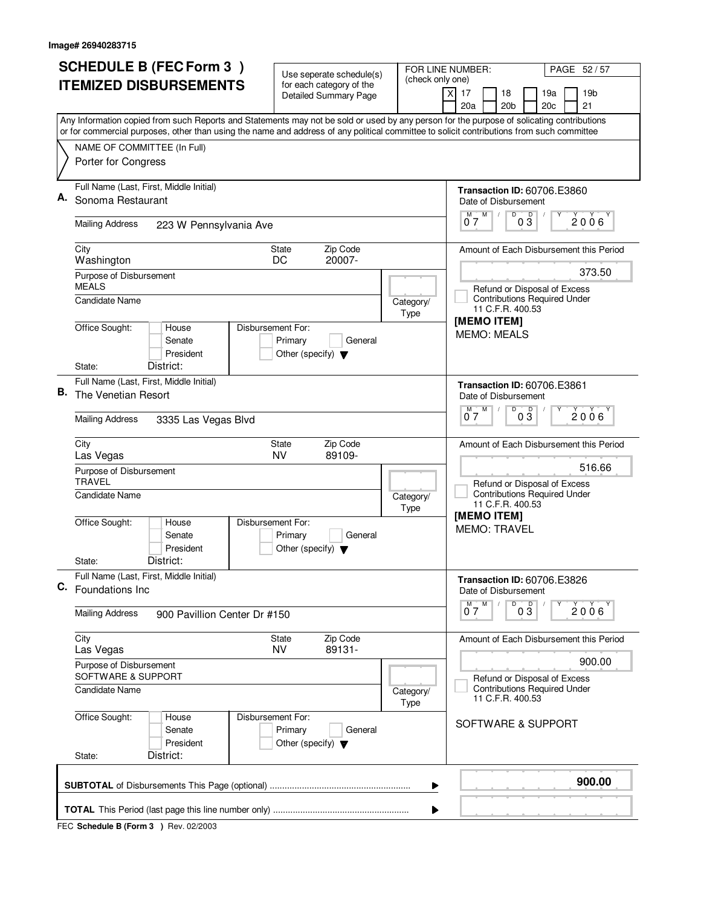|    | <b>SCHEDULE B (FEC Form 3)</b>                                                                                                                                                                                                                                                         | Use seperate schedule(s)                                                        | (check only one)  | PAGE 52 / 57<br>FOR LINE NUMBER:                                                                                             |  |
|----|----------------------------------------------------------------------------------------------------------------------------------------------------------------------------------------------------------------------------------------------------------------------------------------|---------------------------------------------------------------------------------|-------------------|------------------------------------------------------------------------------------------------------------------------------|--|
|    | <b>ITEMIZED DISBURSEMENTS</b>                                                                                                                                                                                                                                                          | for each category of the<br><b>Detailed Summary Page</b>                        |                   | 19 <sub>b</sub><br>xl<br>17<br>18<br>19a<br>20a<br>20 <sub>b</sub><br>21<br>20c                                              |  |
|    | Any Information copied from such Reports and Statements may not be sold or used by any person for the purpose of solicating contributions<br>or for commercial purposes, other than using the name and address of any political committee to solicit contributions from such committee |                                                                                 |                   |                                                                                                                              |  |
|    | NAME OF COMMITTEE (In Full)<br>Porter for Congress                                                                                                                                                                                                                                     |                                                                                 |                   |                                                                                                                              |  |
| Α. | Full Name (Last, First, Middle Initial)<br>Sonoma Restaurant                                                                                                                                                                                                                           |                                                                                 |                   | <b>Transaction ID: 60706.E3860</b><br>Date of Disbursement<br>D<br>$0^M$ $7^M$<br>Y<br>$0\overline{3}$<br>$\sqrt{2}$<br>2006 |  |
|    | <b>Mailing Address</b><br>223 W Pennsylvania Ave                                                                                                                                                                                                                                       |                                                                                 |                   |                                                                                                                              |  |
|    | City<br>Washington                                                                                                                                                                                                                                                                     | Zip Code<br>State<br>20007-<br>DC                                               |                   | Amount of Each Disbursement this Period                                                                                      |  |
|    | Purpose of Disbursement<br><b>MEALS</b><br><b>Candidate Name</b>                                                                                                                                                                                                                       |                                                                                 | Category/         | 373.50<br>Refund or Disposal of Excess<br><b>Contributions Required Under</b><br>11 C.F.R. 400.53                            |  |
|    | Office Sought:<br>House<br>Senate<br>President<br>District:<br>State:                                                                                                                                                                                                                  | Disbursement For:<br>Primary<br>General<br>Other (specify) $\blacktriangledown$ | Type              | [MEMO ITEM]<br><b>MEMO: MEALS</b>                                                                                            |  |
| В. | Full Name (Last, First, Middle Initial)<br>The Venetian Resort                                                                                                                                                                                                                         |                                                                                 |                   | <b>Transaction ID: 60706.E3861</b><br>Date of Disbursement                                                                   |  |
|    | <b>Mailing Address</b><br>3335 Las Vegas Blvd                                                                                                                                                                                                                                          |                                                                                 |                   | D<br>$\overline{\mathsf{D}}$<br>M.<br>M<br>2006<br>03<br>07                                                                  |  |
|    | City<br>Las Vegas<br>Purpose of Disbursement                                                                                                                                                                                                                                           | Zip Code<br><b>State</b><br>NV.<br>89109-                                       |                   | Amount of Each Disbursement this Period<br>516.66                                                                            |  |
|    | <b>TRAVEL</b><br>Candidate Name                                                                                                                                                                                                                                                        |                                                                                 | Category/<br>Type | Refund or Disposal of Excess<br><b>Contributions Required Under</b><br>11 C.F.R. 400.53                                      |  |
|    | Office Sought:<br>House<br>Senate<br>President                                                                                                                                                                                                                                         | Disbursement For:<br>Primary<br>General<br>Other (specify) $\blacktriangledown$ |                   | [MEMO ITEM]<br><b>MEMO: TRAVEL</b>                                                                                           |  |
|    | District:<br>State:                                                                                                                                                                                                                                                                    |                                                                                 |                   |                                                                                                                              |  |
|    | Full Name (Last, First, Middle Initial)<br>C. Foundations Inc                                                                                                                                                                                                                          |                                                                                 |                   | <b>Transaction ID: 60706.E3826</b><br>Date of Disbursement<br>$\overline{D}$<br>M<br>M                                       |  |
|    | <b>Mailing Address</b><br>900 Pavillion Center Dr #150                                                                                                                                                                                                                                 |                                                                                 |                   | $0\overline{3}$<br>$2006^{\circ}$<br>07                                                                                      |  |
|    | City<br>Las Vegas                                                                                                                                                                                                                                                                      | Zip Code<br><b>State</b><br><b>NV</b><br>89131-                                 |                   | Amount of Each Disbursement this Period                                                                                      |  |
|    | Purpose of Disbursement<br>SOFTWARE & SUPPORT                                                                                                                                                                                                                                          |                                                                                 |                   | 900.00<br>Refund or Disposal of Excess                                                                                       |  |
|    | <b>Candidate Name</b>                                                                                                                                                                                                                                                                  |                                                                                 | Category/<br>Type | <b>Contributions Required Under</b><br>11 C.F.R. 400.53                                                                      |  |
|    | Office Sought:<br>House<br>Senate<br>President                                                                                                                                                                                                                                         | Disbursement For:<br>Primary<br>General<br>Other (specify) $\blacktriangledown$ |                   | SOFTWARE & SUPPORT                                                                                                           |  |
|    | District:<br>State:                                                                                                                                                                                                                                                                    |                                                                                 |                   |                                                                                                                              |  |
|    | 900.00<br>▶                                                                                                                                                                                                                                                                            |                                                                                 |                   |                                                                                                                              |  |
|    |                                                                                                                                                                                                                                                                                        |                                                                                 |                   |                                                                                                                              |  |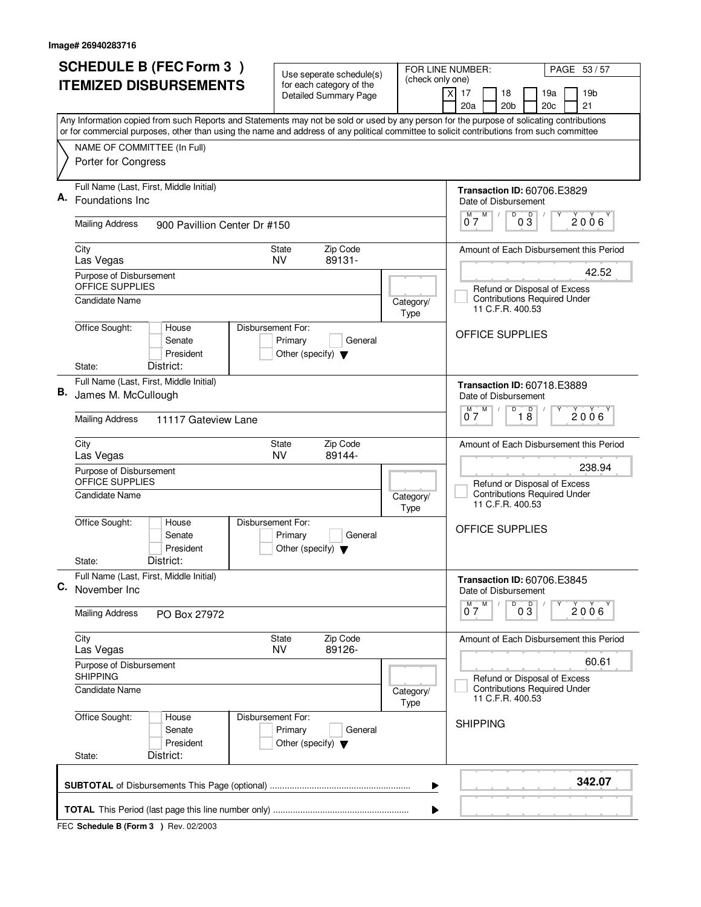|    | <b>SCHEDULE B (FEC Form 3)</b><br><b>ITEMIZED DISBURSEMENTS</b>                                                                                                                                                                                                                        | Use seperate schedule(s)<br>for each category of the                            | (check only one)  | FOR LINE NUMBER:<br>PAGE 53/57                                                                   |
|----|----------------------------------------------------------------------------------------------------------------------------------------------------------------------------------------------------------------------------------------------------------------------------------------|---------------------------------------------------------------------------------|-------------------|--------------------------------------------------------------------------------------------------|
|    |                                                                                                                                                                                                                                                                                        | <b>Detailed Summary Page</b>                                                    |                   | 19 <sub>b</sub><br>$\times$<br>17<br>18<br>19a<br>20a<br>20 <sub>b</sub><br>21<br>20c            |
|    | Any Information copied from such Reports and Statements may not be sold or used by any person for the purpose of solicating contributions<br>or for commercial purposes, other than using the name and address of any political committee to solicit contributions from such committee |                                                                                 |                   |                                                                                                  |
|    | NAME OF COMMITTEE (In Full)<br>Porter for Congress                                                                                                                                                                                                                                     |                                                                                 |                   |                                                                                                  |
|    | Full Name (Last, First, Middle Initial)<br>Foundations Inc.                                                                                                                                                                                                                            |                                                                                 |                   | <b>Transaction ID: 60706.E3829</b><br>Date of Disbursement<br>D                                  |
|    | <b>Mailing Address</b><br>900 Pavillion Center Dr #150                                                                                                                                                                                                                                 |                                                                                 |                   | $0^{\frac{M}{2}}$<br>03<br>$2006^{\circ}$                                                        |
|    | City<br>Las Vegas                                                                                                                                                                                                                                                                      | Zip Code<br>State<br><b>NV</b><br>89131-                                        |                   | Amount of Each Disbursement this Period                                                          |
|    | Purpose of Disbursement<br>OFFICE SUPPLIES<br><b>Candidate Name</b>                                                                                                                                                                                                                    |                                                                                 | Category/<br>Type | 42.52<br>Refund or Disposal of Excess<br><b>Contributions Required Under</b><br>11 C.F.R. 400.53 |
|    | Office Sought:<br>House<br>Senate<br>President<br>District:<br>State:                                                                                                                                                                                                                  | Disbursement For:<br>Primary<br>General<br>Other (specify) $\blacktriangledown$ |                   | <b>OFFICE SUPPLIES</b>                                                                           |
| В. | Full Name (Last, First, Middle Initial)<br>James M. McCullough                                                                                                                                                                                                                         |                                                                                 |                   | <b>Transaction ID: 60718.E3889</b><br>Date of Disbursement                                       |
|    | <b>Mailing Address</b><br>11117 Gateview Lane                                                                                                                                                                                                                                          |                                                                                 |                   | D<br>M<br>$\overline{18}$<br>2006'<br>07                                                         |
|    | City<br>Las Vegas<br>Purpose of Disbursement                                                                                                                                                                                                                                           | Zip Code<br>State<br>89144-<br><b>NV</b>                                        |                   | Amount of Each Disbursement this Period<br>238.94                                                |
|    | OFFICE SUPPLIES<br>Candidate Name                                                                                                                                                                                                                                                      |                                                                                 | Category/<br>Type | Refund or Disposal of Excess<br><b>Contributions Required Under</b><br>11 C.F.R. 400.53          |
|    | Office Sought:<br>House<br>Senate<br>President                                                                                                                                                                                                                                         | Disbursement For:<br>Primary<br>General<br>Other (specify) $\blacktriangledown$ |                   | OFFICE SUPPLIES                                                                                  |
|    | District:<br>State:                                                                                                                                                                                                                                                                    |                                                                                 |                   |                                                                                                  |
|    | Full Name (Last, First, Middle Initial)<br>C. November Inc.                                                                                                                                                                                                                            |                                                                                 |                   | Transaction ID: 60706.E3845<br>Date of Disbursement                                              |
|    | <b>Mailing Address</b><br>PO Box 27972                                                                                                                                                                                                                                                 |                                                                                 |                   | D<br>$0\frac{D}{3}$<br>M<br>M<br>$2006^{\circ}$<br>07                                            |
|    | City<br>Las Vegas                                                                                                                                                                                                                                                                      | Zip Code<br>State<br><b>NV</b><br>89126-                                        |                   | Amount of Each Disbursement this Period                                                          |
|    | Purpose of Disbursement<br><b>SHIPPING</b>                                                                                                                                                                                                                                             |                                                                                 |                   | 60.61<br>Refund or Disposal of Excess                                                            |
|    | <b>Candidate Name</b>                                                                                                                                                                                                                                                                  |                                                                                 | Category/<br>Type | <b>Contributions Required Under</b><br>11 C.F.R. 400.53                                          |
|    | Office Sought:<br>House<br>Senate<br>President<br>District:<br>State:                                                                                                                                                                                                                  | Disbursement For:<br>Primary<br>General<br>Other (specify) $\blacktriangledown$ |                   | <b>SHIPPING</b>                                                                                  |
|    |                                                                                                                                                                                                                                                                                        |                                                                                 |                   | 342.07                                                                                           |
|    |                                                                                                                                                                                                                                                                                        |                                                                                 | ▶                 |                                                                                                  |
|    |                                                                                                                                                                                                                                                                                        |                                                                                 | ▶                 |                                                                                                  |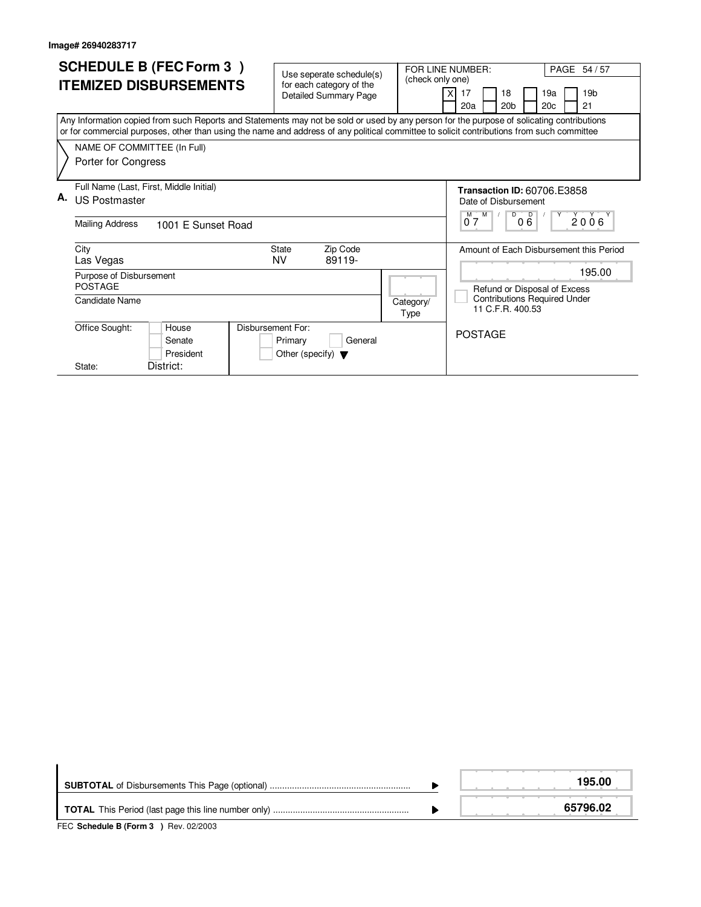| <b>SCHEDULE B (FEC Form 3)</b>                                                                                                                                                                                                                                                         |                                                      | FOR LINE NUMBER:<br>PAGE 54/57                                               |
|----------------------------------------------------------------------------------------------------------------------------------------------------------------------------------------------------------------------------------------------------------------------------------------|------------------------------------------------------|------------------------------------------------------------------------------|
| <b>ITEMIZED DISBURSEMENTS</b>                                                                                                                                                                                                                                                          | Use seperate schedule(s)<br>for each category of the | (check only one)                                                             |
|                                                                                                                                                                                                                                                                                        | <b>Detailed Summary Page</b>                         | 19 <sub>b</sub><br>17<br>18<br>19a                                           |
|                                                                                                                                                                                                                                                                                        |                                                      | 20a<br>20 <sub>b</sub><br>20 <sub>c</sub><br>21                              |
| Any Information copied from such Reports and Statements may not be sold or used by any person for the purpose of solicating contributions<br>or for commercial purposes, other than using the name and address of any political committee to solicit contributions from such committee |                                                      |                                                                              |
| NAME OF COMMITTEE (In Full)                                                                                                                                                                                                                                                            |                                                      |                                                                              |
| Porter for Congress                                                                                                                                                                                                                                                                    |                                                      |                                                                              |
| Full Name (Last, First, Middle Initial)                                                                                                                                                                                                                                                |                                                      | <b>Transaction ID: 60706.E3858</b>                                           |
| А.<br>US Postmaster                                                                                                                                                                                                                                                                    |                                                      | Date of Disbursement                                                         |
| <b>Mailing Address</b><br>1001 E Sunset Road                                                                                                                                                                                                                                           |                                                      | 000<br>2006<br>M<br>07                                                       |
| City                                                                                                                                                                                                                                                                                   | Zip Code<br>State                                    | Amount of Each Disbursement this Period                                      |
| Las Vegas                                                                                                                                                                                                                                                                              | NV<br>89119-                                         |                                                                              |
| Purpose of Disbursement                                                                                                                                                                                                                                                                |                                                      | 195.00                                                                       |
| <b>POSTAGE</b>                                                                                                                                                                                                                                                                         |                                                      | Refund or Disposal of Excess                                                 |
| Candidate Name                                                                                                                                                                                                                                                                         |                                                      | <b>Contributions Required Under</b><br>Category/<br>11 C.F.R. 400.53<br>Type |
| Office Sought:<br>Disbursement For:<br>House                                                                                                                                                                                                                                           |                                                      | <b>POSTAGE</b>                                                               |
| Senate                                                                                                                                                                                                                                                                                 | General<br>Primary                                   |                                                                              |
| President                                                                                                                                                                                                                                                                              | Other (specify) $\blacktriangledown$                 |                                                                              |
| District:<br>State:                                                                                                                                                                                                                                                                    |                                                      |                                                                              |

|  | 195.00   |
|--|----------|
|  | 65796.02 |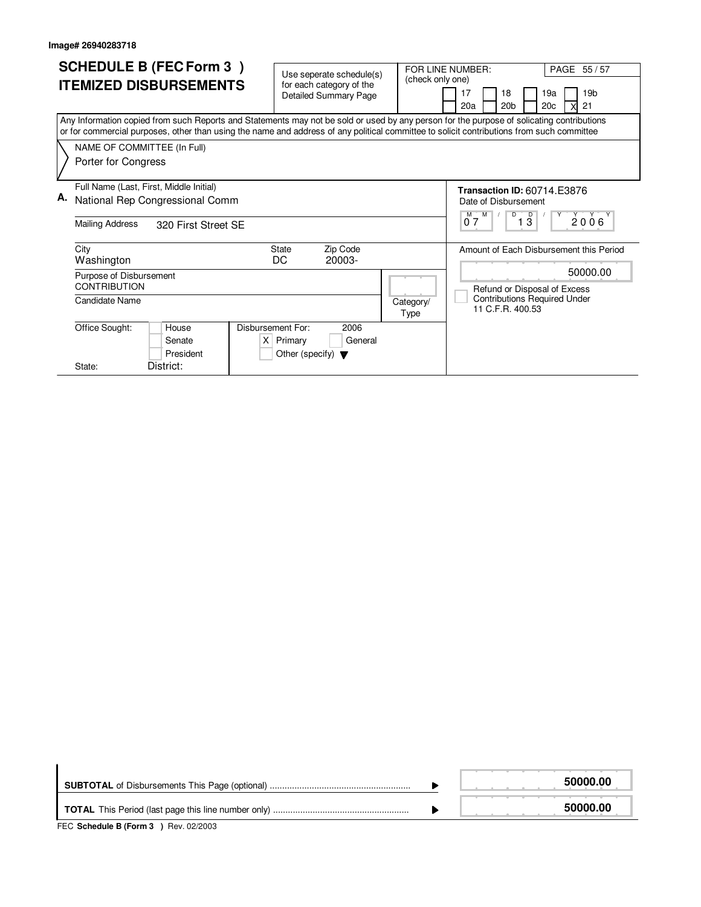| <b>SCHEDULE B (FEC Form 3)</b><br><b>ITEMIZED DISBURSEMENTS</b>                                                                                                                                                                                                                                                                              | Use seperate schedule(s)<br>for each category of the<br><b>Detailed Summary Page</b> | FOR LINE NUMBER:<br>PAGE 55/57<br>(check only one)<br>17<br>19 <sub>b</sub><br>18<br>19a<br>20 <sub>b</sub><br>20 <sub>c</sub><br>21<br>20a    |
|----------------------------------------------------------------------------------------------------------------------------------------------------------------------------------------------------------------------------------------------------------------------------------------------------------------------------------------------|--------------------------------------------------------------------------------------|------------------------------------------------------------------------------------------------------------------------------------------------|
| Any Information copied from such Reports and Statements may not be sold or used by any person for the purpose of solicating contributions<br>or for commercial purposes, other than using the name and address of any political committee to solicit contributions from such committee<br>NAME OF COMMITTEE (In Full)<br>Porter for Congress |                                                                                      |                                                                                                                                                |
| Full Name (Last, First, Middle Initial)<br>А.<br>National Rep Congressional Comm<br><b>Mailing Address</b><br>320 First Street SE                                                                                                                                                                                                            |                                                                                      | <b>Transaction ID: 60714.E3876</b><br>Date of Disbursement<br>M<br>D<br>$\overline{D}$<br>2006<br>07<br>13                                     |
| City<br>Washington<br>Purpose of Disbursement<br><b>CONTRIBUTION</b><br>Candidate Name                                                                                                                                                                                                                                                       | Zip Code<br><b>State</b><br>DC<br>20003-<br>Category/<br>Type                        | Amount of Each Disbursement this Period<br>50000.00<br>Refund or Disposal of Excess<br><b>Contributions Required Under</b><br>11 C.F.R. 400.53 |
| Office Sought:<br>Disbursement For:<br>House<br>X<br>Senate<br>President<br>District:<br>State:                                                                                                                                                                                                                                              | 2006<br>General<br>Primary<br>Other (specify) $\blacktriangledown$                   |                                                                                                                                                |

|  | 50000.00 |
|--|----------|
|  | 50000.00 |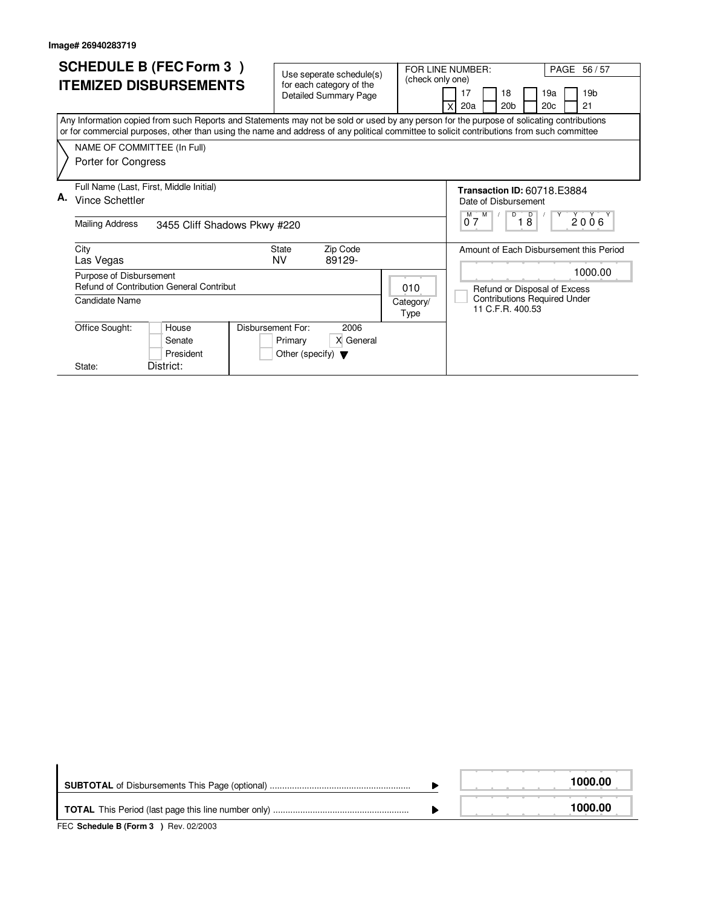| <b>SCHEDULE B (FEC Form 3)</b><br><b>ITEMIZED DISBURSEMENTS</b><br>Any Information copied from such Reports and Statements may not be sold or used by any person for the purpose of solicating contributions<br>or for commercial purposes, other than using the name and address of any political committee to solicit contributions from such committee | Use seperate schedule(s)<br>for each category of the<br><b>Detailed Summary Page</b> | FOR LINE NUMBER:<br>PAGE 56 / 57<br>(check only one)<br>17<br>18<br>19 <sub>b</sub><br>19a<br>20 <sub>b</sub><br>20a<br>20 <sub>c</sub><br>21 |
|-----------------------------------------------------------------------------------------------------------------------------------------------------------------------------------------------------------------------------------------------------------------------------------------------------------------------------------------------------------|--------------------------------------------------------------------------------------|-----------------------------------------------------------------------------------------------------------------------------------------------|
| NAME OF COMMITTEE (In Full)<br>Porter for Congress                                                                                                                                                                                                                                                                                                        |                                                                                      |                                                                                                                                               |
| Full Name (Last, First, Middle Initial)<br>А.<br><b>Vince Schettler</b><br><b>Mailing Address</b><br>3455 Cliff Shadows Pkwy #220                                                                                                                                                                                                                         |                                                                                      | <b>Transaction ID: 60718.E3884</b><br>Date of Disbursement<br>D<br>M<br>$\overline{D}$<br>2006<br>M `<br>18<br>07                             |
| City<br>Las Vegas<br>Purpose of Disbursement                                                                                                                                                                                                                                                                                                              | Zip Code<br><b>State</b><br>NV<br>89129-                                             | Amount of Each Disbursement this Period<br>1000.00                                                                                            |
| Refund of Contribution General Contribut<br>Candidate Name                                                                                                                                                                                                                                                                                                | 010<br>Category/<br>Type                                                             | Refund or Disposal of Excess<br><b>Contributions Required Under</b><br>11 C.F.R. 400.53                                                       |
| Disbursement For:<br>Office Sought:<br>House<br>Senate<br>President<br>District:<br>State:                                                                                                                                                                                                                                                                | 2006<br>X General<br>Primary<br>Other (specify) $\blacktriangledown$                 |                                                                                                                                               |

|  | 1000.00 |
|--|---------|
|  | 1000.00 |